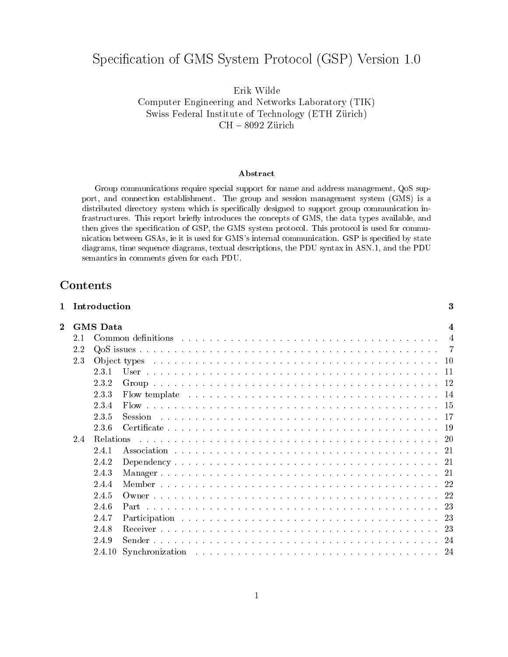# Specification of GMS System Protocol (GSP) Version 1.0

Erik Wilde Computer Engineering and Networks Laboratory (TIK) Swiss Federal Institute of Technology (ETH Zurich)  $\text{CH} = 8032$  zurich

#### Abstract

Group communications require special support for name and address management, QoS support, and connection establishment. The group and session management system (GMS) is a distributed directory system which is specically designed to support group communication infrastructures. This report briefly introduces the concepts of GMS, the data types available, and then gives the specification of GSP, the GMS system protocol. This protocol is used for communication between GSAs, ie it is used for GMS's internal communication. GSP is specified by state diagrams, time sequence diagrams, textual descriptions, the PDU syntax in ASN.1, and the PDU semantics in comments given for each PDU.

# Contents

|              |     | Introduction     |                                                                                                            | 3  |
|--------------|-----|------------------|------------------------------------------------------------------------------------------------------------|----|
| $\mathbf{2}$ |     | <b>GMS</b> Data  |                                                                                                            | 4  |
|              | 2.1 |                  |                                                                                                            | -4 |
|              | 2.2 |                  |                                                                                                            |    |
|              | 2.3 |                  |                                                                                                            |    |
|              |     | 2.3.1            |                                                                                                            |    |
|              |     | 2.3.2            |                                                                                                            |    |
|              |     | 2.3.3            | Flow template $\ldots \ldots \ldots \ldots \ldots \ldots \ldots \ldots \ldots \ldots \ldots \ldots \ldots$ |    |
|              |     | 234              |                                                                                                            |    |
|              |     | 2.3.5            | Session                                                                                                    |    |
|              |     | 2.3.6            |                                                                                                            |    |
|              | 2.4 | <b>Relations</b> |                                                                                                            |    |
|              |     | 2.4.1            |                                                                                                            |    |
|              |     | 2.4.2            |                                                                                                            |    |
|              |     | 2.4.3            |                                                                                                            |    |
|              |     | 2.4.4            |                                                                                                            |    |
|              |     | 2.4.5            |                                                                                                            |    |
|              |     | 2.4.6            |                                                                                                            |    |
|              |     | 2.4.7            |                                                                                                            |    |
|              |     | 2.4.8            |                                                                                                            |    |
|              |     | 2.4.9            |                                                                                                            |    |
|              |     | 2.4.10           |                                                                                                            |    |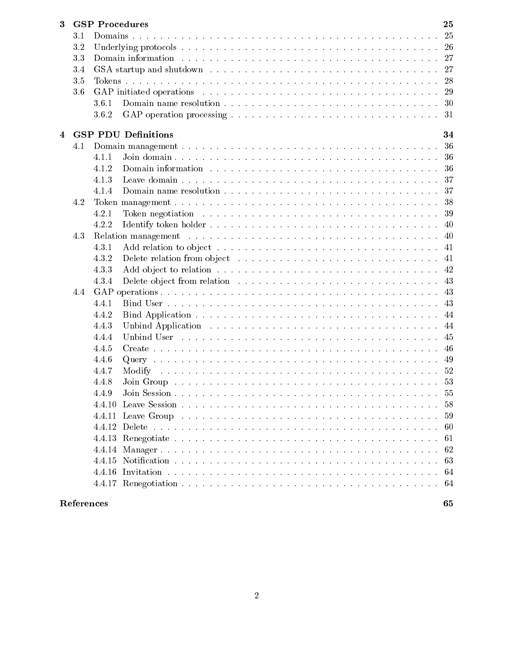| 3.1<br>3.2<br>-26<br>3.3<br>3.4<br>27<br>28<br>3.5<br>3.6<br>3.6.1<br>3.6.2<br>31<br><b>GSP PDU Definitions</b><br>4<br>36<br>4.1<br>4.1.1<br>36<br>4.1.2<br>36<br>4.1.3<br>-37<br>4.1.4<br>4.2<br>4.2.1<br>4.2.2<br>4.3<br>4.3.1<br>41<br>4.3.2<br>-41<br>4.3.3<br>4.3.4<br>4.4<br>4.4.1<br>4.4.2<br>4.4.3<br>4.4.4<br>4.4.5<br>46<br>4.4.6<br>49<br>4.4.7<br>52<br>4.4.8<br>55<br>4.4.9 | 25  |
|-------------------------------------------------------------------------------------------------------------------------------------------------------------------------------------------------------------------------------------------------------------------------------------------------------------------------------------------------------------------------------------------|-----|
|                                                                                                                                                                                                                                                                                                                                                                                           | 25  |
|                                                                                                                                                                                                                                                                                                                                                                                           |     |
|                                                                                                                                                                                                                                                                                                                                                                                           | 27  |
|                                                                                                                                                                                                                                                                                                                                                                                           |     |
|                                                                                                                                                                                                                                                                                                                                                                                           |     |
|                                                                                                                                                                                                                                                                                                                                                                                           | 29  |
|                                                                                                                                                                                                                                                                                                                                                                                           | 30  |
|                                                                                                                                                                                                                                                                                                                                                                                           |     |
|                                                                                                                                                                                                                                                                                                                                                                                           |     |
|                                                                                                                                                                                                                                                                                                                                                                                           | 34  |
|                                                                                                                                                                                                                                                                                                                                                                                           |     |
|                                                                                                                                                                                                                                                                                                                                                                                           |     |
|                                                                                                                                                                                                                                                                                                                                                                                           |     |
|                                                                                                                                                                                                                                                                                                                                                                                           |     |
|                                                                                                                                                                                                                                                                                                                                                                                           | 37  |
|                                                                                                                                                                                                                                                                                                                                                                                           | 38  |
|                                                                                                                                                                                                                                                                                                                                                                                           | 39  |
|                                                                                                                                                                                                                                                                                                                                                                                           | 40  |
|                                                                                                                                                                                                                                                                                                                                                                                           | 40  |
|                                                                                                                                                                                                                                                                                                                                                                                           |     |
|                                                                                                                                                                                                                                                                                                                                                                                           |     |
|                                                                                                                                                                                                                                                                                                                                                                                           |     |
|                                                                                                                                                                                                                                                                                                                                                                                           | 43  |
|                                                                                                                                                                                                                                                                                                                                                                                           | 43  |
|                                                                                                                                                                                                                                                                                                                                                                                           | 43  |
|                                                                                                                                                                                                                                                                                                                                                                                           | 44  |
|                                                                                                                                                                                                                                                                                                                                                                                           | -44 |
|                                                                                                                                                                                                                                                                                                                                                                                           | 45  |
|                                                                                                                                                                                                                                                                                                                                                                                           |     |
|                                                                                                                                                                                                                                                                                                                                                                                           |     |
|                                                                                                                                                                                                                                                                                                                                                                                           |     |
|                                                                                                                                                                                                                                                                                                                                                                                           |     |
|                                                                                                                                                                                                                                                                                                                                                                                           |     |
|                                                                                                                                                                                                                                                                                                                                                                                           | 58  |
|                                                                                                                                                                                                                                                                                                                                                                                           | 59  |
|                                                                                                                                                                                                                                                                                                                                                                                           | -60 |
| 61                                                                                                                                                                                                                                                                                                                                                                                        |     |
|                                                                                                                                                                                                                                                                                                                                                                                           |     |
|                                                                                                                                                                                                                                                                                                                                                                                           | 62  |
|                                                                                                                                                                                                                                                                                                                                                                                           | 63  |
|                                                                                                                                                                                                                                                                                                                                                                                           | 64  |
| 64                                                                                                                                                                                                                                                                                                                                                                                        |     |
| References<br>65                                                                                                                                                                                                                                                                                                                                                                          |     |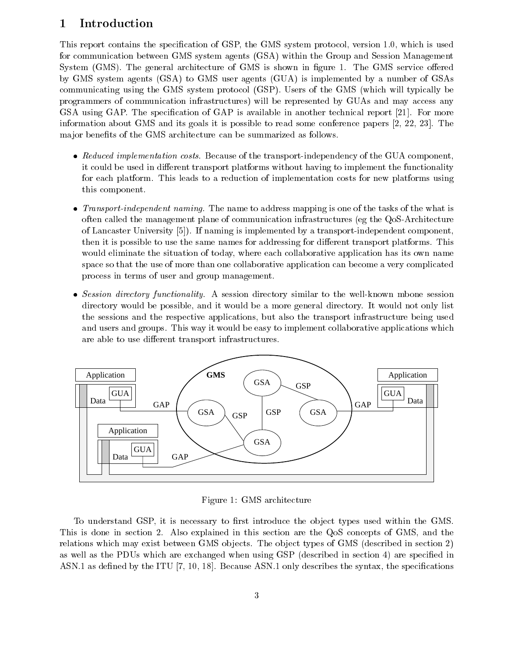# <sup>1</sup> Introduction

This report contains the specication of GSP, the GMS system protocol, version 1.0, which is used for communication between GMS system agents (GSA) within the Group and Session Management System (GMS). The general architecture of GMS is shown in figure 1. The GMS service offered by GMS system agents(GSA) to GMS user agents (GUA) is implemented by a number of GSAs communicating using the GMS system protocol (GSP). Users of the GMS (which will typically be programmers of communication infrastructures) will be represented by GUAs and may access any GSA using GAP. The specification of GAP is available in another technical report [21]. For more information about GMS and its goals it is possible to read some conference papers [2, 22, 23]. The major benefits of the GMS architecture can be summarized as follows.

- Reduced implementation costs. Because of the transport-independency of the GUA component, it could be used in different transport platforms without having to implement the functionality for each platform. This leads to a reduction of implementation costs for new platforms using this component.
- Transport-independent naming. The name to address mapping is one of the tasks of the what is often called the management plane of communication infrastructures (eg the QoS-Architecture of Lancaster University [5]). If naming is implemented by a transport-independent component, then it is possible to use the same names for addressing for different transport platforms. This would eliminate the situation of today, where each collaborative application has its own name space so that the use of more than one collaborative application can become a very complicated process in terms of user and group management.
- Session directory functionality. A session directory similar to the well-known mbone session directory would be possible, and it would be a more general directory. It would not only list the sessions and the respective applications, but also the transport infrastructure being used and users and groups. This way it would be easy to implement collaborative applications which are able to use different transport infrastructures.



Figure 1: GMS architecture

To understand GSP, it is necessary to first introduce the object types used within the GMS. This is done in section 2. Also explained in this section are the QoS concepts of GMS, and the relations which may exist between GMS objects. The object types of GMS (described in section 2) as well as the PDUs which are exchanged when using GSP (described in section 4) are specied in ASN.1 as defined by the ITU  $[7, 10, 18]$ . Because ASN.1 only describes the syntax, the specifications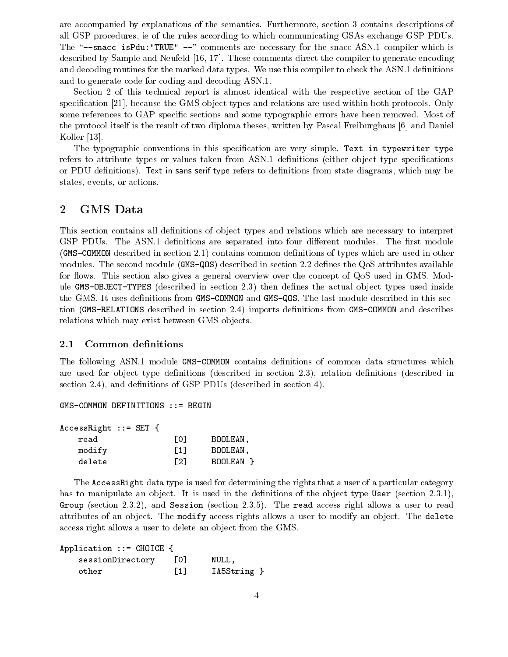are accompanied by explanations of the semantics. Furthermore, section 3 contains descriptions of all GSP procedures, ie of the rules according to which communicating GSAs exchange GSP PDUs. The "--snacc isPdu: "TRUE"  $-$ " comments are necessary for the snacc ASN.1 compiler which is described by Sample and Neufeld [16, 17]. These comments direct the compiler to generate encoding and decoding routines for the marked data types. We use this compiler to check the ASN.1 definitions and to generate code for coding and decoding ASN.1.

Section 2 of this technical report is almost identical with the respective section of the GAP specification [21], because the GMS object types and relations are used within both protocols. Only some references to GAP specific sections and some typographic errors have been removed. Most of the protocol itself is the result of two diploma theses, written by Pascal Freiburghaus [6] and Daniel Koller [13].

The typographic conventions in this specification are very simple. Text in typewriter type refers to attribute types or values taken from ASN.1 definitions (either object type specifications or PDU definitions). Text in sans serif type refers to definitions from state diagrams, which may be states, events, or actions.

# <sup>2</sup> GMS Data

This section contains all definitions of object types and relations which are necessary to interpret GSP PDUs. The ASN.1 definitions are separated into four different modules. The first module (GMS-COMMON described in section 2.1) contains common denitions of types which are used in other modules. The second module (GMS-QOS) described in section 2.2 defines the QoS attributes available for flows. This section also gives a general overview over the concept of QoS used in GMS. Module GMS-OBJECT-TYPES (described in section 2.3) then defines the actual object types used inside the GMS. It uses definitions from GMS-COMMON and GMS-QOS. The last module described in this section (GMS-RELATIONS described in section 2.4) imports definitions from GMS-COMMON and describes relations which may exist between GMS objects.

## 2.1 Common definitions

The following ASN.1 module GMS-COMMON contains definitions of common data structures which are used for object type definitions (described in section 2.3), relation definitions (described in section 2.4), and definitions of GSP PDUs (described in section 4).

```
GMS-COMMON DEFINITIONS ::= BEGIN
```

| $AccessRight :: = SET {$ |                   |           |
|--------------------------|-------------------|-----------|
| read                     | гот               | BOOLEAN.  |
| modify                   | $\lceil 1 \rceil$ | BOOLEAN.  |
| delete                   | F 21              | BOOLEAN P |

The AccessRight data type is used for determining the rights that a user of a particular category has to manipulate an object. It is used in the definitions of the object type User (section  $(2.3.1)$ ), Group (section 2.3.2), and Session (section 2.3.5). The read access right allows a user to read attributes of an object. The modify access rights allows a user to modify an object. The delete access right allows a user to delete an object from the GMS.

```
Application ::= CHOICE {
   sessionDirectory [0] NULL,
   other [1] IA5String }
```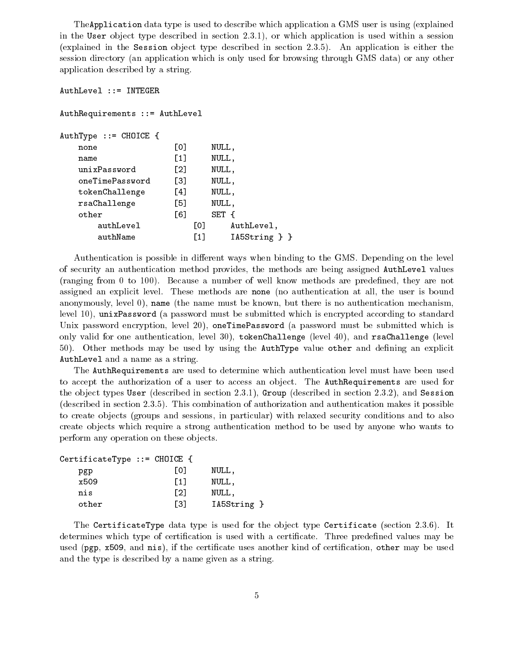TheApplication data type is used to describe which application a GMS user is using (explained in the User object type described in section 2.3.1), or which application is used within a session (explained in the Session object type described in section 2.3.5). An application is either the session directory (an application which is only used for browsing through GMS data) or any other application described by a string.

```
AuthLevel ::= INTEGER
AuthRequirements ::= AuthLevel
AuthType ::= CHOICE {
    none [0] NULL,
    name [1] NULL,
    unixPassword [2] NULL,
     oneTimePassword [3] NULL,
    tokenChallenge [4] NULL,
    rsaChallenge [5] NULL,
     other [6] SET {{Contracts}} and {{Contracts}} and {{Contracts}} and {{Contracts}} and {{Contracts}}} and {{Contracts}} and {{Contracts}} and {{Contracts}} and {{Contracts}} and {{Contracts}} and {{Contracts}} and {{Contrac
         authLevel [0] AuthLevel,
         authName [1] IA5String } }
```
Authentication is possible in different ways when binding to the GMS. Depending on the level of security an authentication method provides, the methods are being assigned AuthLevel values (ranging from 0 to 100). Because a number of well know methods are predened, they are not assigned an explicit level. These methods are none (no authentication atall, the user is bound anonymously, level 0), name (the name must be known, but there is no authentication mechanism, level 10), unixPassword (a password must be submitted which is encrypted according to standard Unix password encryption, level 20), oneTimePassword (a password must be submitted which is only valid for one authentication, level 30), tokenChallenge (level 40), and rsaChallenge (level  $50$ ). Other methods may be used by using the **AuthType** value other and defining an explicit AuthLevel and a name as a string.

The AuthRequirements are used to determine which authentication level must have been used to accept the authorization of a user to access an object. The **AuthRequirements** are used for the object types User (described in section 2.3.1), Group (described in section 2.3.2), and Session (described in section 2.3.5). This combination of authorization and authentication makes it possible to create ob jects (groups and sessions, in particular) with relaxed security conditions and to also create objects which require a strong authentication method to be used by anyone who wants to perform any operation on these objects.

| CertificateType $::=$ CHOICE { |                   |             |
|--------------------------------|-------------------|-------------|
| pgp                            | L0J               | NULL,       |
| x509                           | $\lceil 1 \rceil$ | NULL,       |
| nis                            | $\lceil 2 \rceil$ | NULL,       |
| other                          | [3]               | IA5String } |

The CertificateType data type is used for the object type Certificate (section 2.3.6). It determines which type of certification is used with a certificate. Three predefined values may be used (pgp, x509, and nis), if the certificate uses another kind of certification, other may be used and the type is described by a name given as a string.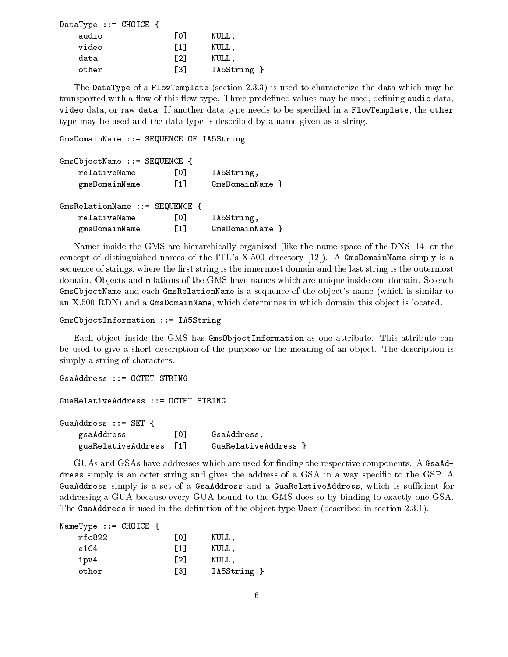| DataType $::=$ CHOICE { |                   |             |
|-------------------------|-------------------|-------------|
| audio                   | L0J               | NULL,       |
| video                   | [1]               | NULL,       |
| data                    | $\lceil 2 \rceil$ | NULL.       |
| other                   | Г31               | IA5String } |

The DataType of a FlowTemplate (section 2.3.3) is used to characterize the data which may be transported with a flow of this flow type. Three predefined values may be used, defining audio data, video data, or raw data. If another data type needs to be specified in a FlowTemplate, the other type may be used and the data type is described by a name given as a string.

GmsDomainName ::= SEQUENCE OF IA5String

| $GmsObjectName :: = SEQUENCE {$  |                   |                 |  |  |  |  |
|----------------------------------|-------------------|-----------------|--|--|--|--|
| relativeName                     | L01               | IA5String,      |  |  |  |  |
| gmsDomainName                    | $\lceil 1 \rceil$ | GmsDomainName } |  |  |  |  |
|                                  |                   |                 |  |  |  |  |
| GmsRelationName $::=$ SEQUENCE { |                   |                 |  |  |  |  |
| relativeName                     | L01               | IA5String,      |  |  |  |  |
| gmsDomainName                    | F11               | GmsDomainName } |  |  |  |  |

Names inside the GMS are hierarchically organized (like the name space of the DNS [14] or the concept of distinguished names of the ITU's X.500 directory [12]). A GmsDomainName simply is a sequence of strings, where the first string is the innermost domain and the last string is the outermost domain. Objects and relations of the GMS have names which are unique inside one domain. So each GmsObjectName and each GmsRelationName is a sequence of the object's name (which is similar to an X.500 RDN) and a GmsDomainName, which determines in which domain this object is located.

```
GmsObjectInformation ::= IA5String
```
Each object inside the GMS has Gms0bjectInformation as one attribute. This attribute can be used to give a short description of the purpose or the meaning of an object. The description is simply a string of characters.

```
GsaAddress ::= OCTET STRING
GuaRelativeAddress ::= OCTET STRING
GuaAddress ::= SET {
   gsaAddress [0] GsaAddress,
   guaRelativeAddress [1] GuaRelativeAddress }
```
GUAs and GSAs have addresses which are used for finding the respective components. A GsaAddress simply is an octet string and gives the address of a GSA in a way specific to the GSP. A GuaAddress simply is a set of a GsaAddress and a GuaRelativeAddress, which is sufficient for addressing a GUA because every GUA bound to the GMS does so by binding to exactly one GSA. The GuaAddress is used in the definition of the object type User (described in section 2.3.1).

| NameType ::= CHOICE { |                  |             |
|-----------------------|------------------|-------------|
| rfc822                | L01              | NULL.       |
| e 164                 | [1]              | NULL.       |
| ipv4                  | T <sub>2</sub> 1 | NULL.       |
| other                 | [3]              | IA5String } |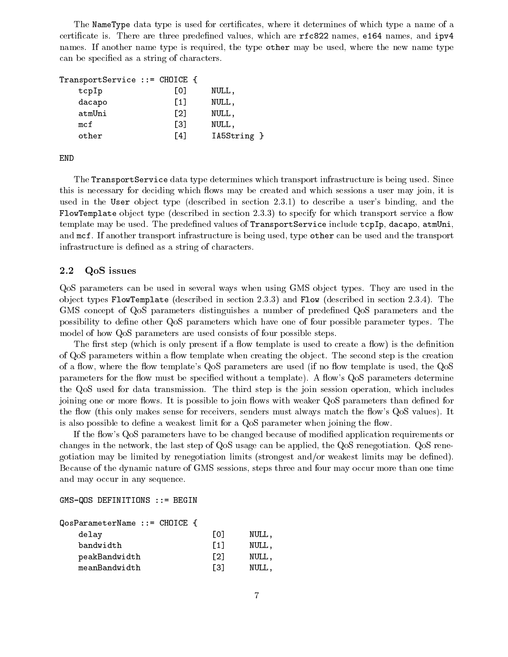The NameType data type is used for certicates, where it determines of which type a name of a certificate is. There are three predefined values, which are  $rfc822$  names, e164 names, and  $ipv4$ names. If another name type is required, the type other may be used, where the new name type can be specied as a string of characters.

| $Transports$ ervice ::= $CHOICE$ { |             |
|------------------------------------|-------------|
| L01                                | NULL,       |
| $\left[1\right]$                   | NULL,       |
| $\lceil 2 \rceil$                  | NULL,       |
| Г31                                | NULL,       |
| F41                                | IA5String } |
|                                    |             |

END

The TransportService data type determines which transport infrastructure is being used. Since this is necessary for deciding which flows may be created and which sessions a user may join, it is used in the User object type (described in section 2.3.1) to describe a user's binding, and the FlowTemplate object type (described in section 2.3.3) to specify for which transport service a flow template may be used. The predefined values of TransportService include tcpIp, dacapo, atmUni, and mcf. If another transport infrastructure is being used, type other can be used and the transport infrastructure is defined as a string of characters.

#### 2.2 QoS issues

QoS parameters can be used in several ways when using GMS object types. They are used in the object types FlowTemplate (described in section 2.3.3) and Flow (described in section 2.3.4). The GMS concept of QoS parameters distinguishes a number of predened QoS parameters and the possibility to dene other QoS parameters which have one of four possible parameter types. The model of how QoS parameters are used consists of four possible steps.

The first step (which is only present if a flow template is used to create a flow) is the definition of QoS parameters within a flow template when creating the object. The second step is the creation of a flow, where the flow template's QoS parameters are used (if no flow template is used, the QoS parameters for the flow must be specified without a template). A flow's QoS parameters determine the QoS used for data transmission. The third step is the join session operation, which includes joining one or more flows. It is possible to join flows with weaker QoS parameters than defined for the flow (this only makes sense for receivers, senders must always match the flow's QoS values). It is also possible to define a weakest limit for a  $Q$ oS parameter when joining the flow.

If the flow's QoS parameters have to be changed because of modified application requirements or changes in the network, the last step of QoS usage can be applied, the QoS renegotiation. QoS renegotiation may be limited by renegotiation limits (strongest and/or weakest limits may be dened). Because of the dynamic nature of GMS sessions, steps three and four may occur more than one time and may occur in any sequence.

GMS-QOS DEFINITIONS ::= BEGIN

| QosParameterName ::= CHOICE { |                   |       |  |
|-------------------------------|-------------------|-------|--|
| delay                         | LOJ               | NULL. |  |
| bandwidth                     | [1]               | NULL, |  |
| peakBandwidth                 | $\lceil 2 \rceil$ | NULL, |  |
| meanBandwidth                 | Г31               | NULL. |  |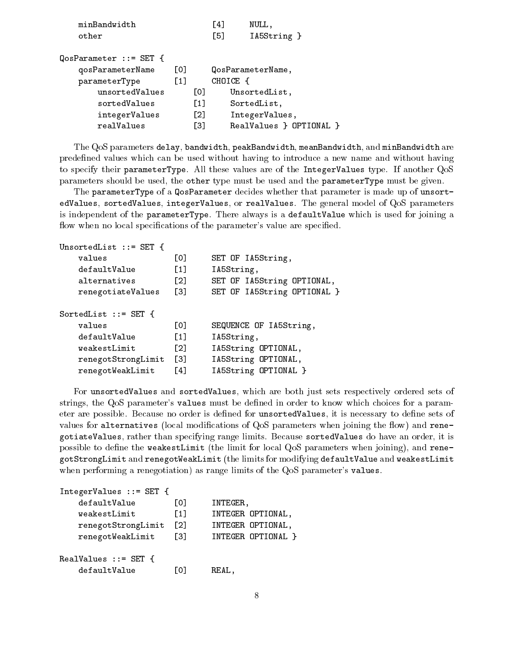| minBandwidth              |                  |                   | <u> 4</u> | NULL.                   |  |
|---------------------------|------------------|-------------------|-----------|-------------------------|--|
| other                     |                  |                   | [5]       | IA5String }             |  |
|                           |                  |                   |           |                         |  |
| $QosParameter :: = SET$ { |                  |                   |           |                         |  |
| qosParameterName          | $\lceil$ 01      |                   |           | QosParameterName,       |  |
| parameterType             | $\left[1\right]$ |                   | CHOICE {  |                         |  |
| unsortedValues            |                  | [0]               |           | UnsortedList,           |  |
| sortedValues              |                  | $\lceil 1 \rceil$ |           | SortedList,             |  |
| integerValues             |                  | $\lceil 2 \rceil$ |           | IntegerValues,          |  |
| realValues                |                  | Г31               |           | RealValues } OPTIONAL } |  |
|                           |                  |                   |           |                         |  |

 $\sim$   $\sim$ 

The QoS parameters delay, bandwidth, peakBandwidth, meanBandwidth, and minBandwidth are predened values which can be used without having to introduce a new name and without having to specify their parameterType. All these values are of the IntegerValues type. If another QoS parameters should be used, the other type must be used and the parameterType must be given.

The parameterType of a QosParameter decides whether that parameter is made up of unsortedValues, sortedValues, integerValues, or realValues. The general model of QoS parameters is independent of the parameterType. There always is a defaultValue which is used for joining a flow when no local specifications of the parameter's value are specified.

```
UnsortedList ::= SET {
   values
                    [0] SET OF IA5String,
   defaultValue [1] IA5String,
   alternatives [2] SET OF IA5String OPTIONAL,
   renegotiateValues [3] SET OF IA5String OPTIONAL }
SortedList ::= SET {
   values [0] SEQUENCE OF IA5String,
   defaultValue [1] IA5String,
   weakestLimit [2] IA5String OPTIONAL,
   renegotStrongLimit [3] IA5String OPTIONAL,
   renegotWeakLimit [4] IA5String OPTIONAL }
```
For unsortedValues and sortedValues, which are both just sets respectively ordered sets of strings, the QoS parameter's values must be dened in order to know which choices for a parameter are possible. Because no order is defined for unsortedValues, it is necessary to define sets of values for alternatives (local modifications of  $QoS$  parameters when joining the flow) and renegotiateValues, rather than specifying range limits. Because sortedValues do have an order, it is possible to define the weakestLimit (the limit for local QoS parameters when joining), and renegotStrongLimit and renegotWeakLimit (the limits for modifying defaultValue and weakestLimit when performing a renegotiation) as range limits of the QoS parameter's values.

```
IntegerValues ::= SET {
   defaultValue [0] INTEGER,
   weakestLimit [1] INTEGER OPTIONAL,
   renegotStrongLimit [2] INTEGER OPTIONAL,
   renegotWeakLimit [3] INTEGER OPTIONAL }
RealValues ::= SET {
   defaultValue
                     [0] REAL,
```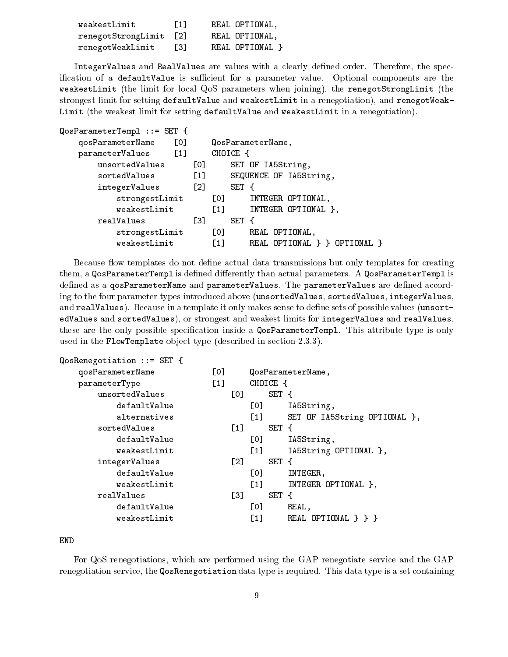| weakestLimit       | $\lceil 1 \rceil$ | REAL OPTIONAL,  |
|--------------------|-------------------|-----------------|
| renegotStrongLimit | <sup>1</sup> 21   | REAL OPTIONAL.  |
| renegotWeakLimit   | Г31               | REAL OPTIONAL } |

IntegerValues and RealValues are values with a clearly defined order. Therefore, the specification of a defaultValue is sufficient for a parameter value. Optional components are the weakestLimit (the limit for local QoS parameters when joining), the renegotStrongLimit (the strongest limit for setting defaultValue and weakestLimit in a renegotiation), and renegotWeak-Limit (the weakest limit for setting defaultValue and weakestLimit in a renegotiation).

| $QosParameterTemp1 :: = SET {$ |                   |                                                  |
|--------------------------------|-------------------|--------------------------------------------------|
| [0]<br>qosParameterName        |                   | QosParameterName,                                |
| $[1]$<br>parameterValues       |                   | CHOICE {                                         |
| unsortedValues                 | [0]               | SET OF IA5String,                                |
| sortedValues                   | $[1]$             | SEQUENCE OF IA5String,                           |
| integerValues                  | $\lceil 2 \rceil$ | SET {                                            |
| strongestLimit                 |                   | [0]<br>INTEGER OPTIONAL,                         |
| weakestLimit                   |                   | $[1]$<br>INTEGER OPTIONAL },                     |
| realValues                     | [3]               | SET {                                            |
| strongestLimit                 |                   | [0]<br>REAL OPTIONAL,                            |
| weakestLimit                   |                   | $\left[1\right]$<br>REAL OPTIONAL } } OPTIONAL } |

Because flow templates do not define actual data transmissions but only templates for creating them, a QosParameterTempl is defined differently than actual parameters. A QosParameterTempl is defined as a qosParameterName and parameterValues. The parameterValues are defined according to the four parameter types introduced above (unsortedValues, sortedValues, integerValues, and realValues). Because in a template it only makes sense to define sets of possible values (unsortedValues and sortedValues), or strongest and weakest limits for integerValues and realValues, these are the only possible specification inside a QosParameterTempl. This attribute type is only used in the FlowTemplate object type (described in section 2.3.3).

| $Q$ os $R$ enegotiation ::= SET { |       |                   |                  |          |                              |
|-----------------------------------|-------|-------------------|------------------|----------|------------------------------|
| qosParameterName                  | [0]   |                   |                  |          | QosParameterName,            |
| parameterType                     | $[1]$ |                   |                  | CHOICE { |                              |
| unsortedValues                    |       | [0]               |                  | SET {    |                              |
| defaultValue                      |       |                   | [0]              |          | IA5String,                   |
| alternatives                      |       |                   | $\left[1\right]$ |          | SET OF IA5String OPTIONAL }, |
| sortedValues                      |       | $[1]$             |                  | SET {    |                              |
| defaultValue                      |       |                   | [0]              |          | IA5String,                   |
| weakestLimit                      |       |                   | $[1]$            |          | IA5String OPTIONAL },        |
| integerValues                     |       | $\lceil 2 \rceil$ |                  | SET {    |                              |
| defaultValue                      |       |                   | [0]              |          | INTEGER,                     |
| weakestLimit                      |       |                   | [1]              |          | INTEGER OPTIONAL },          |
| realValues                        |       | [3]               |                  | SET {    |                              |
| defaultValue                      |       |                   | [0]              |          | REAL.                        |
| weakestLimit                      |       |                   | $\left[1\right]$ |          | REAL OPTIONAL $\}$ } }       |
|                                   |       |                   |                  |          |                              |

END

For QoS renegotiations, which are performed using the GAP renegotiate service and the GAP renegotiation service, the QosRenegotiation data type is required. This data type is a set containing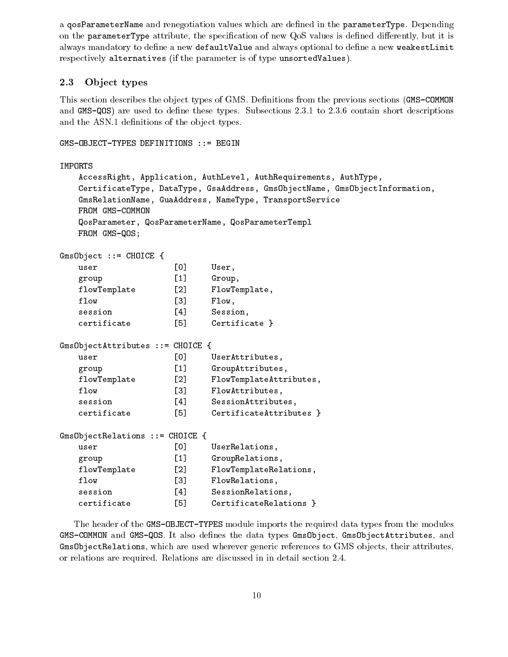a qosParameterName and renegotiation values which are dened in the parameterType. Depending on the parameterType attribute, the specification of new QoS values is defined differently, but it is always mandatory to define a new defaultValue and always optional to define a new weakestLimit respectively alternatives (if the parameter is of type unsortedValues).

### 2.3 Ob ject types

This section describes the object types of GMS. Definitions from the previous sections (GMS-COMMON and  $GNS-QOS$ ) are used to define these types. Subsections 2.3.1 to 2.3.6 contain short descriptions and the ASN.1 definitions of the object types.

```
GMS-OBJECT-TYPES DEFINITIONS ::= BEGIN
IMPORTS
   AccessRight, Application, AuthLevel, AuthRequirements, AuthType,
   CertificateType, DataType, GsaAddress, GmsObjectName, GmsObjectInformation,
   GmsRelationName, GuaAddress, NameType, TransportService
   FROM GMS-COMMON
   QosParameter, QosParameterName, QosParameterTempl
   FROM GMS-QOS;
GmsObject ::= CHOICE {
   user [0] User,
   group [1] Group,
   flowTemplate [2] FlowTemplate,
   flow [3] Flow,
   session [4] Session,
   certificate [5] Certificate }
GmsObjectAttributes ::= CHOICE {
   user [0] UserAttributes,
   group [1] GroupAttributes,
   flowTemplate [2] FlowTemplateAttributes,
   flow [3] FlowAttributes,
   session [4] SessionAttributes,
   certificate [5] CertificateAttributes }
GmsObjectRelations ::= CHOICE {
   user [0] UserRelations,
   group [1] GroupRelations,
   flowTemplate [2] FlowTemplateRelations,
   flow [3] FlowRelations,
   session [4] SessionRelations,
   certificate [5] CertificateRelations }
```
The header of the GMS-OBJECT-TYPES module imports the required data types from the modules GMS-COMMON and GMS-QOS. It also defines the data types GmsObject, GmsObjectAttributes, and GmsObjectRelations, which are used wherever generic references to GMS objects, their attributes, or relations are required. Relations are discussed in in detail section 2.4.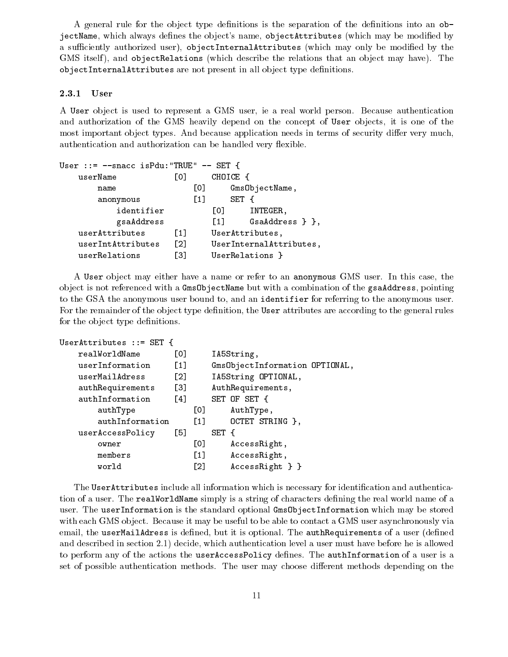A general rule for the object type definitions is the separation of the definitions into an  $\circ b$ jectName, which always defines the object's name, objectAttributes (which may be modified by a sufficiently authorized user), objectInternalAttributes (which may only be modified by the GMS itself), and objectRelations (which describe the relations that an object may have). The objectInternalAttributes are not present in all object type definitions.

#### 2.3.1 User

A User ob ject is used to represent a GMS user, ie a real world person. Because authentication and authorization of the GMS heavily depend on the concept of User objects, it is one of the most important object types. And because application needs in terms of security differ very much, authentication and authorization can be handled very flexible.

| User ::= $--space$ is Pdu: "TRUE" $--$ SET { |                   |                   |                   |     |                         |
|----------------------------------------------|-------------------|-------------------|-------------------|-----|-------------------------|
| userName                                     | L0J               |                   | CHOICE            |     |                         |
| name                                         |                   | [0]               |                   |     | GmsObjectName,          |
| anonymous                                    |                   | $\lceil 1 \rceil$ |                   | SET | $\overline{A}$          |
| identifier                                   |                   |                   | TO T              |     | INTEGER,                |
| gsaAddress                                   |                   |                   | $\lceil 1 \rceil$ |     | GsaAddress } },         |
| userAttributes                               | $\lceil 1 \rceil$ |                   |                   |     | UserAttributes,         |
| userIntAttributes                            | $\lceil 2 \rceil$ |                   |                   |     | UserInternalAttributes, |
| userRelations                                | Г31               |                   |                   |     | UserRelations }         |

A User ob ject may either have a name or refer to an anonymous GMS user. In this case, the ob ject is not referenced with a GmsObjectName but with a combination of the gsaAddress, pointing to the GSA the anonymous user bound to, and an identifier for referring to the anonymous user. For the remainder of the object type definition, the User attributes are according to the general rules for the object type definitions.

```
UserAttributes ::= SET {
```

| realWorldName    | [0]               |                   | IA5String,                     |
|------------------|-------------------|-------------------|--------------------------------|
| userInformation  | $\left[1\right]$  |                   | GmsObjectInformation OPTIONAL, |
| userMailAdress   | $\lceil 2 \rceil$ |                   | IA5String OPTIONAL,            |
| authRequirements | $\left[3\right]$  |                   | AuthRequirements,              |
| authInformation  | $\lceil 4 \rceil$ |                   | SET OF SET {                   |
| authType         |                   | [O]               | AuthType,                      |
| authInformation  |                   | F11               | OCTET STRING },                |
| userAccessPolicy | [5]               |                   | SET {                          |
| owner            |                   | [0]               | AccessRight,                   |
| members          |                   | $\left[1\right]$  | AccessRight,                   |
| world            |                   | $\lceil 2 \rceil$ | $AccessRight$ } }              |

The UserAttributes include all information which is necessary for identification and authentication of a user. The realWorldName simply is a string of characters defining the real world name of a user. The userInformation is the standard optional GmsObjectInformation which may be stored with each GMS object. Because it may be useful to be able to contact a GMS user asynchronously via email, the userMailAdress is defined, but it is optional. The authRequirements of a user (defined and described in section 2.1) decide, which authentication level a user must have before he is allowed to perform any of the actions the userAccessPolicy defines. The authInformation of a user is a set of possible authentication methods. The user may choose different methods depending on the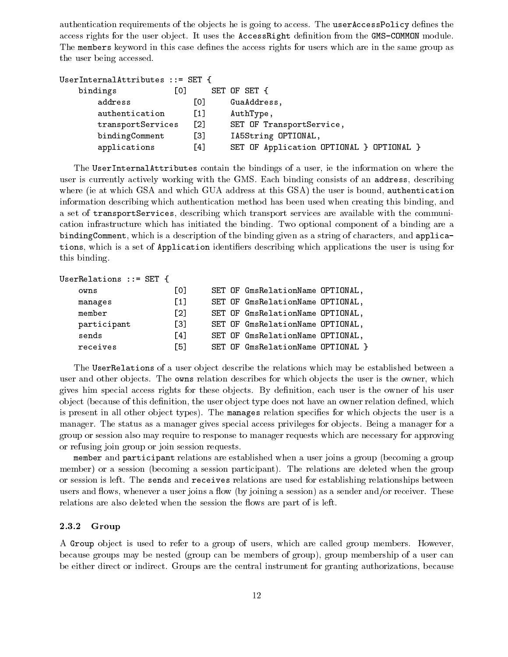authentication requirements of the objects he is going to access. The userAccessPolicy defines the access rights for the user object. It uses the AccessRight definition from the GMS-COMMON module. The members keyword in this case defines the access rights for users which are in the same group as the user being accessed.

| UserInternalAttributes ::= SET |                     |                                        |
|--------------------------------|---------------------|----------------------------------------|
| bindings                       | [0]                 | SET OF SET {                           |
| address                        | L0J                 | GuaAddress,                            |
| authentication                 | $\lceil 1 \rceil$   | AuthType,                              |
| transportServices              | $\lbrack 2 \rbrack$ | SET OF TransportService,               |
| bindingComment                 | [3]                 | IA5String OPTIONAL,                    |
| applications                   | [4]                 | SET OF Application OPTIONAL } OPTIONAL |

The UserInternalAttributes contain the bindings of a user, ie the information on where the user is currently actively working with the GMS. Each binding consists of an address, describing where (ie at which GSA and which GUA address at this GSA) the user is bound, authentication information describing which authentication method has been used when creating this binding, and a set of transportServices, describing which transport services are available with the communication infrastructure which has initiated the binding. Two optional component of a binding are a bindingComment, which is a description of the binding given as a string of characters, and applications, which is a set of Application identifiers describing which applications the user is using for this binding.

```
UserRelations ::= SET {
```

| owns        | L01               | SET OF GmsRelationName OPTIONAL,  |
|-------------|-------------------|-----------------------------------|
| manages     | $\lceil 1 \rceil$ | SET OF GmsRelationName OPTIONAL,  |
| $m$ ember   | $\lceil 2 \rceil$ | SET OF GmsRelationName OPTIONAL,  |
| participant | $\lceil 3 \rceil$ | SET OF GmsRelationName OPTIONAL,  |
| sends       | Γ41               | SET OF GmsRelationName OPTIONAL,  |
| receives    | F51               | SET OF GmsRelationName OPTIONAL } |

The UserRelations of a user object describe the relations which may be established between a user and other objects. The owns relation describes for which objects the user is the owner, which gives him special access rights for these objects. By definition, each user is the owner of his user object (because of this definition, the user object type does not have an owner relation defined, which is present in all other object types). The manages relation specifies for which objects the user is a manager. The status as a manager gives special access privileges for objects. Being a manager for a group or session also may require to response to manager requests which are necessary for approving or refusing join group or join session requests.

member and participant relations are established when a user joins a group (becoming a group member) or a session (becoming a session participant). The relations are deleted when the group or session is left. The sends and receives relations are used for establishing relationships between users and flows, whenever a user joins a flow (by joining a session) as a sender and/or receiver. These relations are also deleted when the session the flows are part of is left.

### 2.3.2 Group

A Group ob ject is used to refer to a group of users, which are called group members. However, because groups may be nested (group can be members of group), group membership of a user can be either direct or indirect. Groups are the central instrument for granting authorizations, because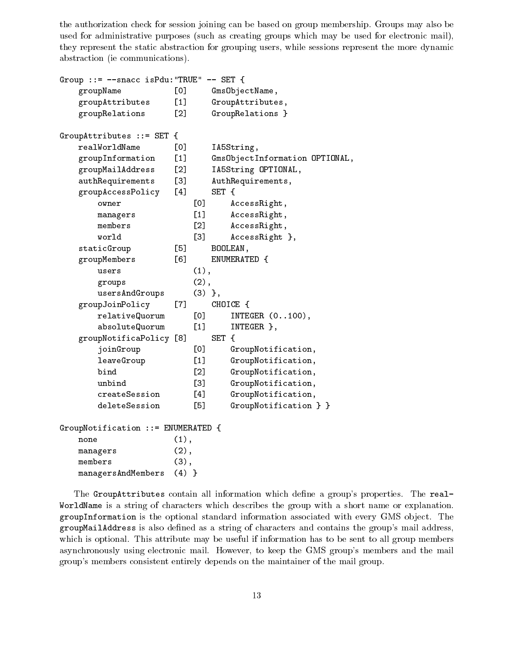the authorization check for session joining can be based on group membership. Groups may also be used for administrative purposes (such as creating groups which may be used for electronic mail), they represent the static abstraction for grouping users, while sessions represent the more dynamic abstraction (ie communications).

```
Group ::= --snacc isPdu:"TRUE" -- SET {
   groupName [0] GmsObjectName,
   groupAttributes [1] GroupAttributes,
   groupRelations [2] GroupRelations }
GroupAttributes ::= SET {
   realWorldName [0] IA5String,
   groupInformation [1] GmsObjectInformation OPTIONAL,
   groupMailAddress [2] IA5String OPTIONAL,
   authRequirements [3] AuthRequirements,
   groupAccessPolicy [4] SET {
      owner [0] AccessRight,
      managers [1] AccessRight,
      members
                     [2] AccessRight,
      world [3] AccessRight },
   staticGroup [5] BOOLEAN,
   groupMembers [6] ENUMERATED {
      users (1),
      groups (2),
      usersAndGroups (3) },
   groupJoinPolicy [7] CHOICE {
      relativeQuorum [0] INTEGER (0..100),
      absoluteQuorum [1] INTEGER },
   groupNotificaPolicy [8] SET {
      joinGroup [0] GroupNotification,
      leaveGroup [1] GroupNotification,
      bind [2] GroupNotification,
      unbind [3] GroupNotification,
      createSession [4] GroupNotification,
      deleteSession [5] GroupNotification } }
GroupNotification ::= ENUMERATED {
   none (1),
   managers (2),
   members (3),
   managersAndMembers (4) }
```
The GroupAttributes contain all information which define a group's properties. The real-WorldName is a string of characters which describes the group with a short name or explanation. groupInformation is the optional standard information associated with every GMS object. The groupMailAddress is also dened asa string of characters and contains the group's mail address, which is optional. This attribute may be useful if information has to be sent to all group members asynchronously using electronic mail. However, to keep the GMS group's members and the mail group's members consistent entirely depends on the maintainer of the mail group.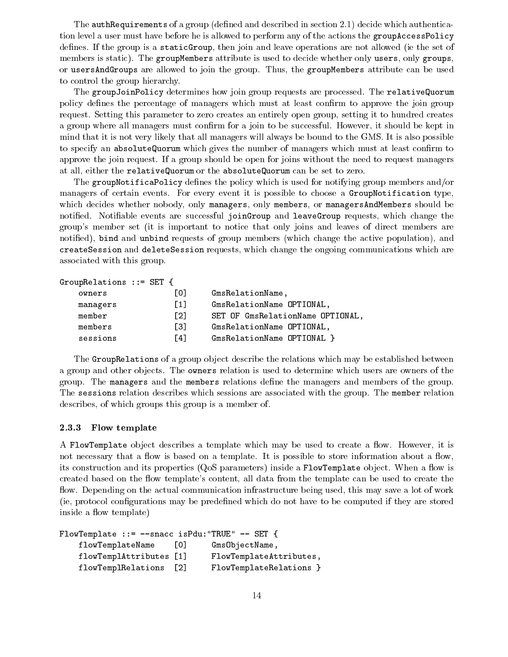The **authRequirements** of a group (defined and described in section 2.1) decide which authentication level a user must have before he is allowed to perform any of the actions the groupAccessPolicy defines. If the group is a static Group, then join and leave operations are not allowed (ie the set of members is static). The groupMembers attribute is used to decide whether only users, only groups, or usersAndGroups are allowed to join the group. Thus, the groupMembers attribute can be used to control the group hierarchy.

The groupJoinPolicy determines how join group requests are processed. The relativeQuorum policy defines the percentage of managers which must at least confirm to approve the join group request. Setting this parameter to zero creates an entirely open group, setting it to hundred creates a group where all managers must confirm for a join to be successful. However, it should be kept in mind that it is not very likely that all managers will always be bound to the GMS. It is also possible to specify an absoluteQuorum which gives the number of managers which must at least confirm to approve the join request. If a group should be open for joins without the need to request managers at all, either the relativeQuorum or the absoluteQuorum can be set to zero.

The groupNotificaPolicy defines the policy which is used for notifying group members and/or managers of certain events. For every event it is possible to choose a GroupNotification type, which decides whether nobody, only managers, only members, or managersAndMembers should be notified. Notifiable events are successful joinGroup and leaveGroup requests, which change the group's member set (it is important to notice that only joins and leaves of direct members are notied), bind and unbind requests of group members (which change the active population), and createSession and deleteSession requests, which change the ongoing communications which are associated with this group.

```
GroupRelations ::= SET {
```

| owners   | LOJ.              | GmsRelationName,                 |
|----------|-------------------|----------------------------------|
| managers | $\lceil 1 \rceil$ | GmsRelationName OPTIONAL,        |
| member   | $\Gamma$ 21       | SET OF GmsRelationName OPTIONAL, |
| members  | <u>ГЗЛ</u>        | GmsRelationName OPTIONAL,        |
| sessions | F41               | GmsRelationName OPTIONAL }       |

The GroupRelations of a group object describe the relations which may be established between a group and other objects. The **owners** relation is used to determine which users are owners of the group. The managers and the members relations define the managers and members of the group. The sessions relation describes which sessions are associated with the group. The member relation describes, of which groups this group is a member of.

#### 2.3.3 Flow template

A FlowTemplate object describes a template which may be used to create a flow. However, it is not necessary that a flow is based on a template. It is possible to store information about a flow, its construction and its properties  $(QoS$  parameters) inside a FlowTemplate object. When a flow is created based on the flow template's content, all data from the template can be used to create the flow. Depending on the actual communication infrastructure being used, this may save a lot of work (ie, protocol congurations may be predened which do not have to be computed if they are stored inside a flow template)

```
FlowTemplate ::= --snacc isPdu:"TRUE" -- SET {
   flowTemplateName [0] GmsObjectName,
   flowTemplAttributes [1] FlowTemplateAttributes,
   flowTemplRelations [2] FlowTemplateRelations }
```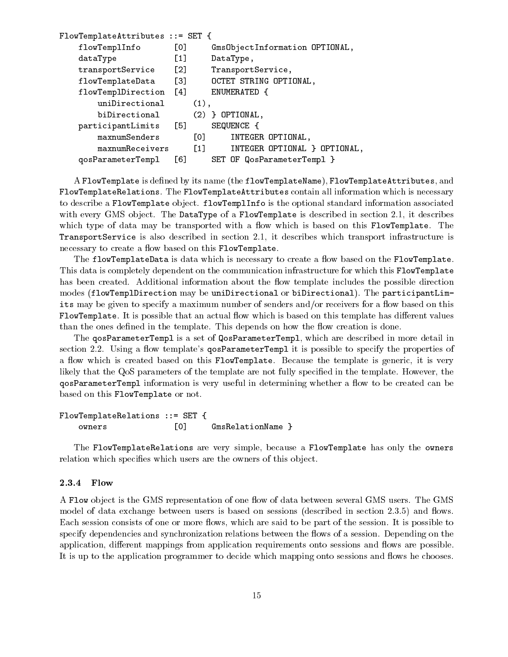```
FlowTemplateAttributes ::= SET {
   flowTemplInfo [0] GmsObjectInformation OPTIONAL,
   dataType [1] DataType,
   transportService [2] TransportService,
   flowTemplateData [3] OCTET STRING OPTIONAL,
   flowTemplDirection [4] ENUMERATED {
      uniDirectional (1),
      biDirectional (2) } OPTIONAL,
   participantLimits [5] SEQUENCE {
      maxnumSenders [0] INTEGER OPTIONAL,
      maxnumReceivers [1] INTEGER OPTIONAL } OPTIONAL,
   qosParameterTempl [6] SET OF QosParameterTempl }
```
A FlowTemplate is defined by its name (the flowTemplateName), FlowTemplateAttributes, and FlowTemplateRelations. The FlowTemplateAttributes contain all information which is necessary to describe a FlowTemplate object. flowTemplInfo is the optional standard information associated with every GMS object. The DataType of a FlowTemplate is described in section 2.1, it describes which type of data may be transported with a flow which is based on this FlowTemplate. The TransportService is also described in section 2.1, it describes which transport infrastructure is necessary to create a flow based on this FlowTemplate.

The flowTemplateData is data which is necessary to create a flow based on the FlowTemplate. This data is completely dependent on the communication infrastructure for which this FlowTemplate has been created. Additional information about the flow template includes the possible direction modes (flowTemplDirection may be uniDirectional or biDirectional). The participantLimits may be given to specify a maximum number of senders and/or receivers for a flow based on this FlowTemplate. It is possible that an actual flow which is based on this template has different values than the ones defined in the template. This depends on how the flow creation is done.

The qosParameterTempl is a set of QosParameterTempl, which are described in more detail in section 2.2. Using a flow template's **qosParameterTempl** it is possible to specify the properties of a flow which is created based on this FlowTemplate. Because the template is generic, it is very likely that the QoS parameters of the template are not fully specied in the template. However, the qosParameterTempl information is very useful in determining whether a flow to be created can be based on this FlowTemplate or not.

```
FlowTemplateRelations ::= SET {
   owners [0] GmsRelationName }
```
The FlowTemplateRelations are very simple, because a FlowTemplate has only the owners relation which specifies which users are the owners of this object.

#### 2.3.4 Flow

A Flow object is the GMS representation of one flow of data between several GMS users. The GMS model of data exchange between users is based on sessions (described in section 2.3.5) and flows. Each session consists of one or more flows, which are said to be part of the session. It is possible to specify dependencies and synchronization relations between the flows of a session. Depending on the application, different mappings from application requirements onto sessions and flows are possible. It is up to the application programmer to decide which mapping onto sessions and flows he chooses.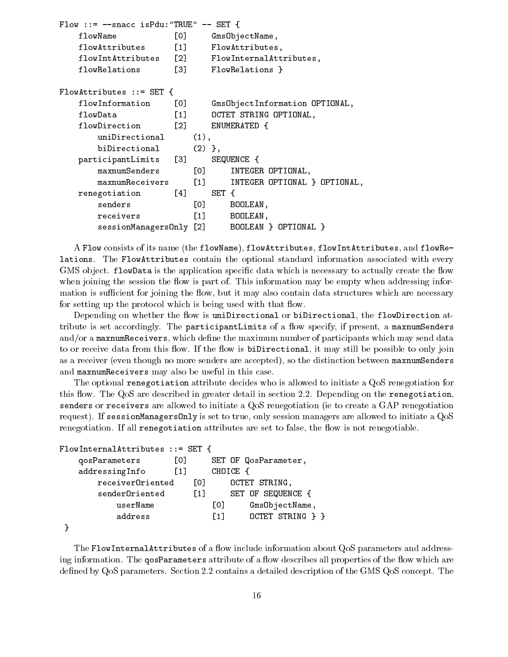```
Flow ::= --space isPdu:"TRUE" -- SET {
   flowName [0] GmsObjectName,
   flowAttributes [1] FlowAttributes,
   flowIntAttributes [2] FlowInternalAttributes,
   flowRelations [3] FlowRelations }
FlowAttributes ::= SET {
   flowInformation [0] GmsObjectInformation OPTIONAL,
   flowData [1] OCTET STRING OPTIONAL,
   flowDirection [2] ENUMERATED {
       uniDirectional (1),
       biDirectional (2) },
   participantLimits [3] SEQUENCE {
       maxnumSenders
                          [0] INTEGER OPTIONAL,
       maxnumReceivers
                          [1] INTEGER OPTIONAL } OPTIONAL,
   renegotiation [4] SET {
       senders [0] BOOLEAN,
       receivers in the contract of the contract of the contract of the contract of the contract of the contract of t
       sessionManagersOnly [2] BOOLEAN } OPTIONAL }
```
A Flow consists of its name (the flowName), flowAttributes, flowIntAttributes, and flowRelations. The FlowAttributes contain the optional standard information associated with every GMS object. flowData is the application specific data which is necessary to actually create the flow when joining the session the flow is part of. This information may be empty when addressing information is sufficient for joining the flow, but it may also contain data structures which are necessary for setting up the protocol which is being used with that flow.

Depending on whether the flow is uniDirectional or biDirectional, the flowDirection attribute is set accordingly. The participantLimits of a flow specify, if present, a maxnumSenders and/or a maxnumReceivers, which define the maximum number of participants which may send data to or receive data from this flow. If the flow is biDirectional, it may still be possible to only join as a receiver (even though no more senders are accepted), so the distinction between maxnumSenders and maxnumReceivers may also be useful in this case.

The optional renegotiation attribute decides who is allowed to initiate a QoS renegotiation for this flow. The QoS are described in greater detail in section 2.2. Depending on the renegotiation, senders or receivers are allowed to initiate a QoS renegotiation (ie to create a GAP renegotiation request). If sessionManagersOnly is set to true, only session managers are allowed to initiate a QoS renegotiation. If all renegotiation attributes are set to false, the flow is not renegotiable.

```
FlowInternalAttributes ::= SET {
   qosParameters [0] SET OF QosParameter,
   addressingInfo [1] CHOICE {
      receiverOriented [0] OCTET STRING,
      senderOriented [1] SET OF SEQUENCE {
         userName [0] GmsObjectName,
         address [1] OCTET STRING } }
}
```
The FlowInternalAttributes of a flow include information about QoS parameters and addressing information. The **qosParameters** attribute of a flow describes all properties of the flow which are defined by QoS parameters. Section 2.2 contains a detailed description of the GMS QoS concept. The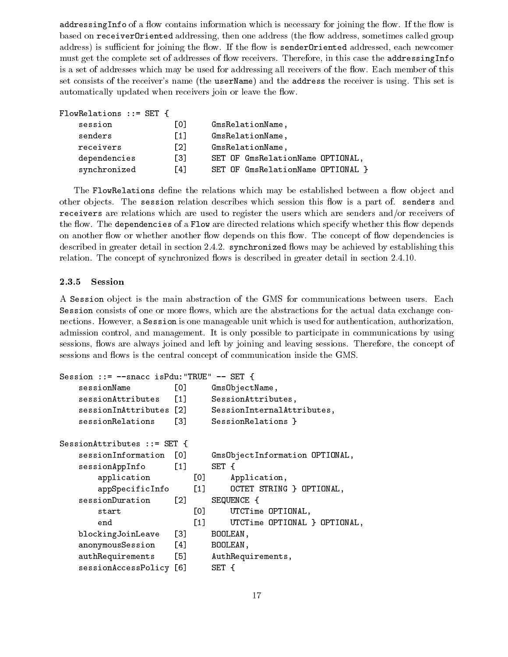addressing Info of a flow contains information which is necessary for joining the flow. If the flow is based on receiver0riented addressing, then one address (the flow address, sometimes called group address) is sufficient for joining the flow. If the flow is senderOriented addressed, each newcomer must get the complete set of addresses of flow receivers. Therefore, in this case the addressingInfo is a set of addresses which may be used for addressing all receivers of the flow. Each member of this set consists of the receiver's name (the userName) and the address the receiver is using. This set is automatically updated when receivers join or leave the flow.

| FlowRelations $::=$ SET { |                   |                                   |
|---------------------------|-------------------|-----------------------------------|
| session                   | [0]               | GmsRelationName,                  |
| senders                   | $\lceil 1 \rceil$ | GmsRelationName,                  |
| receivers                 | [2]               | GmsRelationName,                  |
| dependencies              | Г31               | SET OF GmsRelationName OPTIONAL,  |
| synchronized              | F41               | SET OF GmsRelationName OPTIONAL } |

The FlowRelations define the relations which may be established between a flow object and other objects. The session relation describes which session this flow is a part of. senders and receivers are relations which are used to register the users which are senders and/or receivers of the flow. The dependencies of a Flow are directed relations which specify whether this flow depends on another flow or whether another flow depends on this flow. The concept of flow dependencies is described in greater detail in section 2.4.2. synchronized flows may be achieved by establishing this relation. The concept of synchronized flows is described in greater detail in section 2.4.10.

#### 2.3.5 Session

A Session ob ject is the main abstraction of the GMS for communications between users. Each Session consists of one or more flows, which are the abstractions for the actual data exchange connections. However, a Session is one manageable unit which is used for authentication, authorization, admission control, and management. It is only possible to participate in communications by using sessions, flows are always joined and left by joining and leaving sessions. Therefore, the concept of sessions and flows is the central concept of communication inside the GMS.

```
Session ::= --snacc isPdu:"TRUE" -- SET {
   sessionName [0] GmsObjectName,
   sessionAttributes [1] SessionAttributes,
   sessionInAttributes [2] SessionInternalAttributes,
   sessionRelations [3] SessionRelations }
SessionAttributes ::= SET {
   sessionInformation [0] GmsObjectInformation OPTIONAL,
   sessionAppInfo [1] SET {
      application [0] Application,
      appSpecificInfo [1] OCTET STRING } OPTIONAL,
   sessionDuration [2] SEQUENCE {
      start [0] UTCTime OPTIONAL,
      end [1] UTCTime OPTIONAL } OPTIONAL,
   blockingJoinLeave [3] BOOLEAN,
   anonymousSession [4] BOOLEAN,
   authRequirements [5] AuthRequirements,
   sessionAccessPolicy [6] SET {
```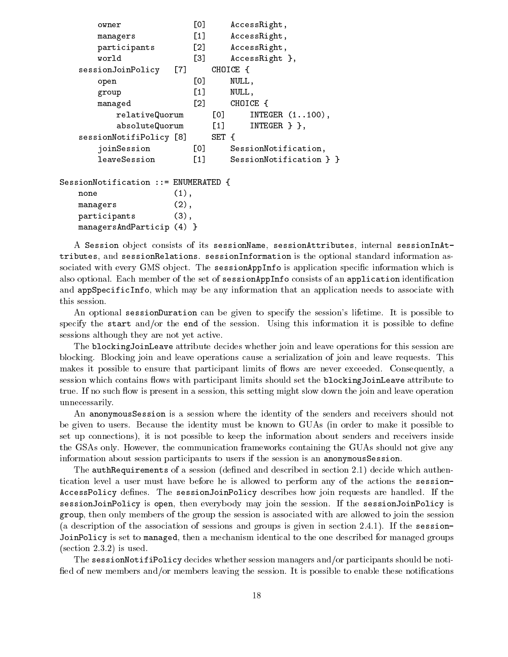```
owner
                     [0] AccessRight,
      managers [1] AccessRight,
      participants [2] AccessRight,
      world [3] AccessRight },
   sessionJoinPolicy [7] CHOICE {
      open [0] NULL,
     group [1] NULL,
     managed [2] CHOICE {
         relativeQuorum [0] INTEGER (1..100),
         absoluteQuorum [1] INTEGER } },
   sessionNotifiPolicy [8] SET {
      joinSession [0] SessionNotification,
      leaveSession [1] SessionNotification } }
SessionNotification ::= ENUMERATED {
  none
                  (1),managers (2),
   participants (3),
   managersAndParticip (4) }
```
A Session object consists of its sessionName, sessionAttributes, internal sessionInAttributes, and sessionRelations. sessionInformation is the optional standard information associated with every GMS object. The sessionAppInfo is application specific information which is also optional. Each member of the set of sessionAppInfo consists of an application identification and appSpecificInfo, which may be any information that an application needs to associate with this session.

An optional sessionDuration can be given to specify the session's lifetime. It is possible to specify the start and/or the end of the session. Using this information it is possible to define sessions although they are not yet active.

The blockingJoinLeave attribute decides whether join and leave operations for this session are blocking. Blocking join and leave operations cause a serialization of join and leave requests. This makes it possible to ensure that participant limits of flows are never exceeded. Consequently, a session which contains flows with participant limits should set the blockingJoinLeave attribute to true. If no such flow is present in a session, this setting might slow down the join and leave operation unnecessarily.

An anonymousSession is a session where the identity of the senders and receivers should not be given to users. Because the identity must be known to GUAs (in order to make it possible to set up connections), it is not possible to keep the information about senders and receivers inside the GSAs only. However, the communication frameworks containing the GUAs should not give any information about session participants to users if the session is an anonymousSession.

The authRequirements of a session (defined and described in section 2.1) decide which authentication level a user must have before he is allowed to perform any of the actions the session-AccessPolicy defines. The sessionJoinPolicy describes how join requests are handled. If the sessionJoinPolicy is open, then everybody may join the session. If the sessionJoinPolicy is group, then only members of the group the session is associated with are allowed to join the session (a description of the association of sessions and groups is given in section 2.4.1). If the session-JoinPolicy is set to managed, then a mechanism identical to the one described for managed groups (section 2.3.2) is used.

The sessionNotifiPolicy decides whether session managers and/or participants should be notified of new members and/or members leaving the session. It is possible to enable these notifications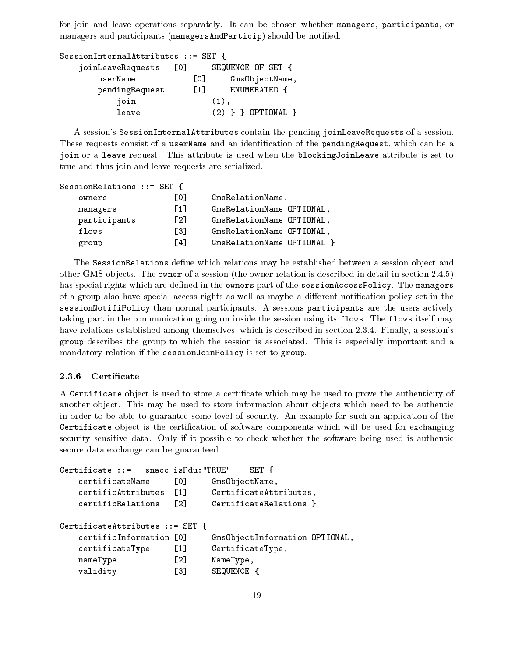for join and leave operations separately. It can be chosen whether managers, participants, or managers and participants (managersAndParticip) should be notied.

| SessionInternalAttributes ::= SET { |                   |                      |  |
|-------------------------------------|-------------------|----------------------|--|
| joinLeaveRequests                   | ा०ा               | SEQUENCE OF SET {    |  |
| userName                            | L0J               | GmsObjectName,       |  |
| pendingRequest                      | $\lceil 1 \rceil$ | ENUMERATED {         |  |
| join                                |                   | $(1)$ ,              |  |
| leave                               |                   | $(2)$ } } OPTIONAL } |  |

A session's SessionInternalAttributes contain the pending joinLeaveRequests of a session. These requests consist of a userName and an identification of the pendingRequest, which can be a join or a leave request. This attribute is used when the blockingJoinLeave attribute is set to true and thus join and leave requests are serialized.

```
SessionRelations ::= SET {
```

| owners       | L0J               | GmsRelationName,           |
|--------------|-------------------|----------------------------|
| managers     | F11               | GmsRelationName OPTIONAL,  |
| participants | $\lceil 2 \rceil$ | GmsRelationName OPTIONAL,  |
| flows        | Г31               | GmsRelationName OPTIONAL,  |
| group        | ٢4٦               | GmsRelationName OPTIONAL } |

The SessionRelations define which relations may be established between a session object and other GMS objects. The owner of a session (the owner relation is described in detail in section 2.4.5) has special rights which are defined in the owners part of the sessionAccessPolicy. The managers of a group also have special access rights as well as maybe a different notification policy set in the sessionNotifiPolicy than normal participants. A sessions participants are the users actively taking part in the communication going on inside the session using its flows. The flows itself may have relations established among themselves, which is described in section 2.3.4. Finally, a session's group describes the group to which the session is associated. This is especially important and a mandatory relation if the sessionJoinPolicy is set to group.

### 2.3.6 Certificate

A Certificate object is used to store a certificate which may be used to prove the authenticity of another object. This may be used to store information about objects which need to be authentic in order to be able to guarantee some level of security. An example for such an application of the Certificate object is the certification of software components which will be used for exchanging security sensitive data. Only if it possible to check whether the software being used is authentic secure data exchange can be guaranteed.

```
Certificate ::= --snacc isPdu:"TRUE" -- SET {
   certificateName [0] GmsObjectName,
   certificAttributes [1] CertificateAttributes,
   certificRelations
                      \lceil 2 \rceilCertificateRelations }
    certificateRelations 2 CertificateRelations 2 CertificateRelations 2CertificateAttributes ::= SET {
   certificInformation [0] GmsObjectInformation OPTIONAL,
   certificateType [1] CertificateType,
   nameType [2] NameType,
   validity [3] SEQUENCE {
```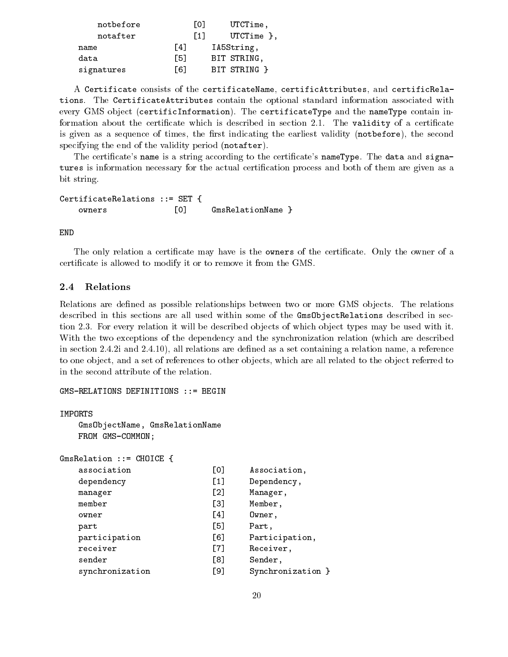| notbefore  |     | LOJ               | UTCTime,       |
|------------|-----|-------------------|----------------|
| notafter   |     | $\lceil 1 \rceil$ | UTCTime $\}$ , |
| name       | F41 |                   | IA5String,     |
| data       | [5] |                   | BIT STRING.    |
| signatures | Г61 |                   | BIT STRING }   |

A Certificate consists of the certificateName, certificAttributes, and certificRelations. The CertificateAttributes contain the optional standard information associated with every GMS object (certificInformation). The certificateType and the nameType contain information about the certificate which is described in section 2.1. The validity of a certificate is given as a sequence of times, the first indicating the earliest validity (notbefore), the second specifying the end of the validity period (notafter).

The certificate's name is a string according to the certificate's nameType. The data and signatures is information necessary for the actual certification process and both of them are given as a bit string.

CertificateRelations ::= SET { owners [0] GmsRelationName }

**END** 

The only relation a certificate may have is the **owners** of the certificate. Only the owner of a certicate is allowed to modify it or to remove it from the GMS.

#### $2.4$ Relations

Relations are defined as possible relationships between two or more GMS objects. The relations described in this sections are all used within some of the GmsObjectRelations described in section 2.3. For every relation it will be described objects of which object types may be used with it. With the two exceptions of the dependency and the synchronization relation (which are described in section 2.4.2i and 2.4.10), all relations are defined as a set containing a relation name, a reference to one object, and a set of references to other objects, which are all related to the object referred to in the second attribute of the relation.

```
GMS-RELATIONS DEFINITIONS ::= BEGIN
```

```
IMPORTS
    GmsObjectName, GmsRelationName
    FROM GMS-COMMON;
```

```
GmsRelation ::= CHOICE {
       association [0] Association,
       dependency [1] Dependency,
       manager [2] Manager,
       member
                                                          \sqrt{31}Member.
       member [3] Member, and the contract of the contract of the contract of the contract of the contract of the contract of the contract of the contract of the contract of the contract of the contract of the contract of the con
       owner
                                                          \lceil 4 \rceilowner [4] Owner, and the contract of the contract of the contract of the contract of the contract of the contract of the contract of the contract of the contract of the contract of the contract of the contract of the contr
                                                          F51part is a set of the contract of the contract of the contract of the contract of the contract of the contract o
       participation [6] Participation,
       receiver and a receiver and a receiver of the centre of the centre of the centre of the centre of the centre o
       sender
       sender (8) Sender (8) Sender (8) Sender (8) Sender (8) Sender (8) Sender (8) Sender (8) Sender (8) Sender (8) 
       synchronization [9] Synchronization }
```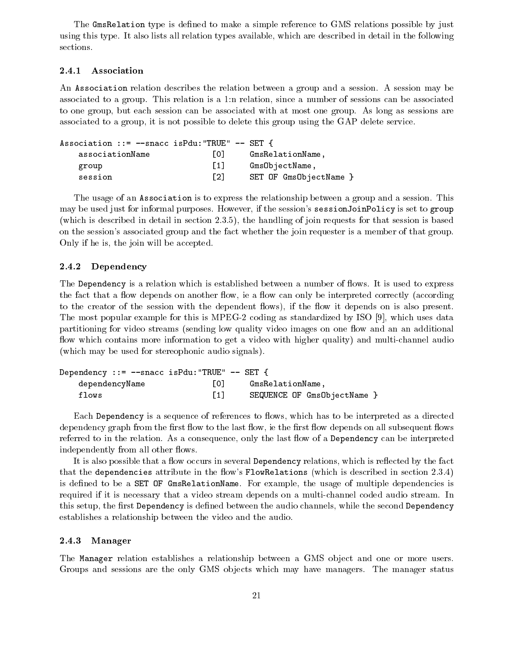The GmsRelation type is defined to make a simple reference to GMS relations possible by just using this type. It also lists all relation types available, which are described in detail in the following sections.

#### 2.4.1 Association

An Association relation describes the relation between a group and a session. A session may be associated to a group. This relation is a 1:n relation, since a number of sessions can be associated to one group, but each session can be associated with at most one group. As long as sessions are associated to a group, it is not possible to delete this group using the GAP delete service.

| Association ::= $-\text{space}$ is Pdu: "TRUE" $-\text{SET}$ { |                   |                        |
|----------------------------------------------------------------|-------------------|------------------------|
| associationName                                                | LOJ.              | GmsRelationName,       |
| group                                                          | $\lceil 1 \rceil$ | GmsObjectName,         |
| session                                                        | $\lceil 2 \rceil$ | SET OF GmsObjectName } |

The usage of an Association is to express the relationship between a group and a session. This may be used just for informal purposes. However, if the session's sessionJoinPolicy is set to group (which is described in detail in section 2.3.5), the handling of join requests for that session is based on the session's associated group and the fact whether the join requester is a member of that group. Only if he is, the join will be accepted.

#### 2.4.2 Dependency

The Dependency is a relation which is established between a number of flows. It is used to express the fact that a flow depends on another flow, ie a flow can only be interpreted correctly (according to the creator of the session with the dependent flows), if the flow it depends on is also present. The most popular example for this is MPEG-2 coding as standardized by ISO [9], which uses data partitioning for video streams (sending low quality video images on one flow and an an additional flow which contains more information to get a video with higher quality) and multi-channel audio (which may be used for stereophonic audio signals).

| Dependency ::= $--$ snacc isPdu: "TRUE" $--$ SET { |     |                             |
|----------------------------------------------------|-----|-----------------------------|
| dependencyName                                     | 101 | GmsRelationName.            |
| flows                                              |     | SEQUENCE OF GmsObjectName } |

Each Dependency is a sequence of references to flows, which has to be interpreted as a directed dependency graph from the first flow to the last flow, ie the first flow depends on all subsequent flows referred to in the relation. As a consequence, only the last flow of a Dependency can be interpreted independently from all other flows.

It is also possible that a flow occurs in several Dependency relations, which is reflected by the fact that the dependencies attribute in the flow's FlowRelations (which is described in section 2.3.4) is defined to be a SET OF GmsRelationName. For example, the usage of multiple dependencies is required if it is necessary that a video stream depends on a multi-channel coded audio stream. In this setup, the first Dependency is defined between the audio channels, while the second Dependency establishes a relationship between the video and the audio.

#### 2.4.3 Manager

The Manager relation establishes a relationship between a GMS object and one or more users. Groups and sessions are the only GMS objects which may have managers. The manager status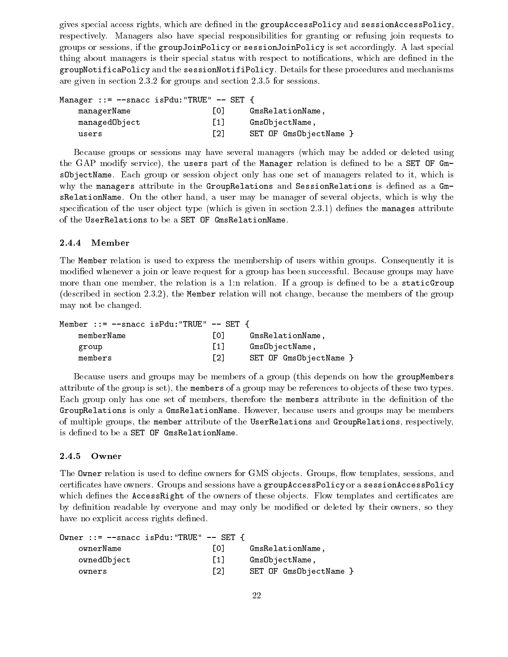gives special access rights, which are dened in the groupAccessPolicy and sessionAccessPolicy, respectively. Managers also have special responsibilities for granting or refusing join requests to groups or sessions, if the groupJoinPolicy or sessionJoinPolicy is set accordingly. A last special thing about managers is their special status with respect to notications, which are dened in the groupNotificaPolicy and the sessionNotifiPolicy. Details for these procedures and mechanisms are given in section 2.3.2 for groups and section 2.3.5 for sessions.

| Manager ::= $--$ snacc isPdu: "TRUE" $--$ SET { |                   |                      |
|-------------------------------------------------|-------------------|----------------------|
| managerName                                     | L01               | GmsRelationName,     |
| managedObject                                   | $\lceil 1 \rceil$ | GmsObjectName,       |
| users                                           | F21               | SET OF GmsObjectName |

Because groups or sessions may have several managers (which may be added or deleted using the GAP modify service), the users part of the Manager relation is defined to be a SET OF GmsObjectName. Each group or session object only has one set of managers related to it, which is why the managers attribute in the GroupRelations and SessionRelations is defined as a  $Gm$ sRelationName. On the other hand, a user may be manager of several objects, which is why the specification of the user object type (which is given in section  $2.3.1$ ) defines the manages attribute of the UserRelations to be a SET OF GmsRelationName.

### 2.4.4 Member

The Member relation is used to express the membership of users within groups. Consequently it is modied whenever a join or leave request for a group has been successful. Because groups may have more than one member, the relation is a 1:n relation. If a group is defined to be a staticGroup (described in section 2.3.2), the Member relation will not change, because the members of the group may not be changed.

| Member ::= $-\text{space}$ is Pdu: "TRUE" $-\text{SET}$ { |                   |                      |
|-----------------------------------------------------------|-------------------|----------------------|
| memberName                                                | 10 I              | GmsRelationName.     |
| group                                                     | $\lceil 1 \rceil$ | GmsObjectName,       |
| members                                                   | $\lceil 2 \rceil$ | SET OF GmsObjectName |

Because users and groups may be members of a group (this depends on how the groupMembers attribute of the group is set), the members of a group may be references to ob jects of these two types. Each group only has one set of members, therefore the members attribute in the definition of the GroupRelations is only a GmsRelationName. However, because users and groups may be members of multiple groups, the member attribute of the UserRelations and GroupRelations, respectively, is defined to be a SET OF GmsRelationName.

### 2.4.5 Owner

The **Owner** relation is used to define owners for GMS objects. Groups, flow templates, sessions, and certicates have owners. Groups and sessions have a groupAccessPolicy or a sessionAccessPolicy which defines the AccessRight of the owners of these objects. Flow templates and certificates are by definition readable by everyone and may only be modified or deleted by their owners, so they have no explicit access rights defined.

| Owner ::= $-\text{space}$ is Pdu: "TRUE" $-\text{SET}$ { |                   |                      |
|----------------------------------------------------------|-------------------|----------------------|
| ownerName                                                | 101               | GmsRelationName.     |
| ownedObject                                              | $\lceil 1 \rceil$ | GmsObjectName,       |
| owners                                                   | $\lceil 2 \rceil$ | SET OF GmsObjectName |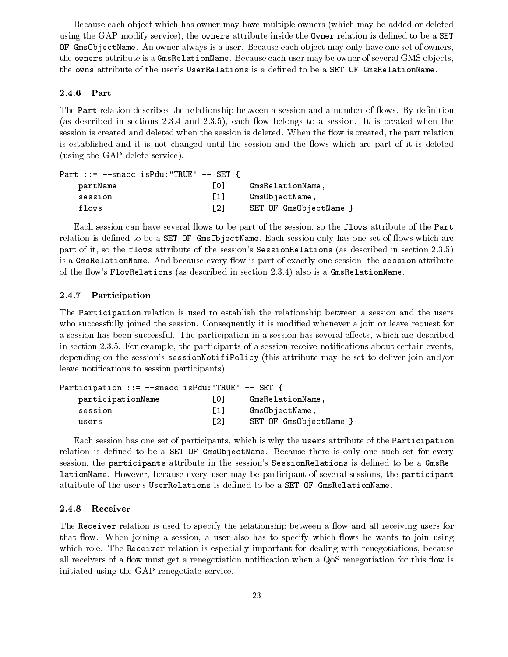Because each object which has owner may have multiple owners (which may be added or deleted using the GAP modify service), the owners attribute inside the Owner relation is defined to be a SET OF GmsObjectName. An owner always is a user. Because each ob ject may only have one set of owners, the owners attribute is a GmsRelationName. Because each user may be owner of several GMS objects, the owns attribute of the user's UserRelations is a defined to be a SET OF GmsRelationName.

#### 2.4.6 Part

The Part relation describes the relationship between a session and a number of flows. By definition (as described in sections  $2.3.4$  and  $2.3.5$ ), each flow belongs to a session. It is created when the session is created and deleted when the session is deleted. When the flow is created, the part relation is established and it is not changed until the session and the flows which are part of it is deleted (using the GAP delete service).

| Part ::= $-\text{space}$ is Pdu: "TRUE" $-\text{SET}$ { |                                           |  |
|---------------------------------------------------------|-------------------------------------------|--|
| partName                                                | 10 L<br>GmsRelationName,                  |  |
| session                                                 | $\lceil 1 \rceil$<br>GmsObjectName,       |  |
| flows                                                   | $\lceil 2 \rceil$<br>SET OF GmsObjectName |  |

Each session can have several flows to be part of the session, so the flows attribute of the Part relation is defined to be a **SET OF GmsObjectName**. Each session only has one set of flows which are part of it, so the flows attribute of the session's SessionRelations (as described in section 2.3.5) is a GmsRelationName. And because every flow is part of exactly one session, the session attribute of the flow's FlowRelations (as described in section 2.3.4) also is a GmsRelationName.

#### 2.4.7 Participation

The Participation relation is used to establish the relationship between a session and the users who successfully joined the session. Consequently it is modified whenever a join or leave request for a session has been successful. The participation in a session has several effects, which are described in section 2.3.5. For example, the participants of a session receive notifications about certain events, depending on the session's sessionNotifiPolicy (this attribute may be set to deliver join and/or leave notifications to session participants).

| Participation ::= $--$ snacc isPdu:"TRUE" $--$ SET { |                   |                      |
|------------------------------------------------------|-------------------|----------------------|
| participationName                                    | L0J               | GmsRelationName.     |
| session                                              | $\lceil 1 \rceil$ | GmsObjectName,       |
| users                                                | $\lceil 2 \rceil$ | SET OF GmsObjectName |

Each session has one set of participants, which is why the users attribute of the Participation relation is defined to be a SET OF Gms0bjectName. Because there is only one such set for every session, the participants attribute in the session's SessionRelations is defined to be a GmsRelationName. However, because every user may be participant of several sessions, the participant attribute of the user's UserRelations is dened to be a SET OF GmsRelationName.

#### 2.4.8 Receiver

The Receiver relation is used to specify the relationship between a flow and all receiving users for that flow. When joining a session, a user also has to specify which flows he wants to join using which role. The Receiver relation is especially important for dealing with renegotiations, because all receivers of a flow must get a renegotiation notification when a QoS renegotiation for this flow is initiated using the GAP renegotiate service.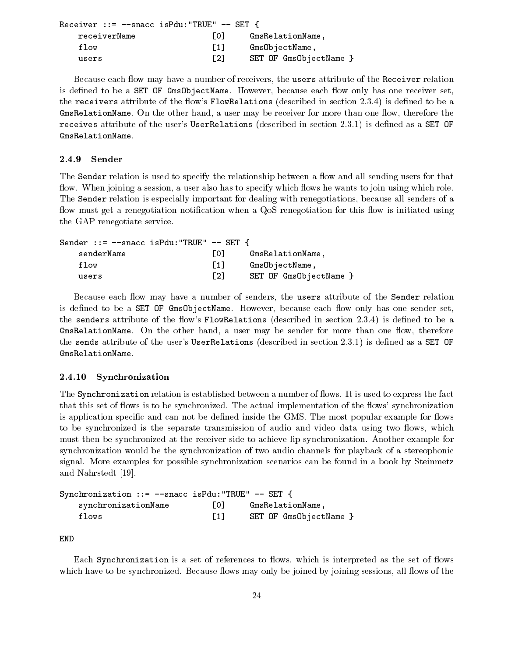```
Receiver ::= -snacc isPdu: "TRUE" -- SET {
   receiverName [0] GmsRelationName,
   flow \begin{bmatrix} 1 \end{bmatrix} Gms0bjectName,
   users [2] SET OF GmsObjectName }
```
Because each flow may have a number of receivers, the users attribute of the Receiver relation is defined to be a SET OF GmsObjectName. However, because each flow only has one receiver set, the receivers attribute of the flow's FlowRelations (described in section 2.3.4) is defined to be a GmsRelationName. On the other hand, a user may be receiver for more than one flow, therefore the receives attribute of the user's UserRelations (described in section 2.3.1) is defined as a SET OF GmsRelationName.

#### 2.4.9 Sender

The Sender relation is used to specify the relationship between a flow and all sending users for that flow. When joining a session, a user also has to specify which flows he wants to join using which role. The Sender relation is especially important for dealing with renegotiations, because all senders of a flow must get a renegotiation notification when a QoS renegotiation for this flow is initiated using the GAP renegotiate service.

| Sender ::= $-\text{space}$ is Pdu: "TRUE" $-\text{SET}$ { |                   |                        |
|-----------------------------------------------------------|-------------------|------------------------|
| senderName                                                | 10 L              | GmsRelationName,       |
| flow                                                      | $\lceil 1 \rceil$ | GmsObjectName,         |
| users                                                     | $\lceil 2 \rceil$ | SET OF GmsObjectName } |

Because each flow may have a number of senders, the users attribute of the Sender relation is defined to be a **SET OF GmsObjectName**. However, because each flow only has one sender set, the senders attribute of the flow's FlowRelations (described in section 2.3.4) is defined to be a GmsRelationName. On the other hand, a user may be sender for more than one flow, therefore the sends attribute of the user's UserRelations (described in section  $(2.3.1)$ ) is defined as a SET OF GmsRelationName.

#### 2.4.10 Synchronization

The Synchronization relation is established between a number of flows. It is used to express the fact that this set of flows is to be synchronized. The actual implementation of the flows' synchronization is application specific and can not be defined inside the GMS. The most popular example for flows to be synchronized is the separate transmission of audio and video data using two flows, which must then be synchronized at the receiver side to achieve lip synchronization. Another example for synchronization would be the synchronization of two audio channels for playback of a stereophonic signal. More examples for possible synchronization scenarios can be found in a book by Steinmetz and Nahrstedt [19].

| Synchronization ::= $--$ snacc isPdu: "TRUE" $--$ SET { |                   |                        |
|---------------------------------------------------------|-------------------|------------------------|
| synchronizationName                                     | TO T              | GmsRelationName.       |
| flows                                                   | $\lceil 1 \rceil$ | SET OF GmsObjectName } |

END

Each Synchronization is a set of references to flows, which is interpreted as the set of flows which have to be synchronized. Because flows may only be joined by joining sessions, all flows of the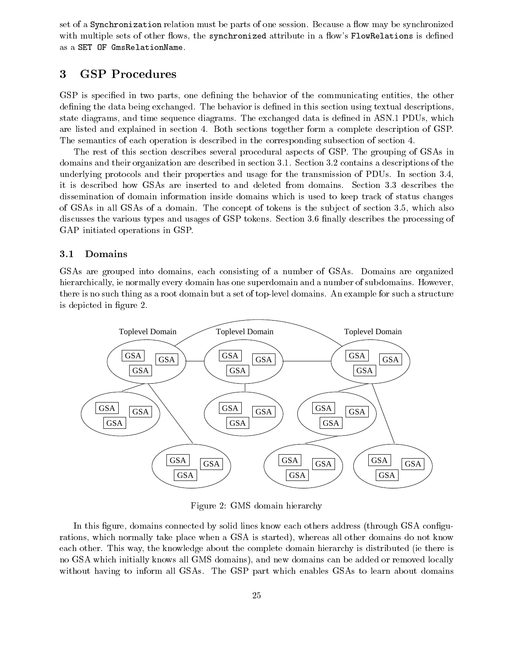set of a Synchronization relation must be parts of one session. Because a flow may be synchronized with multiple sets of other flows, the synchronized attribute in a flow's FlowRelations is defined as a SET OF GmsRelationName.

# <sup>3</sup> GSP Procedures

GSP is specified in two parts, one defining the behavior of the communicating entities, the other defining the data being exchanged. The behavior is defined in this section using textual descriptions. state diagrams, and time sequence diagrams. The exchanged data is defined in ASN.1 PDUs, which are listed and explained in section 4. Both sections together form a complete description of GSP. The semantics of each operation is described in the corresponding subsection of section 4.

The rest of this section describes several procedural aspects of GSP. The grouping of GSAs in domains and their organization are described in section 3.1. Section 3.2 contains a descriptions of the underlying protocols and their properties and usage for the transmission of PDUs. In section 3.4, it is described how GSAs are inserted to and deleted from domains. Section 3.3 describes the dissemination of domain information inside domains which is used to keep track of status changes of GSAs in all GSAs of a domain. The concept of tokens is the sub ject of section 3.5, which also discusses the various types and usages of GSP tokens. Section 3.6 finally describes the processing of GAP initiated operations in GSP.

### 3.1 Domains

GSAs are grouped into domains, each consisting of a number of GSAs. Domains are organized hierarchically, ie normally every domain has one superdomain and a number of subdomains. However, there is no such thing as a root domain but a set of top-level domains. An example for such a structure is depicted in figure 2.



Figure 2: GMS domain hierarchy

In this figure, domains connected by solid lines know each others address (through GSA configurations, which normally take place when a GSA is started), whereas all other domains do not know each other. This way, the knowledge about the complete domain hierarchy is distributed (ie there is no GSA which initially knows all GMS domains), and new domains can be added or removed locally without having to inform all GSAs. The GSP part which enables GSAs to learn about domains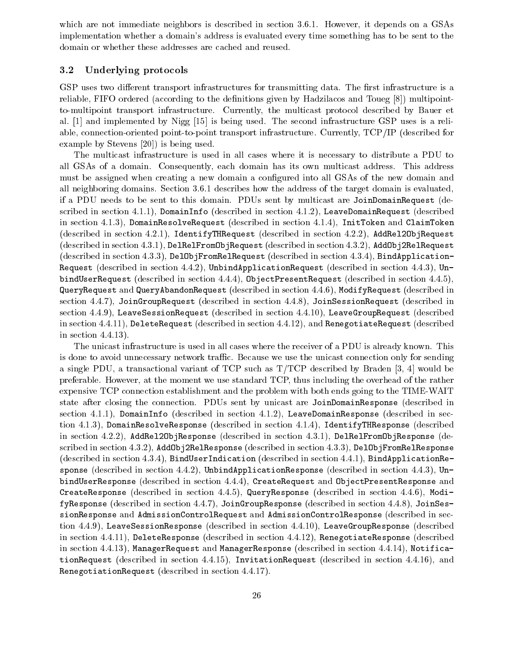which are not immediate neighbors is described in section 3.6.1. However, it depends on a GSAs implementation whether a domain's address is evaluated every time something has to be sent to the domain or whether these addresses are cached and reused.

#### 3.2 Underlying protocols

GSP uses two different transport infrastructures for transmitting data. The first infrastructure is a reliable, FIFO ordered (according to the definitions given by Hadzilacos and Toueg  $[8]$ ) multipointto-multipoint transport infrastructure. Currently, the multicast protocol described by Bauer et al. [1] and implemented by Nigg [15] is being used. The second infrastructure GSP uses is a reliable, connection-oriented point-to-point transport infrastructure. Currently, TCP/IP (described for example by Stevens [20]) is being used.

The multicast infrastructure is used in all cases where it is necessary to distribute a PDU to all GSAs of a domain. Consequently, each domain has its own multicast address. This address must be assigned when creating a new domain a configured into all GSAs of the new domain and all neighboring domains. Section 3.6.1 describes how the address of the target domain is evaluated, if a PDU needs to be sent to this domain. PDUs sent by multicast are JoinDomainRequest (described in section 4.1.1), DomainInfo (described in section 4.1.2), LeaveDomainRequest (described in section 4.1.3), DomainResolveRequest (described in section 4.1.4), InitToken and ClaimToken (described in section 4.2.1), IdentifyTHRequest (described in section 4.2.2), AddRel2ObjRequest (described in section 4.3.1), DelRelFromObjRequest (described in section 4.3.2), AddObj2RelRequest (described in section 4.3.3), DelObjFromRelRequest (described in section 4.3.4), BindApplication-Request (described in section  $4.4.2$ ), UnbindApplicationRequest (described in section  $4.4.3$ ), UnbindUserRequest (described in section 4.4.4), ObjectPresentRequest (described in section 4.4.5), QueryRequest and QueryAbandonRequest (described in section 4.4.6), ModifyRequest (described in section 4.4.7), JoinGroupRequest (described in section 4.4.8), JoinSessionRequest (described in section 4.4.9), LeaveSessionRequest (described in section 4.4.10), LeaveGroupRequest (described in section 4.4.11), DeleteRequest (described in section 4.4.12), and RenegotiateRequest (described in section 4.4.13).

The unicast infrastructure is used in all cases where the receiver of a PDU is already known. This is done to avoid unnecessary network traffic. Because we use the unicast connection only for sending a single PDU, a transactional variant of TCP such as T/TCP described by Braden [3, 4] would be preferable. However, at the moment we use standard TCP, thus including the overhead of the rather expensive TCP connection establishment and the problem with both ends going to the TIME-WAIT state after closing the connection. PDUs sent by unicast are JoinDomainResponse (described in section 4.1.1), DomainInfo (described in section 4.1.2), LeaveDomainResponse (described in section 4.1.3), DomainResolveResponse (described in section 4.1.4), IdentifyTHResponse (described in section 4.2.2), AddRel2ObjResponse (described in section 4.3.1), DelRelFromObjResponse (described in section 4.3.2), AddObj2RelResponse (described in section 4.3.3), DelObjFromRelResponse (described in section 4.3.4), BindUserIndication (described in section 4.4.1), BindApplicationResponse (described in section 4.4.2), UnbindApplicationResponse (described in section 4.4.3), UnbindUserResponse (described in section 4.4.4), CreateRequest and ObjectPresentResponse and CreateResponse (described in section 4.4.5), QueryResponse (described in section 4.4.6), ModifyResponse (described in section 4.4.7), JoinGroupResponse (described in section 4.4.8), JoinSessionResponse and AdmissionControlRequest and AdmissionControlResponse (described in section 4.4.9), LeaveSessionResponse (described in section 4.4.10), LeaveGroupResponse (described in section 4.4.11), DeleteResponse (described in section 4.4.12), RenegotiateResponse (described in section 4.4.13), ManagerRequest and ManagerResponse (described in section 4.4.14), NotificationRequest (described in section 4.4.15), InvitationRequest (described in section 4.4.16), and RenegotiationRequest (described in section 4.4.17).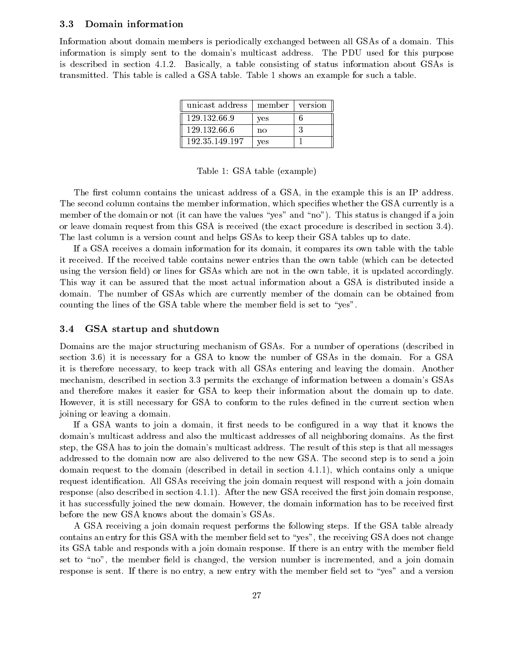#### 3.3 Domain information  $3.3$

Information about domain members is periodically exchanged between all GSAs of a domain. This information is simply sent to the domain's multicast address. The PDU used for this purpose is described in section 4.1.2. Basically, a table consisting of status information about GSAs is transmitted. This table is called a GSA table. Table 1 shows an example for such a table.

| unicast address   member   version |     |  |
|------------------------------------|-----|--|
| 129 132 66.9                       | ves |  |
| 129.132.66.6                       | no  |  |
| 192.35.149.197                     | ves |  |

Table 1: GSA table (example)

The first column contains the unicast address of a GSA, in the example this is an IP address. The second column contains the member information, which species whether the GSA currently is a member of the domain or not (it can have the values "yes" and "no"). This status is changed if a join or leave domain request from this GSA is received (the exact procedure is described in section 3.4). The last column is a version count and helps GSAs to keep their GSA tables up to date.

If a GSA receives a domain information for its domain, it compares its own table with the table it received. If the received table contains newer entries than the own table (which can be detected using the version field) or lines for GSAs which are not in the own table, it is updated accordingly. This way it can be assured that the most actual information about a GSA is distributed inside a domain. The number of GSAs which are currently member of the domain can be obtained from counting the lines of the GSA table where the member field is set to "yes".

#### 3.4 GSA startup and shutdown

Domains are the major structuring mechanism of GSAs. For a number of operations (described in section 3.6) it is necessary for a GSA to know the number of GSAs in the domain. For a GSA it is therefore necessary, to keep track with all GSAs entering and leaving the domain. Another mechanism, described in section 3.3 permits the exchange of information between a domain's GSAs and therefore makes it easier for GSA to keep their information about the domain up to date. However, it is still necessary for GSA to conform to the rules dened in the current section when joining or leaving a domain.

If a GSA wants to join a domain, it first needs to be configured in a way that it knows the domain's multicast address and also the multicast addresses of all neighboring domains. As the first step, the GSA has to join the domain's multicast address. The result of this step is that all messages addressed to the domain now are also delivered to the new GSA. The second step is to send a join domain request to the domain (described in detail in section 4.1.1), which contains only a unique request identification. All GSAs receiving the join domain request will respond with a join domain response (also described in section 4.1.1). After the new GSA received the first join domain response, it has successfully joined the new domain. However, the domain information has to be received first before the new GSA knows about the domain's GSAs.

A GSA receiving a join domain request performs the following steps. If the GSA table already contains an entry for this GSA with the member field set to "yes", the receiving GSA does not change its GSA table and responds with a join domain response. If there is an entry with the member field set to "no", the member field is changed, the version number is incremented, and a join domain response is sent. If there is no entry, a new entry with the member field set to "yes" and a version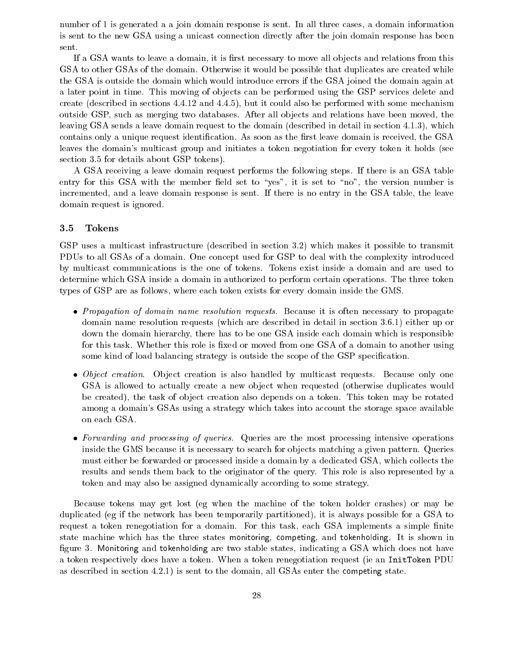number of 1 is generated a a join domain response is sent. In all three cases, a domain information is sent to the new GSA using a unicast connection directly after the join domain response has been sent.

If a GSA wants to leave a domain, it is first necessary to move all objects and relations from this GSA to other GSAs of the domain. Otherwise it would be possible that duplicates are created while the GSA is outside the domain which would introduce errors if the GSA joined the domain again at a later point in time. This moving of objects can be performed using the GSP services delete and create (described in sections 4.4.12 and 4.4.5), but it could also be performed with some mechanism outside GSP, such as merging two databases. After all ob jects and relations have been moved, the leaving GSA sends a leave domain request to the domain (described in detail in section 4.1.3), which contains only a unique request identification. As soon as the first leave domain is received, the GSA leaves the domain's multicast group and initiates a token negotiation for every token it holds (see section 3.5 for details about GSP tokens).

A GSA receiving a leave domain request performs the following steps. If there is an GSA table entry for this GSA with the member field set to "yes", it is set to "no", the version number is incremented, and a leave domain response is sent. If there is no entry in the GSA table, the leave domain request is ignored.

#### 3.5 Tokens

GSP uses a multicast infrastructure (described in section 3.2) which makes it possible to transmit PDUs to all GSAs of a domain. One concept used for GSP to deal with the complexity introduced by multicast communications is the one of tokens. Tokens exist inside a domain and are used to determine which GSA inside a domain in authorized to perform certain operations. The three token types of GSP are as follows, where each token exists for every domain inside the GMS.

- Propagation of domain name resolution requests. Because it is often necessary to propagate domain name resolution requests (which are described in detail in section 3.6.1) either up or down the domain hierarchy, there has to be one GSA inside each domain which is responsible for this task. Whether this role is fixed or moved from one GSA of a domain to another using some kind of load balancing strategy is outside the scope of the GSP specication.
- Object creation. Ob ject creation is also handled by multicast requests. Because only one GSA is allowed to actually create a new object when requested (otherwise duplicates would be created), the task of object creation also depends on a token. This token may be rotated among a domain's GSAs using a strategy which takes into account the storage space available on each GSA.
- Forwarding and processing of queries. Queries are the most processing intensive operations inside the GMS because it is necessary to search for objects matching a given pattern. Queries must either be forwarded or processed inside a domain by a dedicated GSA, which collects the results and sends them back to the originator of the query. This role is also represented by a token and may also be assigned dynamically according to some strategy.

Because tokens may get lost (eg when the machine of the token holder crashes) or may be duplicated (eg if the network has been temporarily partitioned), it is always possible for a GSA to request a token renegotiation for a domain. For this task, each GSA implements a simple finite state machine which has the three states monitoring, competing, and tokenholding. It is shown in figure 3. Monitoring and tokenholding are two stable states, indicating a GSA which does not have a token respectively does have a token. When a token renegotiation request (ie an InitToken PDU as described in section 4.2.1) is sent to the domain, all GSAs enter the competing state.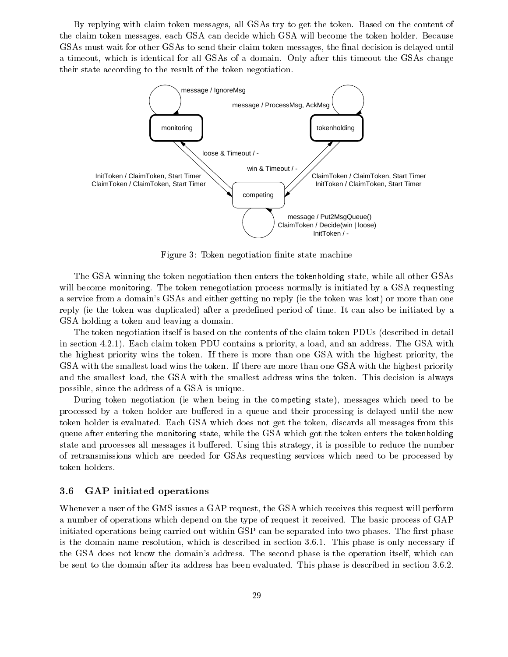By replying with claim token messages, all GSAs try to get the token. Based on the content of the claim token messages, each GSA can decide which GSA will become the token holder. Because GSAs must wait for other GSAs to send their claim token messages, the final decision is delayed until a timeout, which is identical for all GSAs of a domain. Only after this timeout the GSAs change their state according to the result of the token negotiation.



Figure 3: Token negotiation finite state machine

The GSA winning the token negotiation then enters the tokenholding state, while all other GSAs will become monitoring. The token renegotiation process normally is initiated by a GSA requesting a service from a domain's GSAs and either getting no reply (ie the token was lost) or more than one reply (ie the token was duplicated) after a predefined period of time. It can also be initiated by a GSA holding a token and leaving a domain.

The token negotiation itself is based on the contents of the claim token PDUs (described in detail in section 4.2.1). Each claim token PDU contains a priority, a load, and an address. The GSA with the highest priority wins the token. If there is more than one GSA with the highest priority, the GSA with the smallest load wins the token. If there are more than one GSA with the highest priority and the smallest load, the GSA with the smallest address wins the token. This decision is always possible, since the address of a GSA is unique.

During token negotiation (ie when being in the competing state), messages which need to be processed by a token holder are buffered in a queue and their processing is delayed until the new token holder is evaluated. Each GSA which does not get the token, discards all messages from this queue after entering the monitoring state, while the GSA which got the token enters the tokenholding state and processes all messages it buffered. Using this strategy, it is possible to reduce the number of retransmissions which are needed for GSAs requesting services which need to be processed by token holders.

#### 3.6 GAP initiated operations

Whenever a user of the GMS issues a GAP request, the GSA which receives this request will perform a number of operations which depend on the type of request it received. The basic process of GAP initiated operations being carried out within GSP can be separated into two phases. The first phase is the domain name resolution, which is described in section 3.6.1. This phase is only necessary if the GSA does not know the domain's address. The second phase is the operation itself, which can be sent to the domain after its address has been evaluated. This phase is described in section 3.6.2.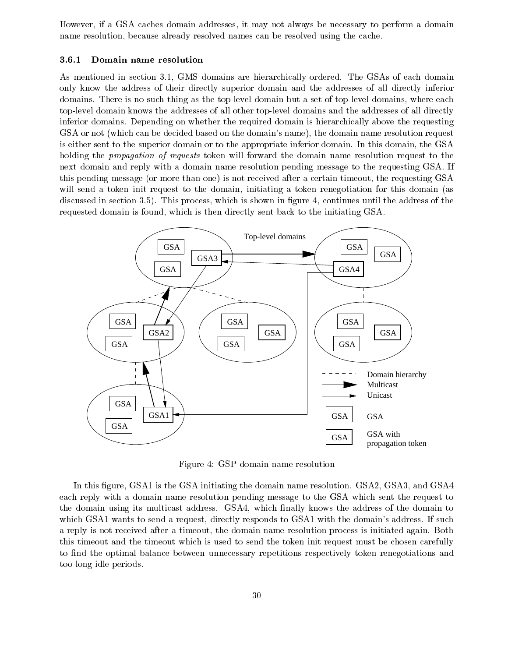However, if a GSA caches domain addresses, it may not always be necessary to perform a domain name resolution, because already resolved names can be resolved using the cache.

#### 3.6.1 Domain name resolution

As mentioned in section 3.1, GMS domains are hierarchically ordered. The GSAs of each domain only know the address of their directly superior domain and the addresses of all directly inferior domains. There is no such thing as the top-level domain but a set of top-level domains, where each top-level domain knows the addresses of all other top-level domains and the addresses of all directly inferior domains. Depending on whether the required domain is hierarchically above the requesting GSA or not (which can be decided based on the domain's name), the domain name resolution request is either sent to the superior domain or to the appropriate inferior domain. In this domain, the GSA holding the *propagation of requests* token will forward the domain name resolution request to the next domain and reply with a domain name resolution pending message to the requesting GSA. If this pending message (or more than one) is not received after a certain timeout, the requesting GSA will send a token init request to the domain, initiating a token renegotiation for this domain (as discussed in section 3.5). This process, which is shown in figure 4, continues until the address of the requested domain is found, which is then directly sent back to the initiating GSA.



Figure 4: GSP domain name resolution

In this figure, GSA1 is the GSA initiating the domain name resolution. GSA2, GSA3, and GSA4 each reply with a domain name resolution pending message to the GSA which sent the request to the domain using its multicast address. GSA4, which nally knows the address of the domain to which GSA1 wants to send a request, directly responds to GSA1 with the domain's address. If such a reply is not received after a timeout, the domain name resolution process is initiated again. Both this timeout and the timeout which is used to send the token init request must be chosen carefully to find the optimal balance between unnecessary repetitions respectively token renegotiations and too long idle periods.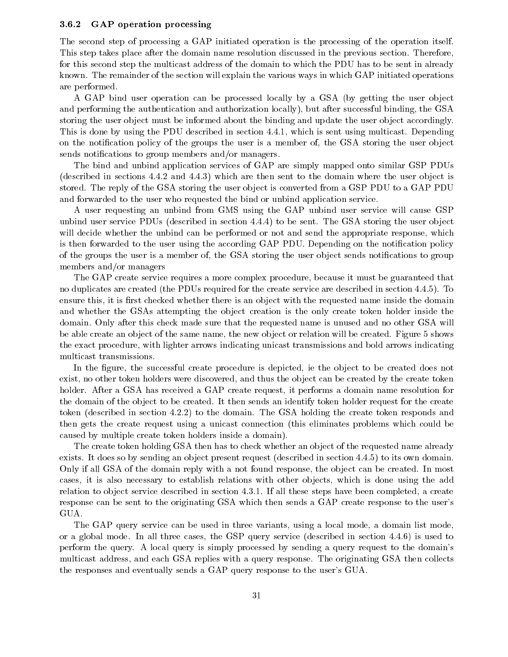#### GAP operation processing 3.6.2

The second step of processing a GAP initiated operation is the processing of the operation itself. This step takes place after the domain name resolution discussed in the previous section. Therefore, for this second step the multicast address of the domain to which the PDU has to be sent in already known. The remainder of the section will explain the various ways in which GAP initiated operations are performed.

A GAP bind user operation can be processed locally by a GSA (by getting the user object and performing the authentication and authorization locally), but after successful binding, the GSA storing the user object must be informed about the binding and update the user object accordingly. This is done by using the PDU described in section 4.4.1, which is sent using multicast. Depending on the notification policy of the groups the user is a member of, the GSA storing the user object sends notifications to group members and/or managers.

The bind and unbind application services of GAP aresimply mapped onto similar GSP PDUs (described in sections 4.4.2 and 4.4.3) which are then sent to the domain where the user ob ject is stored. The reply of the GSA storing the user object is converted from a GSP PDU to a GAP PDU and forwarded to the user who requested the bind or unbind application service.

A user requesting an unbind from GMS using the GAP unbind user service will cause GSP unbind user service PDUs (described in section 4.4.4) to be sent. The GSA storing the user object will decide whether the unbind can be performed or not and send the appropriate response, which is then forwarded to the user using the according GAP PDU. Depending on the notification policy of the groups the user is a member of, the GSA storing the user object sends notifications to group members and/or managers

The GAP create service requires a more complex procedure, because it must be guaranteed that no duplicates are created (the PDUs required for the create service are described in section 4.4.5). To ensure this, it is first checked whether there is an object with the requested name inside the domain and whether the GSAs attempting the object creation is the only create token holder inside the domain. Only after this check made sure that the requested name is unused and no other GSA will be able create an object of the same name, the new object or relation will be created. Figure 5 shows the exact procedure, with lighter arrows indicating unicast transmissions and bold arrows indicating multicast transmissions.

In the figure, the successful create procedure is depicted, ie the object to be created does not exist, no other token holders were discovered, and thus the object can be created by the create token holder. After a GSA has received a GAP create request, it performs a domain name resolution for the domain of the object to be created. It then sends an identify token holder request for the create token (described in section 4.2.2) to the domain. The GSA holding the create token responds and then gets the create request using a unicast connection (this eliminates problems which could be caused by multiple create token holders inside a domain).

The create token holding GSA then has to check whether an object of the requested name already exists. It does so by sending an object present request (described in section 4.4.5) to its own domain. Only if all GSA of the domain reply with a not found response, the object can be created. In most cases, it is also necessary to establish relations with other objects, which is done using the add relation to object service described in section 4.3.1. If all these steps have been completed, a create response can be sent to the originating GSA which then sends a GAP create response to the user's GUA.

The GAP query service can be used in three variants, using a local mode, a domain list mode, or a global mode. In all three cases, the GSP query service (described in section 4.4.6) is used to perform the query. A local query is simply processed by sending a query request to the domain's multicast address, and each GSA replies with a query response. The originating GSA then collects the responses and eventually sends a GAP query response to the user's GUA.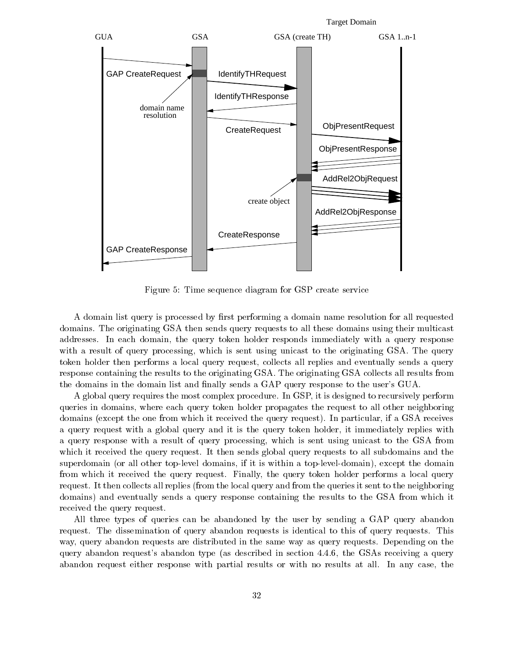

Figure 5: Time sequence diagram for GSP create service

A domain list query is processed by first performing a domain name resolution for all requested domains. The originating GSA then sends query requests to all these domains using their multicast addresses. In each domain, the query token holder responds immediately with a query response with a result of query processing, which is sent using unicast to the originating GSA. The query token holder then performs a local query request, collects all replies and eventually sends a query response containing the results to the originating GSA. The originating GSA collects all results from the domains in the domain list and finally sends a GAP query response to the user's GUA.

A global query requires the most complex procedure. In GSP, it is designed to recursively perform queries in domains, where each query token holder propagates the request to all other neighboring domains (except the one from which it received the query request). In particular, if a GSA receives a query request with a global query and it is the query token holder, it immediately replies with a query response with a result of query processing, which is sent using unicast to the GSA from which it received the query request. It then sends global query requests to all subdomains and the superdomain (or all other top-level domains, if it is within a top-level-domain), except the domain from which it received the query request. Finally, the query token holder performs a local query request. It then collects all replies (from the local query and from the queries it sent to the neighboring domains) and eventually sends a query response containing the results to the GSA from which it received the query request.

All three types of queries can be abandoned by the user by sending a GAP query abandon request. The dissemination of query abandon requests is identical to this of query requests. This way, query abandon requests are distributed in the same way as query requests. Depending on the query abandon request's abandon type (as described in section 4.4.6, the GSAs receiving a query abandon request either response with partial results or with no results at all. In any case, the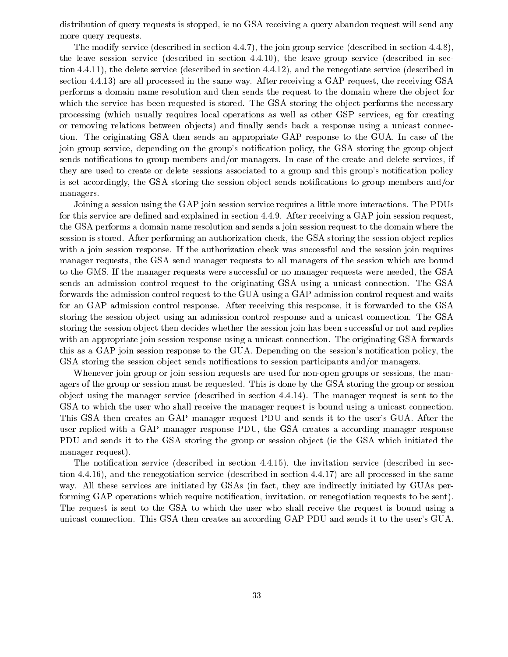distribution of query requests is stopped, ie no GSA receiving a query abandon request will send any more query requests.

The modify service (described in section 4.4.7), the join group service (described in section 4.4.8), the leave session service (described in section 4.4.10), the leave group service (described in section 4.4.11), the delete service (described in section 4.4.12), and the renegotiate service (described in section 4.4.13) are all processed in the same way. After receiving a GAP request, the receiving GSA performs a domain name resolution and then sends the request to the domain where the object for which the service has been requested is stored. The GSA storing the object performs the necessary processing (which usually requires local operations as well as other GSP services, eg for creating or removing relations between objects) and finally sends back a response using a unicast connection. The originating GSA then sends an appropriate GAP response to the GUA. In case of the join group service, depending on the group's notification policy, the GSA storing the group object sends notifications to group members and/or managers. In case of the create and delete services, if they are used to create or delete sessions associated to a group and this group's notification policy is set accordingly, the GSA storing the session object sends notifications to group members and/or managers.

Joining a session using the GAP join session service requires a little more interactions. The PDUs for this service are defined and explained in section  $4.4.9$ . After receiving a GAP join session request, the GSA performs a domain name resolution and sends a join session request to the domain where the session is stored. After performing an authorization check, the GSA storing the session object replies with a join session response. If the authorization check was successful and the session join requires manager requests, the GSA send manager requests to all managers of the session which are bound to the GMS. If the manager requests were successful or no manager requests were needed, the GSA sends an admission control request to the originating GSA using a unicast connection. The GSA forwards the admission control request to the GUA using a GAP admission control request and waits for an GAP admission control response. After receiving this response, it is forwarded to the GSA storing the session object using an admission control response and a unicast connection. The GSA storing the session object then decides whether the session join has been successful or not and replies with an appropriate join session response using a unicast connection. The originating GSA forwards this as a GAP join session response to the GUA. Depending on the session's notification policy, the GSA storing the session object sends notifications to session participants and/or managers.

Whenever join group or join session requests are used for non-open groups or sessions, the managers of the group or session must be requested. This is done by the GSA storing the group or session ob ject using the manager service (described in section 4.4.14). The manager request is sent to the GSA to which the user who shall receive the manager request is bound using a unicast connection. This GSA then creates an GAP manager request PDU and sends it to the user's GUA. After the user replied with a GAP manager response PDU, the GSA creates a according manager response PDU and sends it to the GSA storing the group or session object (ie the GSA which initiated the manager request).

The notication service (described in section 4.4.15), the invitation service (described in section 4.4.16), and the renegotiation service (described in section 4.4.17) are all processed in the same way. All these services are initiated by GSAs (in fact, they are indirectly initiated by GUAs performing GAP operations which require notification, invitation, or renegotiation requests to be sent). The request is sent to the GSA to which the user who shall receive the request is bound using a unicast connection. This GSA then creates an according GAP PDU and sends it to the user's GUA.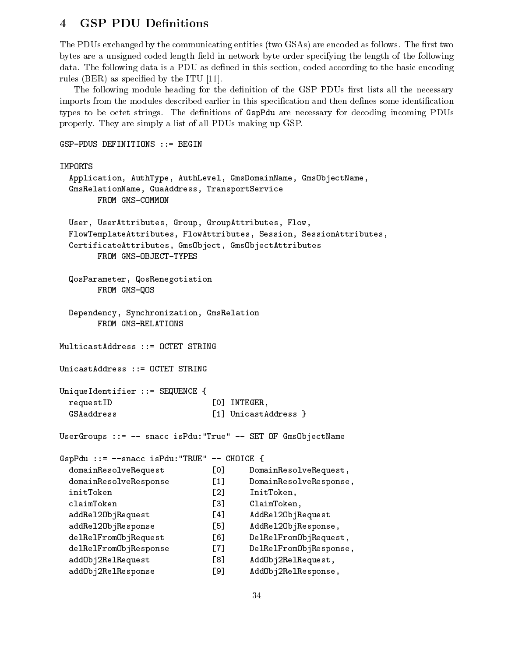#### **GSP PDU Definitions**  $\overline{\mathbf{4}}$

The PDUs exchanged by the communicating entities (two GSAs) are encoded as follows. The first two bytes are a unsigned coded length field in network byte order specifying the length of the following data. The following data is a PDU as defined in this section, coded according to the basic encoding rules (BER) as specied by the ITU [11].

The following module heading for the definition of the GSP PDUs first lists all the necessary imports from the modules described earlier in this specification and then defines some identification types to be octet strings. The definitions of GspPdu are necessary for decoding incoming PDUs properly. They are simply a list of all PDUs making up GSP.

```
GSP-PDUS DEFINITIONS ::= BEGIN
IMPORTS
 Application, AuthType, AuthLevel, GmsDomainName, GmsObjectName,
 GmsRelationName, GuaAddress, TransportService
       FROM GMS-COMMON
 User, UserAttributes, Group, GroupAttributes, Flow,
 FlowTemplateAttributes, FlowAttributes, Session, SessionAttributes,
 CertificateAttributes, GmsObject, GmsObjectAttributes
       FROM GMS-OBJECT-TYPES
 QosParameter, QosRenegotiation
       FROM GMS-QOS
 Dependency, Synchronization, GmsRelation
       FROM GMS-RELATIONS
MulticastAddress ::= OCTET STRING
UnicastAddress ::= OCTET STRING
UniqueIdentifier ::= SEQUENCE {
 requestID \begin{bmatrix} 0 \end{bmatrix} INTEGER,
 GSAaddress [1] UnicastAddress }
UserGroups ::= -- snacc isPdu:"True" -- SET OF GmsObjectName
GspPdu ::= --snacc isPdu:"TRUE" -- CHOICE {
 domainResolveRequest [0] DomainResolveRequest,
 domainResolveResponse [1] DomainResolveResponse,
 initToken [2] InitToken,
 claimToken
                             \sqrt{31}ClaimToken,
 addRel2ObjRequest [4] AddRel2ObjRequest
 addRel2ObjResponse [5] AddRel2ObjResponse,
 delRelFromObjRequest [6] DelRelFromObjRequest,
 delRelFromObjResponse [7] DelRelFromObjResponse,
 addObj2RelRequest [8] AddObj2RelRequest,
 addObj2RelResponse [9] AddObj2RelResponse,
```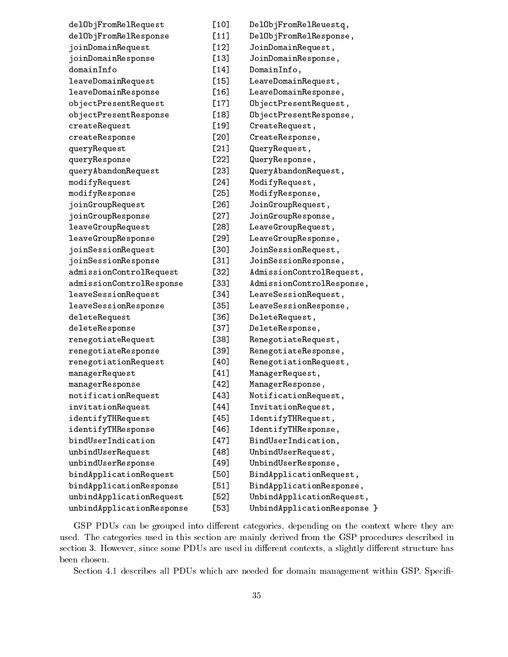| delObjFromRelRequest      | [10]   | DelObjFromRelReuestq,       |
|---------------------------|--------|-----------------------------|
| delObjFromRelResponse     | $[11]$ | DelObjFromRelResponse,      |
| joinDomainRequest         | $[12]$ | JoinDomainRequest,          |
| joinDomainResponse        | $[13]$ | JoinDomainResponse,         |
| domainInfo                | $[14]$ | DomainInfo,                 |
| leaveDomainRequest        | $[15]$ | LeaveDomainRequest,         |
| leaveDomainResponse       | [16]   | LeaveDomainResponse,        |
| objectPresentRequest      | $[17]$ | ObjectPresentRequest,       |
| objectPresentResponse     | [18]   | ObjectPresentResponse,      |
| createRequest             | $[19]$ | CreateRequest,              |
| createResponse            | [20]   | CreateResponse,             |
| queryRequest              | [21]   | QueryRequest,               |
| queryResponse             | $[22]$ | QueryResponse,              |
| queryAbandonRequest       | $[23]$ | QueryAbandonRequest,        |
| modifyRequest             | $[24]$ | ModifyRequest,              |
| modifyResponse            | $[25]$ | ModifyResponse,             |
| joinGroupRequest          | [26]   | JoinGroupRequest,           |
| joinGroupResponse         | [27]   | JoinGroupResponse,          |
| leaveGroupRequest         | [28]   | LeaveGroupRequest,          |
| leaveGroupResponse        | [29]   | LeaveGroupResponse,         |
| joinSessionRequest        | [30]   | JoinSessionRequest,         |
| joinSessionResponse       | $[31]$ | JoinSessionResponse,        |
| admissionControlRequest   | $[32]$ | AdmissionControlRequest,    |
| admissionControlResponse  | [33]   | AdmissionControlResponse,   |
| leaveSessionRequest       | $[34]$ | LeaveSessionRequest,        |
| leaveSessionResponse      | $[35]$ | LeaveSessionResponse,       |
| deleteRequest             | [36]   | DeleteRequest,              |
| deleteResponse            | $[37]$ | DeleteResponse,             |
| renegotiateRequest        | [38]   | RenegotiateRequest,         |
| renegotiateResponse       | $[39]$ | RenegotiateResponse,        |
| renegotiationRequest      | [40]   | RenegotiationRequest,       |
| managerRequest            | $[41]$ | ManagerRequest,             |
| managerResponse           | [42]   | ManagerResponse,            |
| notificationRequest       | $[43]$ | NotificationRequest,        |
| invitationRequest         | $[44]$ | InvitationRequest,          |
| identifyTHRequest         | $[45]$ | IdentifyTHRequest,          |
| identifyTHResponse        | [46]   | IdentifyTHResponse,         |
| bindUserIndication        | $[47]$ | BindUserIndication,         |
| unbindUserRequest         | [48]   | UnbindUserRequest,          |
| unbindUserResponse        | [49]   | UnbindUserResponse,         |
| bindApplicationRequest    | [50]   | BindApplicationRequest,     |
| bindApplicationResponse   | $[51]$ | BindApplicationResponse,    |
| unbindApplicationRequest  | $[52]$ | UnbindApplicationRequest,   |
| unbindApplicationResponse | [53]   | UnbindApplicationResponse } |

GSP PDUs can be grouped into different categories, depending on the context where they are used. The categories used in this section are mainly derived from the GSP procedures described in section 3. However, since some PDUs are used in different contexts, a slightly different structure has been chosen.

Section 4.1 describes all PDUs which are needed for domain management within GSP. Specifi-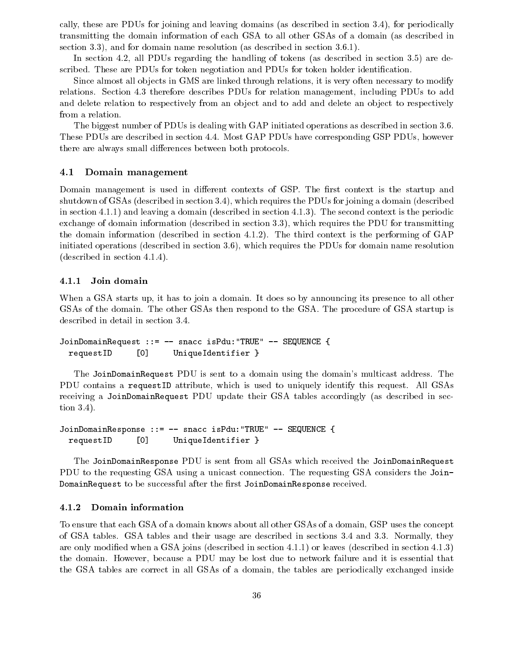cally, these are PDUs for joining and leaving domains (as described in section 3.4), for periodically transmitting the domain information of each GSA to allother GSAs of a domain (as described in section 3.3), and for domain name resolution (as described in section 3.6.1).

In section 4.2, all PDUs regarding the handling of tokens (as described in section 3.5) are described. These are PDUs for token negotiation and PDUs for token holder identification.

Since almost all objects in GMS are linked through relations, it is very often necessary to modify relations. Section 4.3 therefore describes PDUs for relation management, including PDUs to add and delete relation to respectively from an object and to add and delete an object to respectively from a relation.

The biggest number of PDUs is dealing with GAP initiated operations as described in section 3.6. These PDUs are described in section 4.4. Most GAP PDUs have corresponding GSP PDUs, however there are always small differences between both protocols.

#### 4.1 Domain management

Domain management is used in different contexts of GSP. The first context is the startup and shutdown of GSAs (described in section 3.4), which requires the PDUs for joining a domain (described in section 4.1.1) and leaving a domain (described in section 4.1.3). The second context is the periodic exchange of domain information (described in section 3.3), which requires the PDU for transmitting the domain information (described in section 4.1.2). The third context is the performing of GAP initiated operations (described in section 3.6), which requires the PDUs for domain name resolution (described in section 4.1.4).

#### 4.1.1 Join domain

When a GSA starts up, it has to join a domain. It does so by announcing its presence to all other GSAs of the domain. The other GSAs then respond to the GSA. The procedure of GSA startup is described in detail in section 3.4.

```
JoinDomainRequest ::= -- snacc isPdu:"TRUE" -- SEQUENCE {
 requestID [0] UniqueIdentifier }
```
The JoinDomainRequest PDU is sent to a domain using the domain's multicast address. The PDU contains a requestID attribute, which is used to uniquely identify this request. All GSAs receiving a JoinDomainRequest PDU update their GSA tables accordingly (as described in section 3.4).

```
JoinDomainResponse ::= -- snacc isPdu:"TRUE" -- SEQUENCE {
 requestID [0] UniqueIdentifier }
```
The JoinDomainResponse PDU is sent from all GSAs which received the JoinDomainRequest PDU to the requesting GSA using a unicast connection. The requesting GSA considers the Join-DomainRequest to be successful after the first JoinDomainResponse received.

#### 4.1.2 Domain information

To ensure that each GSA of a domain knows about all other GSAs of a domain, GSP uses the concept of GSA tables. GSA tables and their usage are described in sections 3.4 and 3.3. Normally, they are only modied when a GSA joins (described in section 4.1.1) or leaves (described in section 4.1.3) the domain. However, because a PDU may be lost due to network failure and it is essential that the GSA tables are correct in all GSAs of a domain, the tables are periodically exchanged inside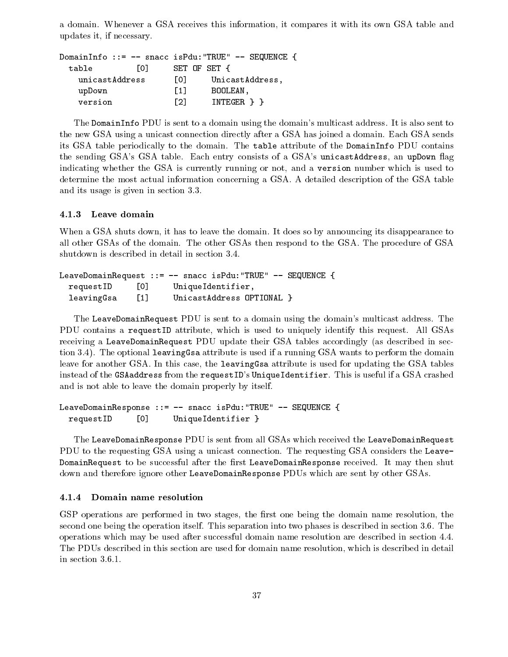a domain. Whenever a GSA receives this information, it compares it with its own GSA table and updates it, if necessary.

```
DomainInfo ::= -- snacc isPdu:"TRUE" -- SEQUENCE {
            [0] SET OF SET {
 table
   unicastAddress [0] UnicastAddress,
   upDown [1] BOOLEAN,
   version [2] INTEGER } }
```
The DomainInfo PDU is sent to a domain using the domain's multicast address. It is also sent to the new GSA using a unicast connection directly after a GSA has joined a domain. Each GSA sends its GSA table periodically to the domain. The table attribute of the DomainInfo PDU contains the sending GSA's GSA table. Each entry consists of a GSA's unicastAddress, an upDown flag indicating whether the GSA is currently running or not, and a version number which is used to determine the most actual information concerning a GSA. A detailed description of the GSA table and its usage is given in section 3.3.

#### 4.1.3 Leave domain

When a GSA shuts down, it has to leave the domain. It does so by announcing its disappearance to all other GSAs of the domain. The other GSAs then respond to the GSA. The procedure of GSA shutdown is described in detail in section 3.4.

```
LeaveDomainRequest ::= - snacc isPdu: "TRUE" - SEQUENCE {
 requestID [0] UniqueIdentifier,
 leavingGsa [1] UnicastAddress OPTIONAL }
```
The LeaveDomainRequest PDU is sent to a domain using the domain's multicast address. The PDU contains a requestID attribute, which is used to uniquely identify this request. All GSAs receiving a LeaveDomainRequest PDU update their GSA tables accordingly (as described in section 3.4). The optional leavingGsa attribute is used if a running GSA wants to perform the domain leave for another GSA. In this case, the leavingGsa attribute is used for updating the GSA tables instead of the GSAaddress from the requestID's UniqueIdentifier. This is useful if a GSA crashed and is not able to leave the domain properly by itself.

```
LeaveDomainResponse ::= -- snacc isPdu:"TRUE" -- SEQUENCE {
 requestID [0] UniqueIdentifier }
```
The LeaveDomainResponse PDU is sent from all GSAs which received the LeaveDomainRequest PDU to the requesting GSA using a unicast connection. The requesting GSA considers the Leave-DomainRequest to be successful after the first LeaveDomainResponse received. It may then shut down and therefore ignore other LeaveDomainResponse PDUs which are sent by other GSAs.

#### 4.1.4 Domain name resolution

GSP operations are performed in two stages, the first one being the domain name resolution, the second one being the operation itself. This separation into two phases is described in section 3.6. The operations which may be used after successful domain name resolution are described in section 4.4. The PDUs described in this section are used for domain name resolution, which is described in detail in section 3.6.1.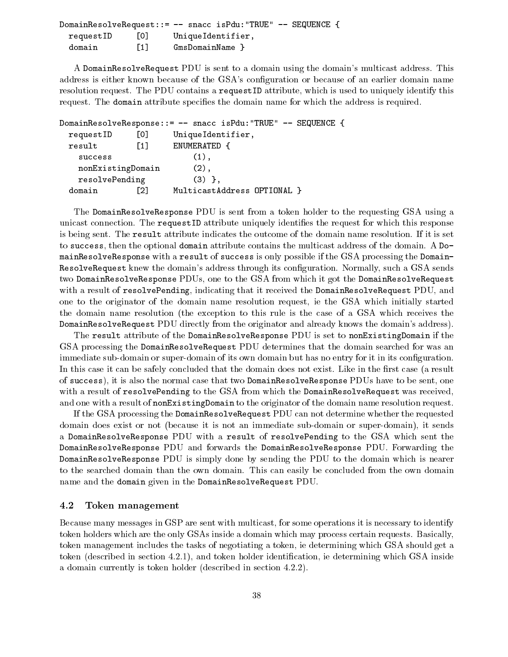|           |                   | DomainResolveRequest::= -- snacc isPdu:"TRUE" -- SEQUENCE { |  |
|-----------|-------------------|-------------------------------------------------------------|--|
| requestID | 0                 | UniqueIdentifier,                                           |  |
| domain    | $\lceil 1 \rceil$ | GmsDomainName }                                             |  |

A DomainResolveRequest PDU is sent to a domain using the domain's multicast address. This address is either known because of the GSA's configuration or because of an earlier domain name resolution request. The PDU contains a requestID attribute, which is used to uniquely identify this request. The domain attribute specifies the domain name for which the address is required.

```
DomainResolveResponse::= -- snacc isPdu:"TRUE" -- SEQUENCE {
   requestID [0] UniqueIdentifier,
   result [1] ENUMERATED {
       success (1), we have the success of \mathcal{N} = \mathcal{N} , we have the success of \mathcal{N} = \mathcal{N} , we have the success of \mathcal{N} = \mathcal{N} , we have the success of \mathcal{N} = \mathcal{N} , we have the success of \mathcal{N} = \mathcal{N} , we 
      nonExistingDomain (2),
      resolvePending (3) },
   domain [2] MulticastAddress OPTIONAL }
```
The DomainResolveResponse PDU is sent from a token holder to the requesting GSA using a unicast connection. The request ID attribute uniquely identifies the request for which this response is being sent. The result attribute indicates the outcome of the domain name resolution. If it is set to success, then the optional domain attribute contains the multicast address of the domain. A DomainResolveResponse with a result of success is only possible if the GSA processing the Domain-ResolveRequest knew the domain's address through its configuration. Normally, such a GSA sends two DomainResolveResponse PDUs, one to the GSA from which it got the DomainResolveRequest with a result of resolvePending, indicating that it received the DomainResolveRequest PDU, and one to the originator of the domain name resolution request, ie the GSA which initially started the domain name resolution (the exception to this rule is the case of a GSA which receives the DomainResolveRequest PDU directly from the originator and already knows the domain's address).

The result attribute of the DomainResolveResponse PDU is set to nonExistingDomain if the GSA processing the DomainResolveRequest PDU determines that the domain searched for was an immediate sub-domain or super-domain of its own domain but has no entry for it in its configuration. In this case it can be safely concluded that the domain does not exist. Like in the first case (a result of success), it is also the normal case that two DomainResolveResponse PDUs have to be sent, one with a result of resolvePending to the GSA from which the DomainResolveRequest was received, and one with a result of nonExistingDomain to the originator of the domain name resolution request.

If the GSA processing the DomainResolveRequest PDU can not determine whether the requested domain does exist or not (because it is not an immediate sub-domain or super-domain), it sends a DomainResolveResponse PDU with a result of resolvePending to the GSA which sent the DomainResolveResponse PDU and forwards the DomainResolveResponse PDU. Forwarding the DomainResolveResponse PDU is simply done by sending the PDU to the domain which is nearer to the searched domain than the own domain. This can easily be concluded from the own domain name and the domain given in the DomainResolveRequest PDU.

#### 4.2 Token management

Because many messages in GSP are sent with multicast, for some operations it is necessary to identify token holders which are the only GSAs inside a domain which may process certain requests. Basically, token management includes the tasks of negotiating a token, ie determining which GSA should get a token (described in section 4.2.1), and token holder identification, ie determining which GSA inside a domain currently is token holder (described in section 4.2.2).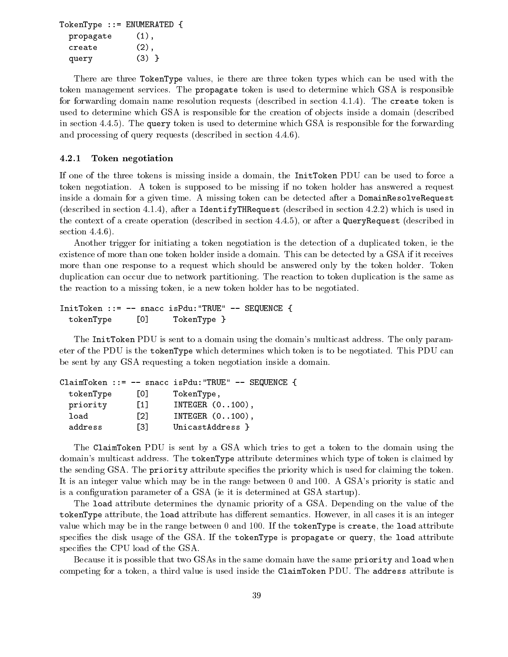```
TokenType ::= ENUMERATED {
 propagate (1),
 create (2),
 query (3) }
```
There are three TokenType values, ie there are three token types which can be used with the token management services. The propagate token is used to determine which GSA is responsible for forwarding domain name resolution requests (described in section 4.1.4). The create token is used to determine which GSA is responsible for the creation of ob jects inside a domain (described in section 4.4.5). The query token is used to determine which GSA is responsible for the forwarding and processing of query requests (described in section 4.4.6).

#### 4.2.1 Token negotiation

If one of the three tokens is missing inside a domain, the InitToken PDU can be used to force a token negotiation. A token is supposed to be missing if no token holder has answered a request inside a domain for a given time. A missing token can be detected after a DomainResolveRequest (described in section 4.1.4), after a IdentifyTHRequest (described in section 4.2.2) which is used in the context of a create operation (described in section 4.4.5), or after a QueryRequest (described in section 4.4.6).

Another trigger for initiating a token negotiation is the detection of a duplicated token, ie the existence of more than one token holder inside a domain. This can be detected by a GSA if it receives more than one response to a request which should be answered only by the token holder. Token duplication can occur due to network partitioning. The reaction to token duplication is the same as the reaction to a missing token, ie a new token holder has to be negotiated.

```
InitToken ::= -- snacc isPdu:"TRUE" -- SEQUENCE {
 tokenType [0] TokenType }
```
The InitToken PDU is sent to a domain using the domain's multicast address. The only parameter of the PDU is the tokenType which determines which token is to be negotiated. This PDU can be sent by any GSA requesting a token negotiation inside a domain.

```
ClaimToken ::= -- snacc isPdu:"TRUE" -- SEQUENCE {
 tokenType [0] TokenType,
 priority [1] INTEGER (0..100),
 load [2] INTEGER (0..100),
 address
             [3] UnicastAddress }
```
The ClaimToken PDU is sent by a GSA which tries to get a token to the domain using the domain's multicast address. The tokenType attribute determines which type of token is claimed by the sending GSA. The priority attribute specifies the priority which is used for claiming the token. It is an integer value which may be in the range between 0 and 100. A GSA's priority is static and is a configuration parameter of a GSA (ie it is determined at GSA startup).

The load attribute determines the dynamic priority of a GSA. Depending on the value of the tokenType attribute, the load attribute has different semantics. However, in all cases it is an integer value which may be in the range between 0 and 100. If the tokenType is create, the load attribute specifies the disk usage of the GSA. If the tokenType is propagate or query, the load attribute specifies the CPU load of the GSA.

Because it is possible that two GSAs in the same domain have the same priority and load when competing for a token, a third value is used inside the ClaimToken PDU. The address attribute is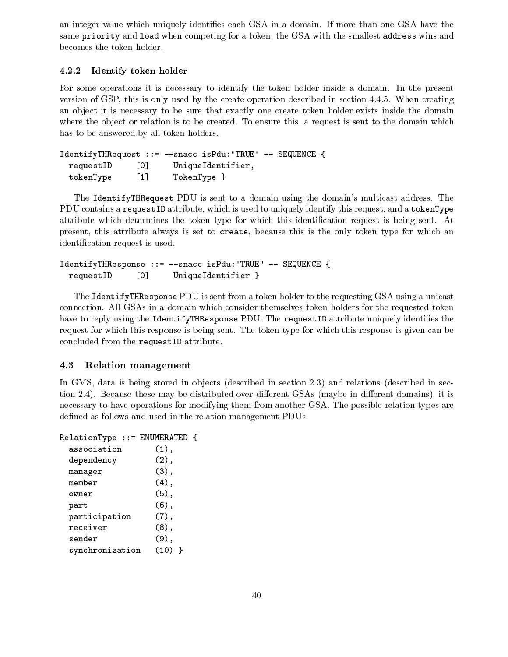an integer value which uniquely identies each GSA in a domain. If more than one GSA have the same priority and load when competing for a token, the GSA with the smallest address wins and becomes the token holder.

### 4.2.2 Identify token holder

For some operations it is necessary to identify the token holder inside a domain. In the present version of GSP, this is only used by the create operation described in section 4.4.5. When creating an ob ject it is necessary to be sure that exactly one create token holder exists inside the domain where the object or relation is to be created. To ensure this, a request is sent to the domain which has to be answered by all token holders.

```
IdentifyTHRequest ::= --snacc isPdu:"TRUE" -- SEQUENCE {
 requestID [0] UniqueIdentifier,
 tokenType [1] TokenType }
```
The IdentifyTHRequest PDU is sent to a domain using the domain's multicast address. The PDU contains a requestID attribute, which is used to uniquely identify this request, and a tokenType attribute which determines the token type for which this identication request is being sent. At present, this attribute always is set to create, because this is the only token type for which an identication request is used.

```
IdentifyTHResponse ::= --snacc isPdu:"TRUE" -- SEQUENCE {
 requestID [0] UniqueIdentifier }
```
The IdentifyTHResponse PDU is sent from a token holder to the requesting GSA using a unicast connection. All GSAs in a domain which consider themselves token holders for the requested token have to reply using the IdentifyTHResponse PDU. The requestID attribute uniquely identifies the request for which this response is being sent. The token type for which this response is given can be concluded from the requestID attribute.

### 4.3 Relation management

In GMS, data is being stored in objects (described in section 2.3) and relations (described in section 2.4). Because these may be distributed over different GSAs (maybe in different domains), it is necessary to have operations for modifying them from another GSA. The possible relation types are defined as follows and used in the relation management PDUs.

```
RelationType ::= ENUMERATED {
 association (1),
 dependency (2),
 manager (3),
 member (4),
 owner (5),
 part (6),
 participation (7),
 receiver (8),
 sender (9),
 synchronization (10) }
```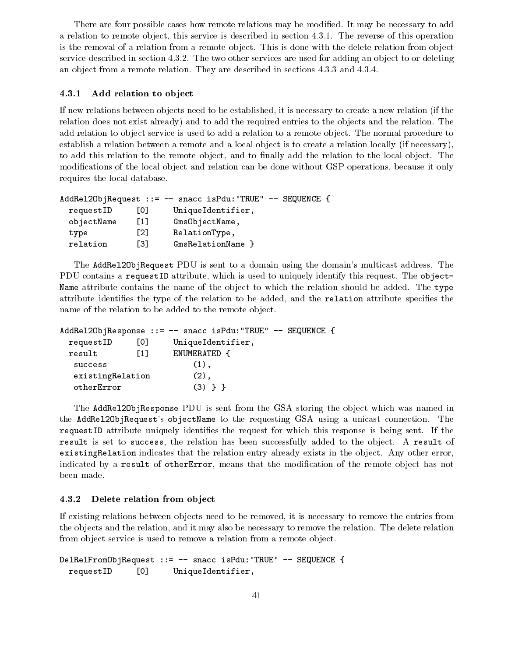There are four possible cases how remote relations may be modied. It may be necessary to add a relation to remote object, this service is described in section 4.3.1. The reverse of this operation is the removal of a relation from a remote object. This is done with the delete relation from object service described in section 4.3.2. The two other services are used for adding an object to or deleting an ob ject from a remote relation. They are described in sections 4.3.3 and 4.3.4.

#### 4.3.1 Add relation to object

If new relations between objects need to be established, it is necessary to create a new relation (if the relation does not exist already) and to add the required entries to the objects and the relation. The add relation to object service is used to add a relation to a remote object. The normal procedure to establish a relation between a remote and a local object is to create a relation locally (if necessary), to add this relation to the remote object, and to finally add the relation to the local object. The modifications of the local object and relation can be done without GSP operations, because it only requires the local database.

|            |                  | AddRel20bjRequest ::= $-$ snacc isPdu: "TRUE" $-$ SEQUENCE { |
|------------|------------------|--------------------------------------------------------------|
| requestID  | LOJ.             | UniqueIdentifier,                                            |
| objectName | $\left[1\right]$ | GmsObjectName,                                               |
| type       | [2]              | RelationType,                                                |
| relation   | Г31              | GmsRelationName                                              |

The AddRel2ObjRequest PDU is sent to a domain using the domain's multicast address. The PDU contains a requestID attribute, which is used to uniquely identify this request. The object-Name attribute contains the name of the object to which the relation should be added. The type attribute identifies the type of the relation to be added, and the relation attribute specifies the name of the relation to be added to the remote object.

```
AddRel2ObjResponse ::= - snacc isPdu: "TRUE" - SEQUENCE {
 requestID [0] UniqueIdentifier,
 result [1] ENUMERATED {
  success (1),
  existingRelation (2),
  otherError (3) } }
```
The AddRel20bjResponse PDU is sent from the GSA storing the object which was named in the AddRel2ObjRequest's objectName to the requesting GSA using a unicast connection. The request ID attribute uniquely identifies the request for which this response is being sent. If the result is set to success, the relation has been successfully added to the object. A result of existingRelation indicates that the relation entry already exists in the object. Any other error, indicated by a result of otherError, means that the modification of the remote object has not been made.

#### 4.3.2 Delete relation from object

If existing relations between objects need to be removed, it is necessary to remove the entries from the ob jects and the relation, and it may also be necessary to remove the relation. The delete relation from object service is used to remove a relation from a remote object.

```
DelRelFromObjRequest ::= -- snacc isPdu:"TRUE" -- SEQUENCE {
 requestID [0] UniqueIdentifier,
```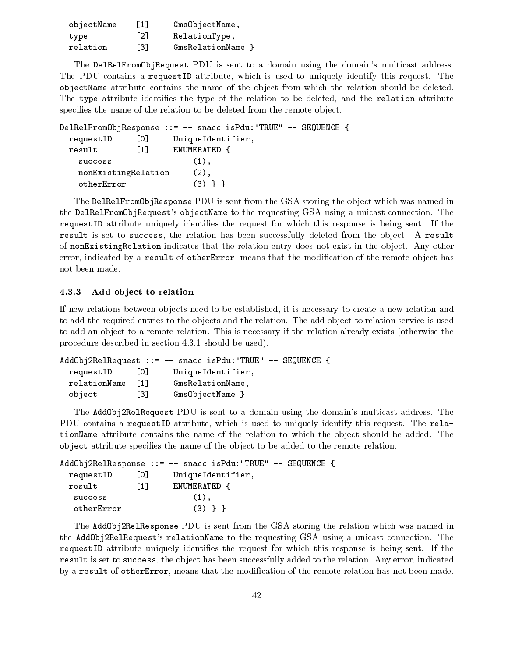| objectName | $\lceil 1 \rceil$ | GmsObjectName,    |
|------------|-------------------|-------------------|
| type       | $\lceil 2 \rceil$ | RelationType,     |
| relation   | <u>гз1</u>        | GmsRelationName } |

The DelRelFromObjRequest PDU is sent to a domain using the domain's multicast address. The PDU contains a requestID attribute, which is used to uniquely identify this request. The objectName attribute contains the name of the ob ject from which the relation should be deleted. The type attribute identifies the type of the relation to be deleted, and the relation attribute specifies the name of the relation to be deleted from the remote object.

```
DelRelFromObjResponse ::= -- snacc isPdu:"TRUE" -- SEQUENCE {
  requestID [0] UniqueIdentifier,
  result [1] ENUMERATED {
    success (1),
    nonExistingRelation (2),
     otherError (3) \sim 3) \sim 300 \sim 300 \sim 300 \sim 300 \sim 300 \sim 300 \sim 300 \sim 300 \sim 300 \sim 300 \sim
```
The DelRelFromObjResponse PDU is sent from the GSA storing the object which was named in the DelRelFromObjRequest's objectName to the requesting GSA using a unicast connection. The request ID attribute uniquely identifies the request for which this response is being sent. If the result is set to success, the relation has been successfully deleted from the object. A result of nonExistingRelation indicates that the relation entry does not exist in the object. Any other error, indicated by a result of otherError, means that the modification of the remote object has not been made.

### 4.3.3 Add object to relation

If new relations between objects need to be established, it is necessary to create a new relation and to add the required entries to the objects and the relation. The add object to relation service is used to add an ob ject to a remote relation. This is necessary if the relation already exists (otherwise the procedure described in section 4.3.1 should be used).

```
AddObj2RelRequest ::= -- snacc isPdu:"TRUE" -- SEQUENCE {
 requestID [0] UniqueIdentifier,
 relationName [1] GmsRelationName,
 object [3] GmsObjectName }
              \sqrt{3}
```
The AddObj2RelRequest PDU is sent to a domain using the domain's multicast address. The PDU contains a requestID attribute, which is used to uniquely identify this request. The relationName attribute contains the name of the relation to which the object should be added. The object attribute species the name of the ob ject to be added to the remote relation.

|            |      | $AddObj2RelResponse ::= -- snacc isPdu: "TRUE" -- SEQUENCE {$ |  |
|------------|------|---------------------------------------------------------------|--|
| requestID  | 10 I | UniqueIdentifier,                                             |  |
| result     | [1]  | ENUMERATED {                                                  |  |
| success    |      | $(1)$ .                                                       |  |
| otherError |      | $(3)$ } }                                                     |  |

The AddObj2RelResponse PDU is sent from the GSA storing the relation which was named in the AddObj2RelRequest's relationName to the requesting GSA using a unicast connection. The request ID attribute uniquely identifies the request for which this response is being sent. If the result is set to success, the object has been successfully added to the relation. Any error, indicated by a result of otherError, means that the modification of the remote relation has not been made.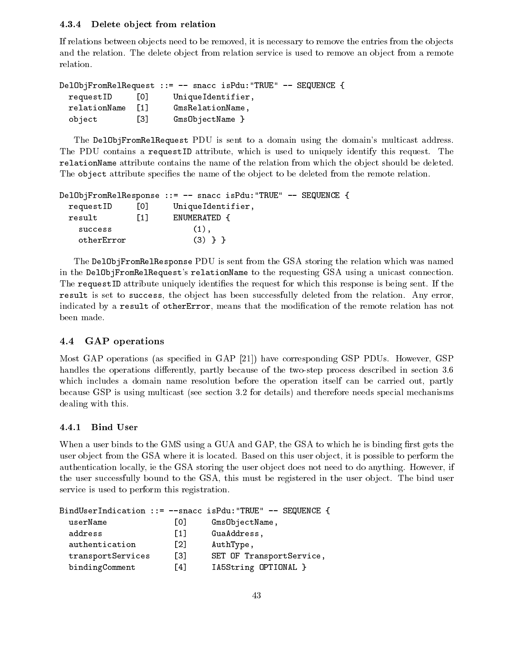#### Delete object from relation 4.3.4

If relations between objects need to be removed, it is necessary to remove the entries from the objects and the relation. The delete object from relation service is used to remove an object from a remote relation.

```
DelObjFromRelRequest ::= -- snacc isPdu: "TRUE" -- SEQUENCE {
 requestID [0] UniqueIdentifier,
 relationName [1] GmsRelationName,
 object [3] GmsObjectName }
```
The DelObjFromRelRequest PDU is sent to a domain using the domain's multicast address. The PDU contains a requestID attribute, which is used to uniquely identify this request. The relationName attribute contains the name of the relation from which the object should be deleted. The object attribute specifies the name of the object to be deleted from the remote relation.

```
DelObjFromRelResponse ::= -- snacc isPdu:"TRUE" -- SEQUENCE {
 requestID [0] UniqueIdentifier,
 result [1] ENUMERATED {
   success (1),
   otherError (3) } }
```
The DelObjFromRelResponse PDU is sent from the GSA storing the relation which was named in the DelObjFromRelRequest's relationName to the requesting GSA using a unicast connection. The requestID attribute uniquely identies the request for which this response is being sent. If the result is set to success, the object has been successfully deleted from the relation. Any error, indicated by a result of otherError, means that the modification of the remote relation has not been made.

## 4.4 GAP operations

Most GAP operations (as specied in GAP [21]) have corresponding GSP PDUs. However, GSP handles the operations differently, partly because of the two-step process described in section 3.6 which includes a domain name resolution before the operation itself can be carried out, partly because GSP is using multicast (see section 3.2 for details) and therefore needs special mechanisms dealing with this.

#### 4.4.1 Bind User

When a user binds to the GMS using a GUA and GAP, the GSA to which he is binding first gets the user object from the GSA where it is located. Based on this user object, it is possible to perform the authentication locally, ie the GSA storing the user object does not need to do anything. However, if the user successfully bound to the GSA, this must be registered in the user object. The bind user service is used to perform this registration.

|                   |                   | BindUserIndication ::= $-\text{space}$ isPdu: "TRUE" $-\text{space}$ { |
|-------------------|-------------------|------------------------------------------------------------------------|
| userName          | L0J               | GmsObjectName,                                                         |
| address           | $\lceil 1 \rceil$ | GuaAddress,                                                            |
| authentication    | [2]               | AuthType,                                                              |
| transportServices | Г31               | SET OF TransportService,                                               |
| bindingComment    | F41               | IA5String OPTIONAL }                                                   |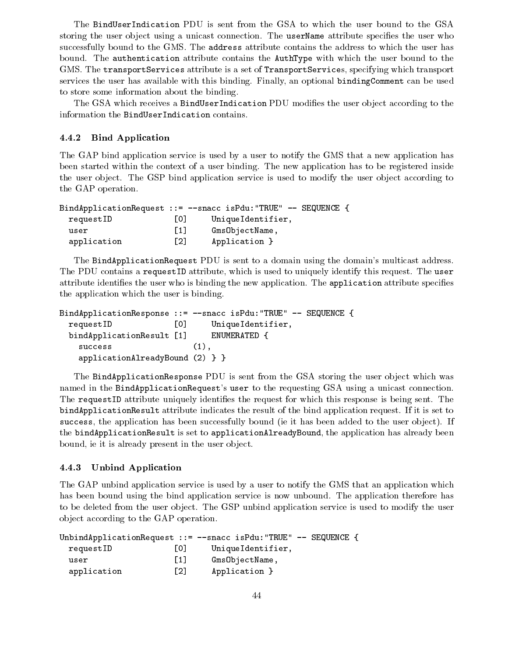The BindUserIndication PDU is sent from the GSA to which the user bound to the GSA storing the user object using a unicast connection. The userName attribute specifies the user who successfully bound to the GMS. The address attribute contains the address to which the user has bound. The authentication attribute contains the AuthType with which the user bound to the GMS. The transportServices attribute is a set of TransportServices, specifying which transport services the user has available with this binding. Finally, an optional bindingComment can be used to store some information about the binding.

The GSA which receives a BindUserIndication PDU modifies the user object according to the information the BindUserIndication contains.

#### 4.4.2 Bind Application

The GAP bind application service is used by a user to notify the GMS that a new application has been started within the context of a user binding. The new application has to be registered inside the user object. The GSP bind application service is used to modify the user object according to the GAP operation.

|             |                          | BindApplicationRequest ::= $--$ snacc isPdu: "TRUE" $--$ SEQUENCE |  |
|-------------|--------------------------|-------------------------------------------------------------------|--|
| requestID   | $\overline{\phantom{0}}$ | UniqueIdentifier,                                                 |  |
| user        | 11 I                     | GmsObjectName,                                                    |  |
| application | [2]                      | Application }                                                     |  |

The BindApplicationRequest PDU is sent to a domain using the domain's multicast address. The PDU contains a requestID attribute, which is used to uniquely identify this request. The user attribute identifies the user who is binding the new application. The application attribute specifies the application which the user is binding.

|                                   | BindApplicationResponse ::= --snacc isPdu: "TRUE" -- SEQUENCE { |
|-----------------------------------|-----------------------------------------------------------------|
| TO L<br>requestID                 | Unique Identifier,                                              |
| bindApplicationResult [1]         | ENUMERATED {                                                    |
| success                           | $(1)$ .                                                         |
| $applicationalreadyBound (2)$ } } |                                                                 |

The BindApplicationResponse PDU is sent from the GSA storing the user object which was named in the BindApplicationRequest's user to the requesting GSA using a unicast connection. The requestID attribute uniquely identifies the request for which this response is being sent. The bindApplicationResult attribute indicates the result of the bind application request. If it is set to success, the application has been successfully bound (ie it has been added to the user object). If the bindApplicationResult is set to applicationAlreadyBound, the application has already been bound, ie it is already present in the user object.

### 4.4.3 Unbind Application

The GAP unbind application service is used by a user to notify the GMS that an application which has been bound using the bind application service is now unbound. The application therefore has to be deleted from the user object. The GSP unbind application service is used to modify the user ob ject according to the GAP operation.

|             |                   | UnbindApplicationRequest ::= --snacc isPdu:"TRUE" -- SEQUENCE { |  |
|-------------|-------------------|-----------------------------------------------------------------|--|
| requestID   | 0                 | UniqueIdentifier,                                               |  |
| user        | $\lceil 1 \rceil$ | GmsObjectName,                                                  |  |
| application | [2]               | Application }                                                   |  |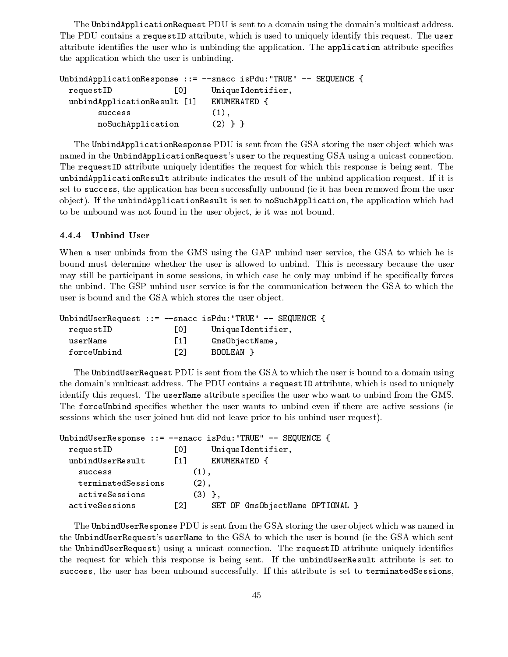The UnbindApplicationRequest PDU is sent to a domain using the domain's multicast address. The PDU contains a requestID attribute, which is used to uniquely identify this request. The user attribute identifies the user who is unbinding the application. The application attribute specifies the application which the user is unbinding.

| UnbindApplicationResponse ::= $-$ snacc isPdu: "TRUE" -- | SEQUENCE {        |
|----------------------------------------------------------|-------------------|
| requestID<br>101                                         | UniqueIdentifier, |
| unbindApplicationResult [1]                              | ENUMERATED {      |
| success                                                  | $(1)$ .           |
| noSuchApplication                                        | $(2)$ }           |

The UnbindApplicationResponse PDU is sent from the GSA storing the user object which was named in the UnbindApplicationRequest's user to the requesting GSA using a unicast connection. The requestID attribute uniquely identifies the request for which this response is being sent. The unbindApplicationResult attribute indicates the result of the unbind application request. If it is set to success, the application has been successfully unbound (ie it has been removed from the user object). If the unbindApplicationResult is set to noSuchApplication, the application which had to be unbound was not found in the user ob ject, ie it was not bound.

#### 4.4.4 Unbind User

When a user unbinds from the GMS using the GAP unbind user service, the GSA to which he is bound must determine whether the user is allowed to unbind. This is necessary because the user may still be participant in some sessions, in which case he only may unbind if he specically forces the unbind. The GSP unbind user service is for the communication between the GSA to which the user is bound and the GSA which stores the user object.

|             |                   | UnbindUserRequest ::= $-$ -snacc isPdu:"TRUE" -- SEQUENCE { |  |
|-------------|-------------------|-------------------------------------------------------------|--|
| requestID   | LOJ.              | UniqueIdentifier,                                           |  |
| userName    | $\lceil 1 \rceil$ | Gms0bjectName,                                              |  |
| forceUnbind | $\lceil 2 \rceil$ | BOOLEAN }                                                   |  |

The UnbindUserRequest PDU is sent from the GSA to which the user is bound to a domain using the domain's multicast address. The PDU contains a requestID attribute, which is used to uniquely identify this request. The userName attribute specifies the user who want to unbind from the GMS. The forceUnbind specifies whether the user wants to unbind even if there are active sessions (ie sessions which the user joined but did not leave prior to his unbind user request).

|                    |             | UnbindUserResponse ::= $-$ -snacc isPdu: "TRUE" -- SEQUENCE { |  |
|--------------------|-------------|---------------------------------------------------------------|--|
| requestID          | LOJ.        | Unique Identifier,                                            |  |
| unbindUserResult   | $\Gamma$ 11 | ENUMERATED                                                    |  |
| success            |             | $(1)$ .                                                       |  |
| terminatedSessions |             | $(2)$ .                                                       |  |
| activeSessions     |             | $(3)$ }.                                                      |  |
| activeSessions     | [2]         | SET OF GmsObjectName OPTIONAL }                               |  |

The UnbindUserResponse PDU is sent from the GSA storing the user object which was named in the UnbindUserRequest's userName to the GSA to which the user is bound (ie the GSA which sent the UnbindUserRequest) using a unicast connection. The requestID attribute uniquely identifies the request for which this response is being sent. If the unbindUserResult attribute is set to success, the user has been unbound successfully. If this attribute is set to terminatedSessions,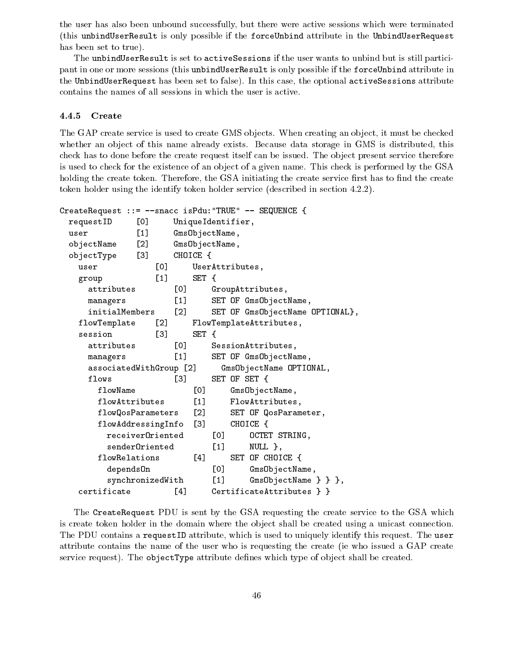the user has also been unbound successfully, but there were active sessions which were terminated (this unbindUserResult isonly possible ifthe forceUnbind attribute in the UnbindUserRequest has been set to true).

The unbindUserResult is set to activeSessions if the user wants to unbind but is still participant in one or more sessions (this unbindUserResult is only possible if the forceUnbind attribute in the UnbindUserRequest has been set to false). In this case, the optional activeSessions attribute contains the names of all sessions in which the user is active.

#### 4.4.5 Create

The GAP create service is used to create GMS objects. When creating an object, it must be checked whether an object of this name already exists. Because data storage in GMS is distributed, this check has to done before the create request itself can be issued. The object present service therefore is used to check for the existence of an object of a given name. This check is performed by the GSA holding the create token. Therefore, the GSA initiating the create service first has to find the create token holder using the identify token holder service (described in section 4.2.2).

```
CreateRequest ::= --snacc isPdu:"TRUE" -- SEQUENCE {
 requestID [0] UniqueIdentifier,
 user [1] GmsObjectName,
 objectName [2] GmsObjectName,
 objectType [3] CHOICE {
   user [0] UserAttributes,
   group [1] SET {
    attributes [0] GroupAttributes,
    managers [1] SET OF GmsObjectName,
    initialMembers [2] SET OF GmsObjectName OPTIONAL},
   flowTemplate [2] FlowTemplateAttributes,
   session [3] SET {
    attributes [0] SessionAttributes,
    managers [1] SET OF GmsObjectName,
    associatedWithGroup [2] GmsObjectName OPTIONAL,
    flows [3] SET OF SET {
      flowName [0] GmsObjectName,
      flowAttributes [1] FlowAttributes,
      flowQosParameters [2] SET OF QosParameter,
      flowAddressingInfo [3] CHOICE {
       receiverOriented [0] OCTET STRING,
       senderOriented [1] NULL },
      flowRelations [4] SET OF CHOICE {
       depends0n [0] Gms0bjectName,
       synchronizedWith [1] GmsObjectName } } },
   certificate [4] CertificateAttributes } }
```
The CreateRequest PDU is sent by the GSA requesting the create service to the GSA which is create token holder in the domain where the object shall be created using a unicast connection. The PDU contains a requestID attribute, which is used to uniquely identify this request. The user attribute contains the name of the user who is requesting the create (ie who issued a GAP create service request). The objectType attribute defines which type of object shall be created.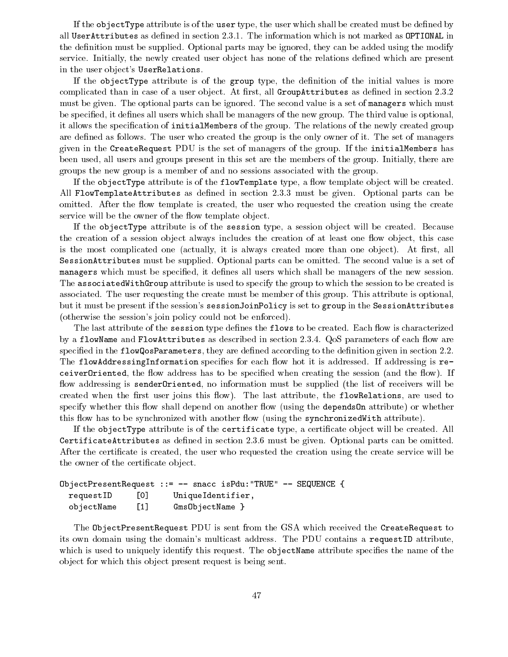If the objectType attribute is of the user type, the user which shall be created must be dened by all UserAttributes as defined in section 2.3.1. The information which is not marked as OPTIONAL in the definition must be supplied. Optional parts may be ignored, they can be added using the modify service. Initially, the newly created user object has none of the relations defined which are present in the user object's UserRelations.

If the objectType attribute is of the group type, the definition of the initial values is more complicated than in case of a user object. At first, all GroupAttributes as defined in section 2.3.2 must be given. The optional parts can be ignored. The second value is a set of managers which must be specified, it defines all users which shall be managers of the new group. The third value is optional, it allows the specification of initialMembers of the group. The relations of the newly created group are defined as follows. The user who created the group is the only owner of it. The set of managers given in the CreateRequest PDU is the set of managers of the group. If the initialMembers has been used, all users and groups present in this set are the members of the group. Initially, there are groups the new group is a member of and no sessions associated with the group.

If the objectType attribute is of the flowTemplate type, a flow template object will be created. All FlowTemplateAttributes as defined in section 2.3.3 must be given. Optional parts can be omitted. After the flow template is created, the user who requested the creation using the create service will be the owner of the flow template object.

If the objectType attribute is of the session type, a session object will be created. Because the creation of a session object always includes the creation of at least one flow object, this case is the most complicated one (actually, it is always created more than one object). At first, all SessionAttributes must be supplied. Optional parts can be omitted. The second value is a set of managers which must be specified, it defines all users which shall be managers of the new session. The associatedWithGroup attribute is used to specify the group to which the session to be created is associated. The user requesting the create must be member of this group. This attribute is optional, but it must be present if the session's sessionJoinPolicy is set to group in the SessionAttributes (otherwise the session's join policy could not be enforced).

The last attribute of the session type defines the flows to be created. Each flow is characterized by a flowName and FlowAttributes as described in section  $2.3.4$ . QoS parameters of each flow are specified in the flowQosParameters, they are defined according to the definition given in section 2.2. The flowAddressingInformation specifies for each flow hot it is addressed. If addressing is receiver Oriented, the flow address has to be specified when creating the session (and the flow). If flow addressing is sender Oriented, no information must be supplied (the list of receivers will be created when the first user joins this flow). The last attribute, the flowRelations, are used to specify whether this flow shall depend on another flow (using the depends On attribute) or whether this flow has to be synchronized with another flow (using the synchronizedWith attribute).

If the objectType attribute is of the certificate type, a certificate object will be created. All CertificateAttributes as defined in section 2.3.6 must be given. Optional parts can be omitted. After the certificate is created, the user who requested the creation using the create service will be the owner of the certificate object.

```
ObjectPresentRequest ::= -- snacc isPdu:"TRUE" -- SEQUENCE {
 requestID [0] UniqueIdentifier,
 objectName [1] GmsObjectName }
```
The ObjectPresentRequest PDU is sent from the GSA which received the CreateRequest to its own domain using the domain's multicast address. The PDU contains a requestID attribute, which is used to uniquely identify this request. The object Name attribute specifies the name of the ob ject for which this ob ject present request is being sent.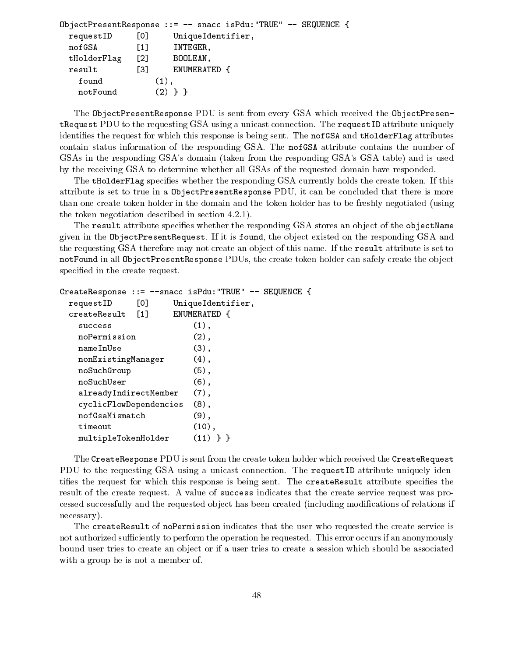```
ObjectPresentResponse ::= -- snacc isPdu:"TRUE" -- SEQUENCE {
 requestID [0] UniqueIdentifier,
 nofGSA [1] INTEGER,
 tHolderFlag [2] BOOLEAN,
 result [3] ENUMERATED {
   found (1),
   notFound (2) } }
```
The ObjectPresentResponse PDU is sent from every GSA which received the ObjectPresentRequest PDU to the requesting GSA using a unicast connection. The requestID attribute uniquely identifies the request for which this response is being sent. The nofGSA and tHolderFlag attributes contain status information of the responding GSA. The nofGSA attribute contains the number of GSAs in the responding GSA's domain (taken from the responding GSA's GSA table) and is used by the receiving GSA to determine whether all GSAs of the requested domain have responded.

The tHolderFlag specifies whether the responding GSA currently holds the create token. If this attribute is set to true in a ObjectPresentResponse PDU, it can be concluded that there is more than one create token holder in the domain and the token holder has to be freshly negotiated (using the token negotiation described in section 4.2.1).

The result attribute specifies whether the responding GSA stores an object of the objectName given in the ObjectPresentRequest. If it is found, the object existed on the responding GSA and the requesting GSA therefore may not create an object of this name. If the result attribute is set to notFound in all ObjectPresentResponse PDUs, the create token holder can safely create the object specified in the create request.

```
CreateResponse ::= --snacc isPdu:"TRUE" -- SEQUENCE {
 requestID [0] UniqueIdentifier,
 createResult [1] ENUMERATED {
   success (1),
   noPermission (2),
  nameInUse (3),
  nonExistingManager (4),
  noSuchGroup (5),
  noSuchUser (6),
   alreadyIndirectMember (7),
   cyclicFlowDependencies (8),
  nofGsaMismatch (9),
   timeout (10),
   multipleTokenHolder (11) } }
```
The CreateResponse PDU is sent from the create token holder which received the CreateRequest PDU to the requesting GSA using a unicast connection. The requestID attribute uniquely identifies the request for which this response is being sent. The createResult attribute specifies the result of the create request. A value of success indicates that the create service request was processed successfully and the requested object has been created (including modifications of relations if necessary).

The createResult of noPermission indicates that the user who requested the create service is not authorized sufficiently to perform the operation he requested. This error occurs if an anonymously bound user tries to create an ob ject or if a user tries to create a session which should be associated with a group he is not a member of.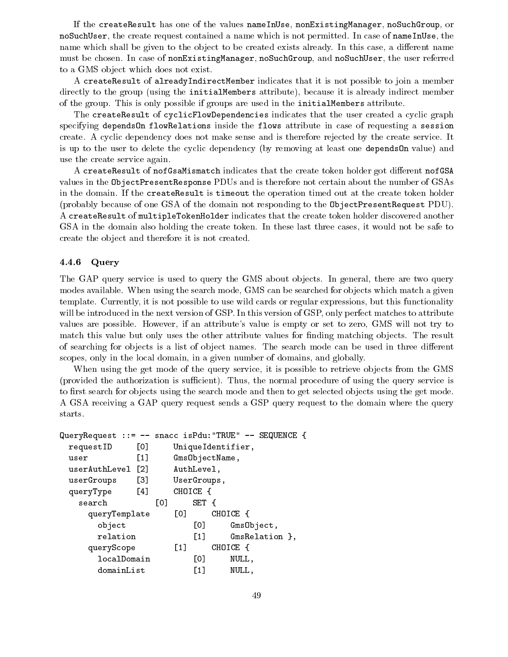If the createResult has one of the values nameInUse, nonExistingManager, noSuchGroup, or noSuchUser, the create request contained a name which is not permitted. In case of nameInUse, the name which shall be given to the object to be created exists already. In this case, a different name must be chosen. In case of nonExistingManager, noSuchGroup, and noSuchUser, the user referred to a GMS object which does not exist.

A createResult of alreadyIndirectMember indicates that it is not possible to join a member directly to the group (using the initialMembers attribute), because it is already indirect member of the group. This is only possible if groups are used in the initialMembers attribute.

The createResult of cyclicFlowDependencies indicates that the user created a cyclic graph specifying dependsOn flowRelations inside the flows attribute in case of requesting a session create. A cyclic dependency does not make sense and is therefore rejected by the create service. It is up to the user to delete the cyclic dependency (by removing at least one dependsOn value) and use the create service again.

A createResult of nofGsaMismatch indicates that the create token holder got different nofGSA values in the ObjectPresentResponse PDUs and is therefore not certain about the number of GSAs in the domain. If the createResult is timeout the operation timed out at the create token holder (probably because of one GSA of the domain not responding to the ObjectPresentRequest PDU). A createResult of multipleTokenHolder indicates that the create token holder discovered another GSA in the domain also holding the create token. In these last three cases, it would not be safe to create the object and therefore it is not created.

### 4.4.6 Query

The GAP query service is used to query the GMS about objects. In general, there are two query modes available. When using the search mode, GMS can be searched for objects which match a given template. Currently, it is not possible to use wild cards or regular expressions, but this functionality will be introduced in the next version of GSP. In this version of GSP, only perfect matches to attribute values are possible. However, if an attribute's value is empty or set to zero, GMS willnot try to match this value but only uses the other attribute values for finding matching objects. The result of searching for objects is a list of object names. The search mode can be used in three different scopes, only in the local domain, in a given number of domains, and globally.

When using the get mode of the query service, it is possible to retrieve objects from the GMS (provided the authorization is sufficient). Thus, the normal procedure of using the query service is to first search for objects using the search mode and then to get selected objects using the get mode. A GSA receiving a GAP query request sends a GSP query request to the domain where the query starts.

```
QueryRequest ::= -- snacc isPdu:"TRUE" -- SEQUENCE {
 requestID [0] UniqueIdentifier,
 user [1] GmsObjectName,
 userAuthLevel [2] AuthLevel,
 userGroups [3] UserGroups,
 queryType [4] CHOICE {
   search [0] SET {
    queryTemplate [0] CHOICE {
      object [0] GmsObject,
     relation [1] GmsRelation },
    queryScope [1] CHOICE {
     localDomain [0] NULL,
     domainList [1] NULL,
```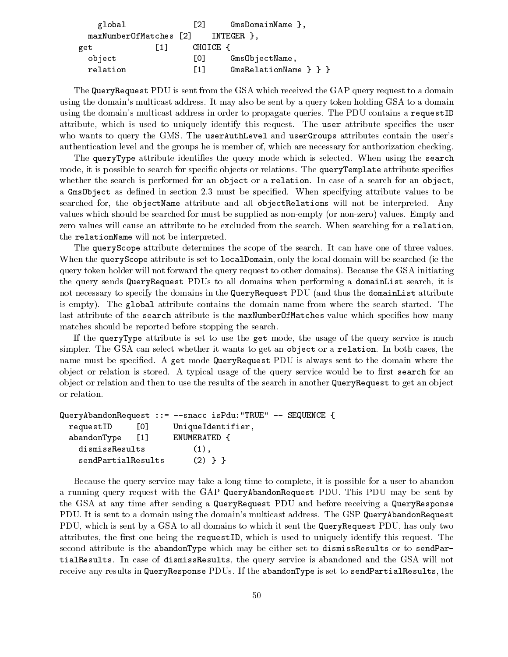| global                 |    | F21.     | $GmsDomainName$ ,       |  |  |
|------------------------|----|----------|-------------------------|--|--|
| maxNumberOfMatches [2] |    |          | INTEGER }.              |  |  |
| get                    | 11 | CHOICE { |                         |  |  |
| object                 |    | L01      | GmsObjectName,          |  |  |
| relation               |    | F1 1     | $GmsRelationName \} \}$ |  |  |

The QueryRequest PDU is sent from the GSA which received the GAP query request to a domain using the domain's multicast address. It may also be sent by a query token holding GSA to a domain using the domain's multicast address in order to propagate queries. The PDU contains a requestID attribute, which is used to uniquely identify this request. The user attribute specifies the user who wants to query the GMS. The userAuthLevel and userGroups attributes contain the user's authentication level and the groups he is member of, which are necessary for authorization checking.

The queryType attribute identifies the query mode which is selected. When using the search mode, it is possible to search for specific objects or relations. The queryTemplate attribute specifies whether the search is performed for an object or a relation. In case of a search for an object, a Gms0bject as defined in section 2.3 must be specified. When specifying attribute values to be searched for, the objectName attribute and all objectRelations will not be interpreted. Any values which should be searched for must be supplied as non-empty (or non-zero) values. Empty and zero values will cause an attribute to be excluded from the search. When searching for a relation, the relationName will not be interpreted.

The queryScope attribute determines the scope of the search. It can have one of three values. When the queryScope attribute is set to localDomain, only the local domain will be searched (ie the query token holder will not forward the query request to other domains). Because the GSA initiating the query sends QueryRequest PDUs to alldomains when performing a domainList search, it is not necessary to specify the domains in the QueryRequest PDU (and thus the domainList attribute is empty). The global attribute contains the domain name from where the search started. The last attribute of the search attribute is the maxNumberOfMatches value which specifies how many matches should be reported before stopping the search.

If the queryType attribute is set to use the get mode, the usage of the query service is much simpler. The GSA can select whether it wants to get an object or a relation. In both cases, the name must be specied. A get mode QueryRequest PDU is always sent to the domain where the object or relation is stored. A typical usage of the query service would be to first search for an object or relation and then to use the results of the search in another QueryRequest to get an object or relation.

```
QueryAbandonRequest ::= --snacc isPdu:"TRUE" -- SEQUENCE {
 requestID [0] UniqueIdentifier,
 abandonType [1] ENUMERATED {
   dismissResults
                          (1),
    sendPartialResults(2) } }
```
Because the query service may take a long time to complete, it is possible for a user to abandon a running query request with the GAP QueryAbandonRequest PDU. This PDU may be sent by the GSA at any time after sending a QueryRequest PDU and before receiving a QueryResponse PDU. It is sent to a domain using the domain's multicast address. The GSP QueryAbandonRequest PDU, which is sent by a GSA to all domains to which it sent the QueryRequest PDU, has only two attributes, the first one being the requestID, which is used to uniquely identify this request. The second attribute is the abandonType which may be either set to dismissResults or to sendPartialResults. In case of dismissResults, the query service is abandoned and the GSA will not receive any results in QueryResponse PDUs. If the abandonType is set to sendPartialResults, the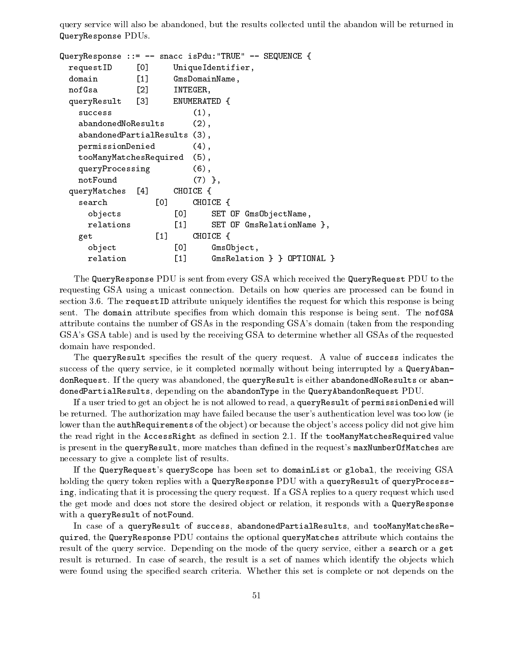query service will also be abandoned, but the results collected until the abandon will be returned in QueryResponse PDUs.

```
QueryResponse ::= -- snacc isPdu:"TRUE" -- SEQUENCE {
 requestID [0] UniqueIdentifier,
 domain [1] GmsDomainName,
 nofGsa [2] INTEGER,
 queryResult [3] ENUMERATED {
   success (1),
   abandonedNoResults (2),
   abandonedPartialResults (3),
   permissionDenied (4),
   tooManyMatchesRequired (5),
  queryProcessing (6),
  notFound (7) },
 queryMatches [4] CHOICE {
   search [0] CHOICE {
    objects [0] SET OF GmsObjectName,
    relations [1] SET OF GmsRelationName },
   get [1] CHOICE {
    object [0] GmsObject,
    relation [1] GmsRelation } } OPTIONAL }
```
The QueryResponse PDU is sent from every GSA which received the QueryRequest PDU to the requesting GSA using a unicast connection. Details on how queries are processed can be found in section 3.6. The requestID attribute uniquely identifies the request for which this response is being sent. The domain attribute specifies from which domain this response is being sent. The nofGSA attribute contains the number of GSAs in the responding GSA's domain (taken from the responding GSA's GSA table) and is used by the receiving GSA to determine whether all GSAs of the requested domain have responded.

The queryResult specifies the result of the query request. A value of success indicates the success of the query service, ie it completed normally without being interrupted by a QueryAbandonRequest. If the query was abandoned, the queryResult is either abandonedNoResults or abandonedPartialResults, depending on the abandonType in the QueryAbandonRequest PDU.

If a user tried to get an object he is not allowed to read, a queryResult of permissionDenied will be returned. The authorization may have failed because the user's authentication level was too low (ie lower than the **authRequirements** of the object) or because the object's access policy did not give him the read right in the AccessRight as defined in section 2.1. If the tooManyMatchesRequired value is present in the queryResult, more matches than defined in the request's maxNumberOfMatches are necessary to give a complete list of results.

If the QueryRequest's queryScope has been set to domainList or global, the receiving GSA holding the query token replies with a QueryResponse PDU with a queryResult of queryProcessing, indicating that it is processing the query request. If a GSA replies to a query request which used the get mode and does not store the desired object or relation, it responds with a QueryResponse with a queryResult of notFound.

In case of a queryResult of success, abandonedPartialResults, and tooManyMatchesRequired, the QueryResponse PDU contains the optional queryMatches attribute which contains the result of the query service. Depending on the mode of the query service, either a search or a get result is returned. In case of search, the result is a set of names which identify the objects which were found using the specified search criteria. Whether this set is complete or not depends on the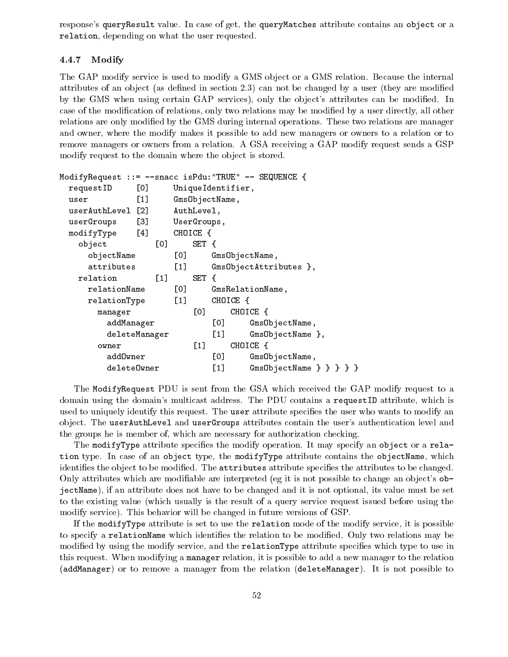response's queryResult value. In case of get, the queryMatches attribute contains an object or a relation, depending on what the user requested.

### 4.4.7 Modify

The GAP modify service is used to modify a GMS object or a GMS relation. Because the internal attributes of an object (as defined in section  $2.3$ ) can not be changed by a user (they are modified by the GMS when using certain GAP services), only the object's attributes can be modified. In case of the modification of relations, only two relations may be modified by a user directly, all other relations are only modified by the GMS during internal operations. These two relations are manager and owner, where the modify makes it possible to add new managers or owners to a relation or to remove managers or owners from a relation. A GSA receiving a GAP modify request sends a GSP modify request to the domain where the object is stored.

```
ModifyRequest ::= --snacc isPdu:"TRUE" -- SEQUENCE {
 requestID [0] UniqueIdentifier,
 user [1] GmsObjectName,
 userAuthLevel [2] AuthLevel,
 userGroups [3] UserGroups,
 modifyType [4] CHOICE {
   object [0] SET {
    objectName [0] GmsObjectName,
    attributes [1] GmsObjectAttributes },
  relation [1] SET {
    relationName [0] GmsRelationName,
    relationType [1] CHOICE {
     manager [0] CHOICE {
       addManager [0] GmsObjectName,
       deleteManager [1] GmsObjectName },
      owner [1] CHOICE {
       addOwner [0] GmsObjectName,
       deleteOwner [1] GmsObjectName } } } }
```
The ModifyRequest PDU is sent from the GSA which received the GAP modify request to a domain using the domain's multicast address. The PDU contains a requestID attribute, which is used to uniquely identify this request. The user attribute specifies the user who wants to modify an ob ject. The userAuthLevel and userGroups attributes contain the user's authentication level and the groups he is member of, which are necessary for authorization checking.

The modifyType attribute specifies the modify operation. It may specify an object or a relation type. In case of an object type, the modifyType attribute contains the objectName, which identifies the object to be modified. The attributes attribute specifies the attributes to be changed. Only attributes which are modifiable are interpreted (eg it is not possible to change an object's  $ob$ jectName), if an attribute does not have to be changed and it is not optional, its value must be set to the existing value (which usually is the result of a query service request issued before using the modify service). This behavior will be changed in future versions of GSP.

If the modifyType attribute is set to use the relation mode of the modify service, it is possible to specify a relationName which identifies the relation to be modified. Only two relations may be modified by using the modify service, and the relationType attribute specifies which type to use in this request. When modifying a manager relation, it is possible to add a new manager to the relation (addManager) or to remove a manager from the relation (deleteManager). It is not possible to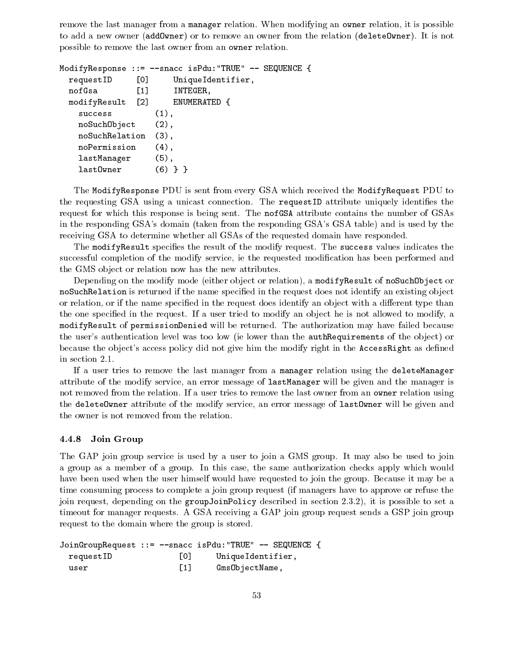remove the last manager from a manager relation. When modifying an owner relation, it is possible to add a new owner (addOwner) or to remove an owner from the relation (deleteOwner). It is not possible to remove the last owner from an owner relation.

```
ModifyResponse ::= --snacc isPdu:"TRUE" -- SEQUENCE {
 requestID [0] UniqueIdentifier,
 nofGsa [1] INTEGER,
 modifyResult [2] ENUMERATED {
   success (1),
   noSuchObject (2),
   noSuchRelation (3),
   noPermission (4),
   lastManager (5),
   lastOwner (6) } }
```
The ModifyResponse PDU is sent from every GSA which received the ModifyRequest PDU to the requesting GSA using a unicast connection. The requestID attribute uniquely identifies the request for which this response is being sent. The nofGSA attribute contains the number of GSAs in the responding GSA's domain (taken from the responding GSA's GSA table) and is used by the receiving GSA to determine whether all GSAs of the requested domain have responded.

The modifyResult specifies the result of the modify request. The success values indicates the successful completion of the modify service, ie the requested modication has been performed and the GMS object or relation now has the new attributes.

Depending on the modify mode (either object or relation), a modifyResult of noSuchObject or noSuchRelation is returned if the name specified in the request does not identify an existing object or relation, or if the name specified in the request does identify an object with a different type than the one specified in the request. If a user tried to modify an object he is not allowed to modify, a modifyResult of permissionDenied will be returned. The authorization may have failed because the user's authentication level was too low (ie lower than the **authRequirements** of the object) or because the object's access policy did not give him the modify right in the AccessRight as defined in section 2.1.

If a user tries to remove the last manager from a manager relation using the deleteManager attribute of the modify service, an error message of lastManager will be given and the manager is not removed from the relation. If a user tries to remove the last owner from an owner relation using the deleteOwner attribute of the modify service, an error message of lastOwner will be given and the owner is not removed from the relation.

#### 4.4.8 Join Group

The GAP join group service is used by a user to join a GMS group. It may also be used to join a group as a member of a group. In this case, the same authorization checks apply which would have been used when the user himself would have requested to join the group. Because it may be a time consuming process to complete a join group request (if managers have to approve or refuse the join request, depending on the groupJoinPolicy described in section 2.3.2), it is possible to set a timeout for manager requests. A GSA receiving a GAP join group request sends a GSP join group request to the domain where the group is stored.

```
JoinGroupRequest ::= --snacc isPdu:"TRUE" -- SEQUENCE {
 requestID [0] UniqueIdentifier,
 user [1] GmsObjectName,
```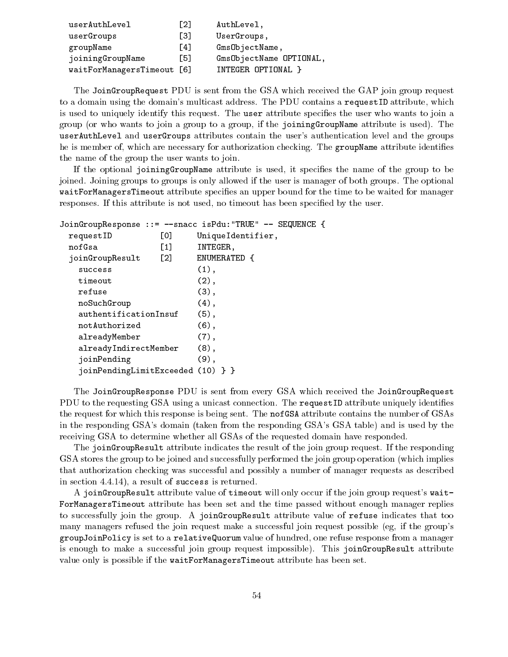| userAuthLevel              | [2] | AuthLevel,              |
|----------------------------|-----|-------------------------|
| userGroups                 | [3] | UserGroups,             |
| groupName                  | [4] | GmsObjectName,          |
| joiningGroupName           | F51 | GmsObjectName OPTIONAL, |
| waitForManagersTimeout [6] |     | INTEGER OPTIONAL }      |

The JoinGroupRequest PDU is sent from the GSA which received the GAP join group request to a domain using the domain's multicast address. The PDU contains a requestID attribute, which is used to uniquely identify this request. The user attribute specifies the user who wants to join a group (or who wants to join a group to a group, if the joiningGroupName attribute is used). The userAuthLevel and userGroups attributes contain the user's authentication level and the groups he is member of, which are necessary for authorization checking. The groupName attribute identifies the name of the group the user wants to join.

If the optional joiningGroupName attribute is used, it specifies the name of the group to be joined. Joining groups to groups is only allowed if the user is manager of both groups. The optional waitForManagersTimeout attribute specifies an upper bound for the time to be waited for manager responses. If this attribute is not used, no timeout has been specied by the user.

```
JoinGroupResponse ::= --snacc isPdu:"TRUE" -- SEQUENCE {
 requestID [0] UniqueIdentifier,
  nofGsa in International International International International International International International In
 joinGroupResult [2] ENUMERATED {
   success (1),
   timeout (2),
   refuse (3),
   noSuchGroup (4),
   authentificationInsuf (5),
   notAuthorized (6),
   alreadyMember (7),
   alreadyIndirectMember (8),
   joinPending (9),
   joinPendingLimitExceeded (10) } }
```
The JoinGroupResponse PDU is sent from every GSA which received the JoinGroupRequest PDU to the requesting GSA using a unicast connection. The requestID attribute uniquely identifies the request for which this response is being sent. The nofGSA attribute contains the number of GSAs in the responding GSA's domain (taken from the responding GSA's GSA table) and is used by the receiving GSA to determine whether all GSAs of the requested domain have responded.

The joinGroupResult attribute indicates the result of the join group request. If the responding GSA stores the group to be joined and successfully performed the join group operation (which implies that authorization checking was successful and possibly a number of manager requests as described in section 4.4.14), a result of success is returned.

A joinGroupResult attribute value of timeout will only occur if the join group request's wait-ForManagersTimeout attribute has been set and the time passed without enough manager replies to successfully join the group. A joinGroupResult attribute value of refuse indicates that too many managers refused the join request make a successful join request possible (eg, if the group's groupJoinPolicy is set to a relativeQuorum value of hundred, one refuse response from a manager is enough to make a successful join group request impossible). This joinGroupResult attribute value only is possible if the waitForManagersTimeout attribute has been set.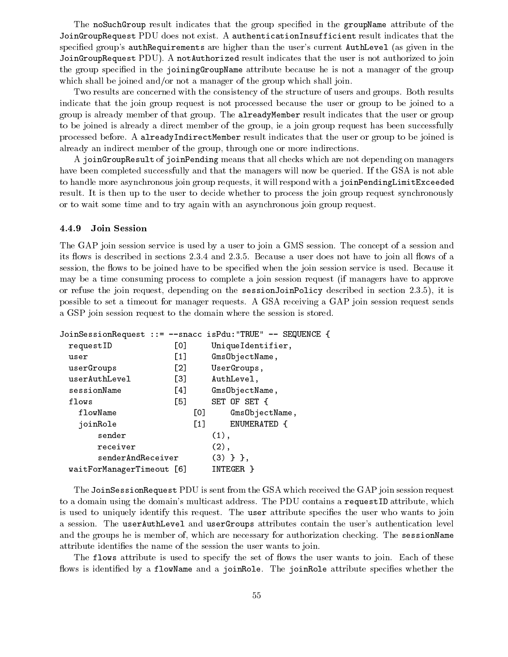The noSuchGroup result indicates that the group specified in the groupName attribute of the JoinGroupRequest PDU does not exist. A authenticationInsufficient result indicates that the specified group's authRequirements are higher than the user's current AuthLevel (as given in the JoinGroupRequest PDU). A notAuthorized result indicates that the user is not authorized to join the group specied in the joiningGroupName attribute because he is not a manager of the group which shall be joined and/or not a manager of the group which shall join.

Two results are concerned with the consistency of the structure of users and groups. Both results indicate that the join group request is not processed because the user or group to be joined to a group is already member of that group. The alreadyMember result indicates that the user or group to be joined is already a direct member of the group, ie a join group request has been successfully processed before. A alreadyIndirectMember result indicates that the user or group to be joined is already an indirect member of the group, through one or more indirections.

A joinGroupResult of joinPending means that all checks which are not depending on managers have been completed successfully and that the managers will now be queried. If the GSA is not able to handle more asynchronous join group requests, it will respond with a joinPendingLimitExceeded result. It is then up to the user to decide whether to process the join group request synchronously or to wait some time and to try again with an asynchronous join group request.

#### 4.4.9 Join Session

The GAP join session service is used by a user to join a GMS session. The concept of a session and its flows is described in sections  $2.3.4$  and  $2.3.5$ . Because a user does not have to join all flows of a session, the flows to be joined have to be specified when the join session service is used. Because it may be a time consuming process to complete a join session request (if managers have to approve or refuse the join request, depending on the sessionJoinPolicy described in section 2.3.5), it is possible to set a timeout for manager requests. A GSA receiving a GAP join session request sends a GSP join session request to the domain where the session is stored.

|                           |                                                        |       | JoinSessionRequest ::= --snacc isPdu:"TRUE" -- SEQUENCE { |
|---------------------------|--------------------------------------------------------|-------|-----------------------------------------------------------|
| requestID                 | [0]                                                    |       | Unique Identifier,                                        |
| user                      | $\left[1\right]$                                       |       | GmsObjectName,                                            |
| userGroups                | $\lceil 2 \rceil$                                      |       | UserGroups,                                               |
| userAuthLevel             | $\left[\begin{smallmatrix} 3 \end{smallmatrix}\right]$ |       | AuthLevel,                                                |
| sessionName               | [4]                                                    |       | Gms ObjectName,                                           |
| flows                     | [5]                                                    |       | SET OF SET {                                              |
| flowName                  |                                                        | гот   | GmsObjectName,                                            |
| joinRole                  |                                                        | $[1]$ | ENUMERATED {                                              |
| sender                    |                                                        |       | $(1)$ ,                                                   |
| receiver                  |                                                        |       | $(2)$ ,                                                   |
| senderAndReceiver         |                                                        |       | $(3)$ } },                                                |
| waitForManagerTimeout [6] |                                                        |       | INTEGER                                                   |

The JoinSessionRequest PDU is sent from the GSA which received the GAP join session request to a domain using the domain's multicast address. The PDU contains a requestID attribute, which is used to uniquely identify this request. The user attribute specifies the user who wants to join a session. The userAuthLevel and userGroups attributes contain the user's authentication level and the groups he is member of, which are necessary for authorization checking. The sessionName attribute identifies the name of the session the user wants to join.

The flows attribute is used to specify the set of flows the user wants to join. Each of these flows is identified by a flowName and a joinRole. The joinRole attribute specifies whether the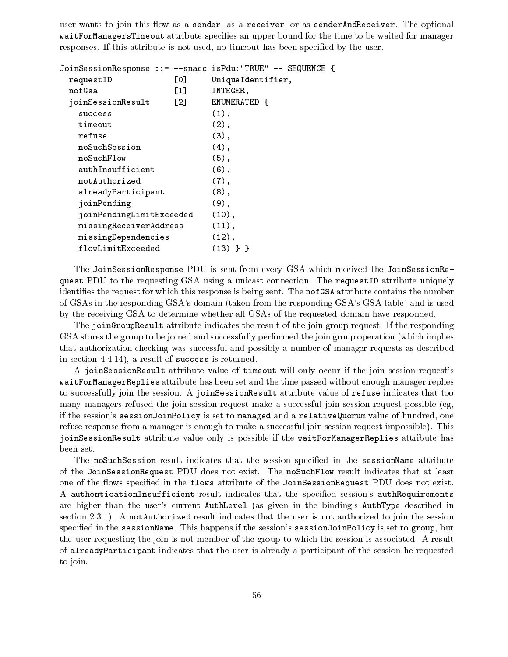user wants to join this flow as a sender, as a receiver, or as senderAndReceiver. The optional waitForManagersTimeout attribute specifies an upper bound for the time to be waited for manager responses. If this attribute is not used, no timeout has been specied by the user.

|                          |                   | JoinSessionResponse ::= --snacc isPdu: "TRUE" -- SEQUENCE { |
|--------------------------|-------------------|-------------------------------------------------------------|
| requestID                | L0J               | UniqueIdentifier,                                           |
| nofGsa                   | $\lceil 1 \rceil$ | INTEGER,                                                    |
| joinSessionResult        | $\lceil 2 \rceil$ | ENUMERATED {                                                |
| success                  |                   | $(1)$ ,                                                     |
| timeout                  |                   | $(2)$ ,                                                     |
| refuse                   |                   | $(3)$ ,                                                     |
| noSuchSession            |                   | $(4)$ ,                                                     |
| noSuchFlow               |                   | $(5)$ ,                                                     |
| authInsufficient         |                   | $(6)$ ,                                                     |
| notAuthorized            |                   | $(7)$ ,                                                     |
| alreadyParticipant       |                   | $(8)$ ,                                                     |
| joinPending              |                   | $(9)$ ,                                                     |
| joinPendingLimitExceeded |                   | $(10)$ ,                                                    |
| missingReceiverAddress   |                   | (11),                                                       |
| missingDependencies      |                   | (12),                                                       |
| flowLimitExceeded        |                   | $(13)$ } }                                                  |

The JoinSessionResponse PDU is sent from every GSA which received the JoinSessionRequest PDU to the requesting GSA using a unicast connection. The requestID attribute uniquely identifies the request for which this response is being sent. The nofGSA attribute contains the number of GSAs in the responding GSA's domain (taken from the responding GSA's GSA table) and is used by the receiving GSA to determine whether all GSAs of the requested domain have responded.

The joinGroupResult attribute indicates the result of the join group request. If the responding GSA stores the group to be joined and successfully performed the join group operation (which implies that authorization checking was successful and possibly a number of manager requests as described in section 4.4.14), a result of success is returned.

A joinSessionResult attribute value of timeout will only occur if the join session request's waitForManagerReplies attribute has been set and the time passed without enough manager replies to successfully join the session. A joinSessionResult attribute value of refuse indicates that too many managers refused the join session request make a successful join session request possible (eg, if the session's sessionJoinPolicy is set to managed and a relativeQuorum value of hundred, one refuse response from a manager is enough to make a successful join session request impossible). This joinSessionResult attribute value only is possible if the waitForManagerReplies attribute has been set.

The noSuchSession result indicates that the session specified in the sessionName attribute of the JoinSessionRequest PDU does not exist. The noSuchFlow result indicates that at least one of the flows specified in the flows attribute of the JoinSessionRequest PDU does not exist. A authenticationInsufficient result indicates that the specified session's authRequirements are higher than the user's current AuthLevel (as given in the binding's AuthType described in section 2.3.1). A notAuthorized result indicates that the user is not authorized to join the session specied in the sessionName. This happens if the session's sessionJoinPolicy is set to group, but the user requesting the join is not member of the group to which the session is associated. A result of alreadyParticipant indicates that the user is already a participant of the session he requested to join.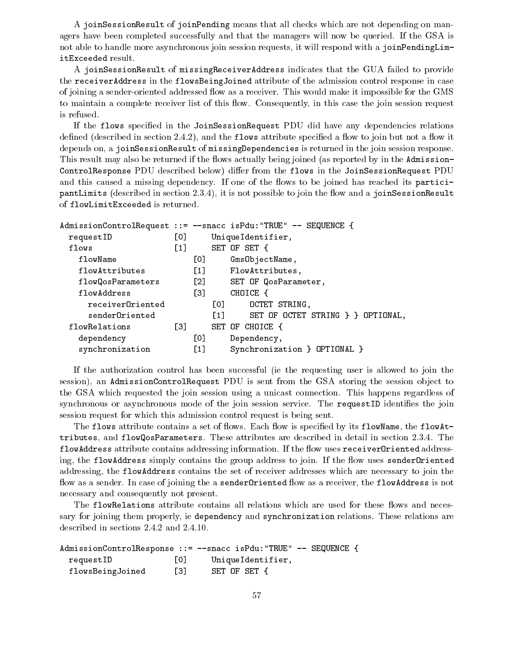A joinSessionResult of joinPending means that all checks which are not depending on managers have been completed successfully and that the managers will now be queried. If the GSA is not able to handle more asynchronous join session requests, it will respond with a joinPendingLimitExceeded result.

A joinSessionResult of missingReceiverAddress indicates that the GUA failed to provide the receiverAddress in the flowsBeingJoined attribute of the admission control response in case of joining a sender-oriented addressed flow as a receiver. This would make it impossible for the GMS to maintain a complete receiver list of this flow. Consequently, in this case the join session request is refused.

If the flows specified in the JoinSessionRequest PDU did have any dependencies relations defined (described in section  $2.4.2$ ), and the flows attribute specified a flow to join but not a flow it depends on, a joinSessionResult of missingDependencies is returned in the join session response. This result may also be returned if the flows actually being joined (as reported by in the Admission-ControlResponse PDU described below) differ from the flows in the JoinSessionRequest PDU and this caused a missing dependency. If one of the flows to be joined has reached its participantLimits (described in section 2.3.4), it is not possible to join the flow and a joinSessionResult of flowLimitExceeded is returned.

```
AdmissionControlRequest ::= --snacc isPdu:"TRUE" -- SEQUENCE {
 requestID [0] UniqueIdentifier,
 flows [1] SET OF SET {
  flowName [0] GmsObjectName,
  flowAttributes [1] FlowAttributes,
  flowQosParameters [2] SET OF QosParameter,
  flowAddress [3] CHOICE {
    receiverOriented [0] OCTET STRING,
    senderOriented [1] SET OF OCTET STRING } } OPTIONAL,
 flowRelations [3] SET OF CHOICE {
   dependency [0] Dependency,
   synchronization [1] Synchronization } OPTIONAL }
```
If the authorization control has been successful (ie the requesting user is allowed to join the session), an AdmissionControlRequest PDU is sent from the GSA storing the session object to the GSA which requested the join session using a unicast connection. This happens regardless of synchronous or asynchronous mode of the join session service. The requestID identifies the join session request for which this admission control request is being sent.

The flows attribute contains a set of flows. Each flow is specified by its flowName, the flowAttributes, and flowQosParameters. These attributes are described in detail in section 2.3.4. The flowAddress attribute contains addressing information. If the flow uses receiver0riented addressing, the flowAddress simply contains the group address to join. If the flow uses sender Oriented addressing, the flowAddress contains the set of receiver addresses which are necessary to join the flow as a sender. In case of joining the a sender Oriented flow as a receiver, the flowAddress is not necessary and consequently not present.

The flowRelations attribute contains all relations which are used for these flows and necessary for joining them properly, ie dependency and synchronization relations. These relations are described in sections 2.4.2 and 2.4.10.

|                  |       | AdmissionControlResponse ::= --snacc isPdu:"TRUE" -- SEQUENCE { |  |
|------------------|-------|-----------------------------------------------------------------|--|
| requestID        | 0     | UniqueIdentifier,                                               |  |
| flowsBeingJoined | T31 - | SET OF SET {                                                    |  |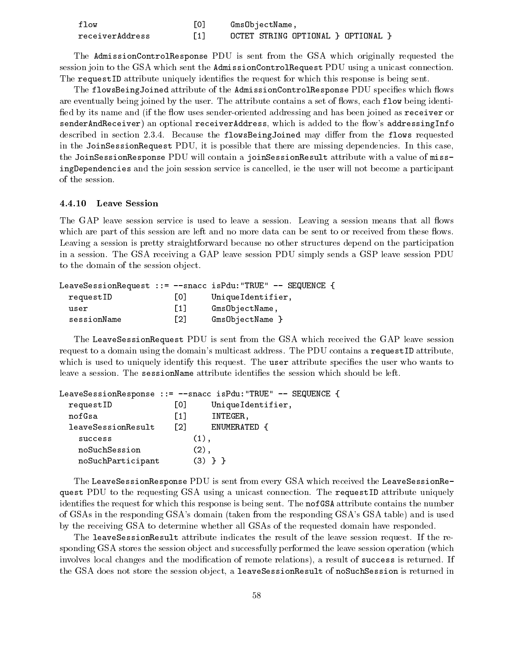| flow            | GmsObjectName,                    |
|-----------------|-----------------------------------|
| receiverAddress | OCTET STRING OPTIONAL } OPTIONAL, |

The AdmissionControlResponse PDU is sent from the GSA which originally requested the session join to the GSA which sent the AdmissionControlRequest PDU using a unicast connection. The request ID attribute uniquely identifies the request for which this response is being sent.

The flowsBeingJoined attribute of the AdmissionControlResponse PDU specifies which flows are eventually being joined by the user. The attribute contains a set of flows, each flow being identified by its name and (if the flow uses sender-oriented addressing and has been joined as receiver or senderAndReceiver) an optional receiverAddress, which is added to the flow's addressingInfo described in section 2.3.4. Because the flowsBeingJoined may differ from the flows requested in the JoinSessionRequest PDU, it is possible that there are missing dependencies. In this case, the JoinSessionResponse PDU will contain a joinSessionResult attribute with a value of missingDependencies and the join session service is cancelled, ie the user will not become a participant of the session.

The GAP leave session service is used to leave a session. Leaving a session means that all flows which are part of this session are left and no more data can be sent to or received from these flows. Leaving a session is pretty straightforward because no other structures depend on the participation in a session. The GSA receiving a GAP leave session PDU simply sends a GSP leave session PDU to the domain of the session object.

|             |                   | Leave Session Request ::= $-$ -snacc is Pdu: "TRUE" $-$ - SEQUENCE { |
|-------------|-------------------|----------------------------------------------------------------------|
| requestID   | 101               | UniqueIdentifier,                                                    |
| user        | $\lceil 1 \rceil$ | GmsObjectName,                                                       |
| sessionName | $\lceil 2 \rceil$ | GmsObjectName                                                        |

The LeaveSessionRequest PDU is sent from the GSA which received the GAP leave session request to a domain using the domain's multicast address. The PDU contains a requestID attribute, which is used to uniquely identify this request. The user attribute specifies the user who wants to leave a session. The sessionName attribute identifies the session which should be left.

|                    |     | LeaveSessionResponse ::= $--$ snacc isPdu:"TRUE" $--$ SEQUENCE { |
|--------------------|-----|------------------------------------------------------------------|
| requestID          | L0J | Unique Identifier,                                               |
| nofGsa             | F11 | INTEGER,                                                         |
| leaveSessionResult | F21 | ENUMERATED {                                                     |
| success            |     | $(1)$ ,                                                          |
| noSuchSession      |     | $(2)$ .                                                          |
| noSuchParticipant  |     | $(3)$ 1                                                          |

The LeaveSessionResponse PDU is sent from every GSA which received the LeaveSessionRequest PDU to the requesting GSA using a unicast connection. The requestID attribute uniquely identifies the request for which this response is being sent. The not GSA attribute contains the number of GSAs in the responding GSA's domain (taken from the responding GSA's GSA table) and is used by the receiving GSA to determine whether all GSAs of the requested domain have responded.

The leaveSessionResult attribute indicates the result of the leave session request. If the responding GSA stores the session object and successfully performed the leave session operation (which involves local changes and the modification of remote relations), a result of success is returned. If the GSA does not store the session object, a leave SessionResult of noSuchSession is returned in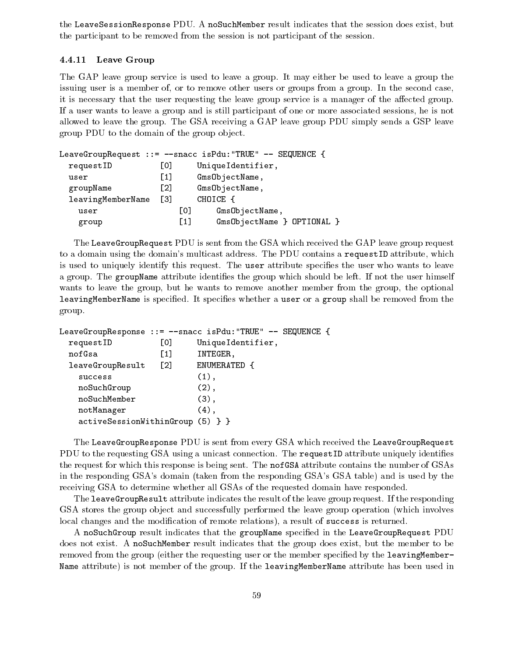the LeaveSessionResponse PDU. A noSuchMember result indicates that the session does exist, but the participant to be removed from the session is not participant of the session.

### 4.4.11 Leave Group

The GAP leave group service is used to leave a group. It may either be used to leave a group the issuing user is a member of, or to remove other users or groups from a group. In the second case, it is necessary that the user requesting the leave group service is a manager of the affected group. If a user wants to leave a group and is still participant of one or more associated sessions, he is not allowed to leave the group. The GSA receiving a GAP leave group PDU simply sends a GSP leave group PDU to the domain of the group object.

|                   |                   |                   | LeaveGroupRequest ::= --snacc isPdu:"TRUE" -- SEQUENCE { |
|-------------------|-------------------|-------------------|----------------------------------------------------------|
| requestID         | [0]               |                   | UniqueIdentifier,                                        |
| user              | $\lceil 1 \rceil$ |                   | GmsObjectName,                                           |
| groupName         | $\lceil 2 \rceil$ |                   | GmsObjectName,                                           |
| leavingMemberName | - F3 T            |                   | CHOICE {                                                 |
| user              |                   | L01               | GmsObjectName,                                           |
| group             |                   | $\lceil 1 \rceil$ | GmsObjectName } OPTIONAL }                               |

The LeaveGroupRequest PDU is sent from the GSA which received the GAP leave group request to a domain using the domain's multicast address. The PDU contains a requestID attribute, which is used to uniquely identify this request. The user attribute specifies the user who wants to leave a group. The groupName attribute identifies the group which should be left. If not the user himself wants to leave the group, but he wants to remove another member from the group, the optional leavingMemberName is specified. It specifies whether a user or a group shall be removed from the group.

```
LeaveGroupResponse ::= --snacc isPdu:"TRUE" -- SEQUENCE {
 requestID [0] UniqueIdentifier,
 nofGsa [1] INTEGER,
 leaveGroupResult [2] ENUMERATED {
   success (1),
   noSuchGroup (2),
   noSuchMember (3),
   notManager (4),
   activeSessionWithinGroup (5) } }
```
The LeaveGroupResponse PDU is sent from every GSA which received the LeaveGroupRequest PDU to the requesting GSA using a unicast connection. The requestID attribute uniquely identifies the request for which this response is being sent. The nofGSA attribute contains the number of GSAs in the responding GSA's domain (taken from the responding GSA's GSA table) and is used by the receiving GSA to determine whether all GSAs of the requested domain have responded.

The leaveGroupResult attribute indicates the result of the leave group request. If the responding GSA stores the group object and successfully performed the leave group operation (which involves local changes and the modification of remote relations), a result of success is returned.

A noSuchGroup result indicates that the groupName specified in the LeaveGroupRequest PDU does not exist. A noSuchMember result indicates that the group does exist, but the member to be removed from the group (either the requesting user or the member specied by the leavingMember-Name attribute) is not member of the group. If the leavingMemberName attribute has been used in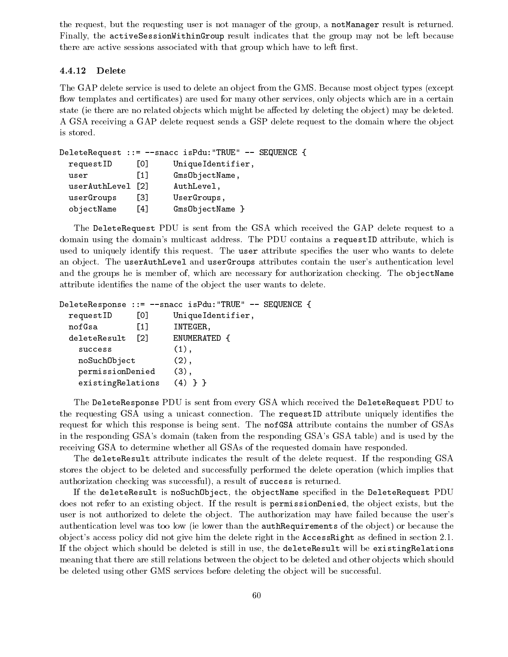the request, but the requesting user is not manager of the group, a notManager result is returned. Finally, the activeSessionWithinGroup result indicates that the group may not be left because there are active sessions associated with that group which have to left first.

#### 4.4.12 Delete

The GAP delete service is used to delete an object from the GMS. Because most object types (except flow templates and certificates) are used for many other services, only objects which are in a certain state (ie there are no related objects which might be affected by deleting the object) may be deleted. A GSA receiving a GAP delete request sends a GSP delete request to the domain where the object is stored.

```
DeleteRequest ::= --snacc isPdu:"TRUE" -- SEQUENCE {
 requestID [0] UniqueIdentifier,
 user [1] GmsObjectName,
 userAuthLevel [2] AuthLevel,
 userGroups [3] UserGroups,
 objectName [4] GmsObjectName }
```
The DeleteRequest PDU is sent from the GSA which received the GAP delete request to a domain using the domain's multicast address. The PDU contains a requestID attribute, which is used to uniquely identify this request. The user attribute specifies the user who wants to delete an object. The userAuthLevel and userGroups attributes contain the user's authentication level and the groups he is member of, which are necessary for authorization checking. The objectName attribute identifies the name of the object the user wants to delete.

```
DeleteResponse ::= --snacc isPdu:"TRUE" -- SEQUENCE {
 requestID [0] UniqueIdentifier,
 nofGsa [1] INTEGER,
 deleteResult [2] ENUMERATED {
   success (1),
   noSuchObject (2),
   permissionDenied (3),
   existingRelations (4) } }
```
The DeleteResponse PDU is sent from every GSA which received the DeleteRequest PDU to the requesting GSA using a unicast connection. The requestID attribute uniquely identifies the request for which this response is being sent. The nofGSA attribute contains the number of GSAs in the responding GSA's domain (taken from the responding GSA's GSA table) and is used by the receiving GSA to determine whether all GSAs of the requested domain have responded.

The deleteResult attribute indicates the result of the delete request. If the responding GSA stores the object to be deleted and successfully performed the delete operation (which implies that authorization checking was successful), a result of success is returned.

If the deleteResult is noSuchObject, the objectName specied in the DeleteRequest PDU does not refer to an existing object. If the result is permissionDenied, the object exists, but the user is not authorized to delete the object. The authorization may have failed because the user's authentication level was too low (ie lower than the authRequirements of the ob ject) or because the object's access policy did not give him the delete right in the **Access Right** as defined in section 2.1. If the object which should be deleted is still in use, the deleteResult will be existingRelations meaning that there are still relations between the object to be deleted and other objects which should be deleted using other GMS services before deleting the object will be successful.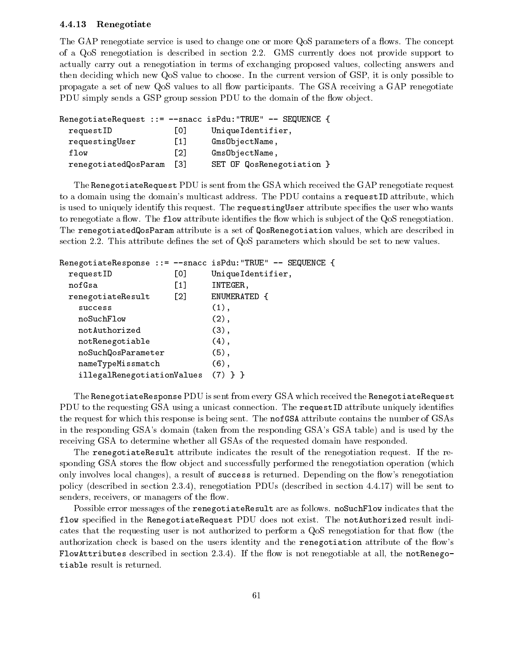#### 4.4.13 Renegotiate

The GAP renegotiate service is used to change one or more QoS parameters of a flows. The concept of a QoS renegotiation is described in section 2.2.GMS currently does not provide support to actually carry out a renegotiation in terms of exchanging proposed values, collecting answers and then deciding which new QoS value to choose. In the current version of GSP, it is only possible to propagate a set of new QoS values to all flow participants. The GSA receiving a GAP renegotiate PDU simply sends a GSP group session PDU to the domain of the flow object.

|                      |       | RenegotiateRequest ::= $-$ snacc isPdu: "TRUE" -- SEQUENCE { |
|----------------------|-------|--------------------------------------------------------------|
| requestID            | Lo J  | UniqueIdentifier,                                            |
| requestingUser       | $[1]$ | GmsObjectName,                                               |
| flow                 | [2]   | GmsObjectName,                                               |
| renegotiatedQosParam | [3]   | SET OF QosRenegotiation }                                    |

The RenegotiateRequest PDU is sent from the GSA which received the GAP renegotiate request to a domain using the domain's multicast address. The PDU contains a requestID attribute, which is used to uniquely identify this request. The requesting User attribute specifies the user who wants to renegotiate a flow. The flow attribute identifies the flow which is subject of the QoS renegotiation. The renegotiatedQosParam attribute is a set of QosRenegotiation values, which are described in section 2.2. This attribute defines the set of QoS parameters which should be set to new values.

|                            |                   | RenegotiateResponse ::= --snacc isPdu: "TRUE" -- SEQUENCE { |
|----------------------------|-------------------|-------------------------------------------------------------|
| requestID                  | [0]               | Unique Identifier,                                          |
| nofGsa                     | $\lceil 1 \rceil$ | INTEGER,                                                    |
| renegotiateResult          | $\lceil 2 \rceil$ | ENUMERATED {                                                |
| success                    |                   | $(1)$ ,                                                     |
| noSuchFlow                 |                   | $(2)$ ,                                                     |
| notAuthorized              |                   | $(3)$ ,                                                     |
| notRenegotiable            |                   | $(4)$ ,                                                     |
| noSuchQosParameter         |                   | $(5)$ ,                                                     |
| nameTypeMissmatch          |                   | $(6)$ ,                                                     |
| illegalRenegotiationValues |                   |                                                             |

The RenegotiateResponse PDU is sent from every GSA which received the RenegotiateRequest PDU to the requesting GSA using a unicast connection. The requestID attribute uniquely identifies the request for which this response is being sent. The nofGSA attribute contains the number of GSAs in the responding GSA's domain (taken from the responding GSA's GSA table) and is used by the receiving GSA to determine whether all GSAs of the requested domain have responded.

The renegotiateResult attribute indicates the result of the renegotiation request. If the responding GSA stores the flow object and successfully performed the renegotiation operation (which only involves local changes), a result of success is returned. Depending on the flow's renegotiation policy (described in section 2.3.4), renegotiation PDUs (described in section 4.4.17) will be sent to senders, receivers, or managers of the flow.

Possible error messages of the renegotiateResult are as follows. noSuchFlow indicates that the flow specified in the RenegotiateRequest PDU does not exist. The notAuthorized result indicates that the requesting user is not authorized to perform a QoS renegotiation for that flow (the authorization check is based on the users identity and the renegotiation attribute of the flow's FlowAttributes described in section 2.3.4). If the flow is not renegotiable at all, the notRenegotiable result is returned.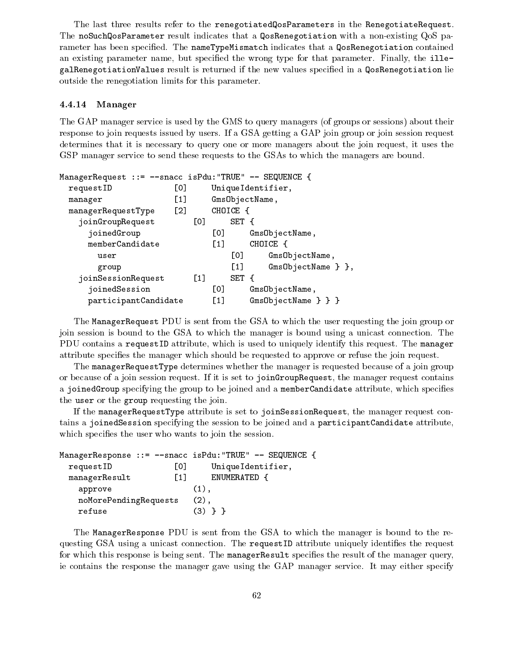The last three results refer to the renegotiatedQosParameters in the RenegotiateRequest. The noSuchQosParameter result indicates that a QosRenegotiation with a non-existing QoS parameter has been specified. The nameTypeMismatch indicates that a QosRenegotiation contained an existing parameter name, but specified the wrong type for that parameter. Finally, the illegalRenegotiationValues result is returned if the new values specied in a QosRenegotiation lie outside the renegotiation limits for this parameter.

#### 4.4.14 Manager

The GAP manager service is used by the GMS to query managers (of groups or sessions) about their response to join requests issued by users. If a GSA getting a GAP join group or join session request determines that it is necessary to query one or more managers about the join request, it uses the GSP manager service to send these requests to the GSAs to which the managers are bound.

| ManagerRequest ::= --snacc isPdu:"TRUE" -- SEQUENCE { |                   |                  |                  |          |                       |
|-------------------------------------------------------|-------------------|------------------|------------------|----------|-----------------------|
| requestID                                             | [0]               |                  |                  |          | Unique Identifier,    |
| manager                                               | [1]               |                  |                  |          | GmsObjectName,        |
| managerRequestType                                    | $\lceil 2 \rceil$ |                  |                  | CHOICE { |                       |
| joinGroupRequest                                      |                   | [0]              |                  | SET {    |                       |
| joinedGroup                                           |                   |                  | [0]              |          | GmsObjectName,        |
| memberCandidate                                       |                   |                  | $\left[1\right]$ |          | CHOICE {              |
| user                                                  |                   |                  |                  | [0]      | GmsObjectName,        |
| group                                                 |                   |                  |                  | $[1]$    |                       |
| joinSessionRequest                                    |                   | $\left[1\right]$ |                  | SET {    |                       |
| joinedSession                                         |                   |                  | [0]              |          | GmsObjectName,        |
| participantCandidate                                  |                   |                  | $[1]$            |          | $GmsObjectName \} \}$ |

The ManagerRequest PDU is sent from the GSA to which the user requesting the join group or join session is bound to the GSA to which the manager is bound using a unicast connection. The PDU contains a requestID attribute, which is used to uniquely identify this request. The manager attribute specifies the manager which should be requested to approve or refuse the join request.

The managerRequestType determines whether the manager is requested because of a join group or because of a join session request. If it is set to joinGroupRequest, the manager request contains a joinedGroup specifying the group to be joined and a memberCandidate attribute, which specifies the user or the group requesting the join.

If the managerRequestType attribute is set to joinSessionRequest, the manager request contains a joinedSession specifying the session to be joined and a participantCandidate attribute, which specifies the user who wants to join the session.

|                       |                   | ManagerResponse ::= --snacc isPdu: "TRUE" -- SEQUENCE { |  |
|-----------------------|-------------------|---------------------------------------------------------|--|
| requestID             | LOJ               | Unique Identifier,                                      |  |
| managerResult         | $\lceil 1 \rceil$ | ENUMERATED {                                            |  |
| approve               |                   | $(1)$ .                                                 |  |
| noMorePendingRequests |                   | $(2)$ .                                                 |  |
| refuse                |                   | (3)                                                     |  |

The ManagerResponse PDU is sent from the GSA to which the manager is bound to the requesting GSA using a unicast connection. The requestID attribute uniquely identifies the request for which this response is being sent. The managerResult specifies the result of the manager query, ie contains the response the manager gave using the GAP manager service. It may either specify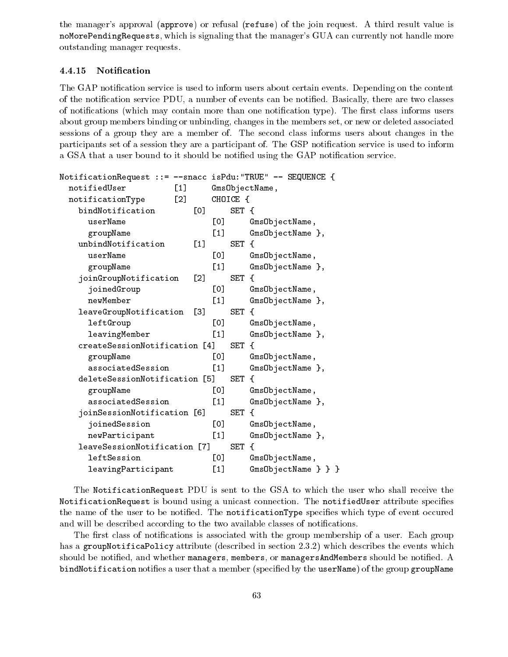the manager's approval (approve) or refusal (refuse) of the join request. A third result value is noMorePendingRequests, which is signaling that the manager's GUA can currently not handle more outstanding manager requests.

#### 4.4.15 Notication

The GAP notification service is used to inform users about certain events. Depending on the content of the notication service PDU, a number of events can be notied. Basically, there are two classes of notifications (which may contain more than one notification type). The first class informs users about group members binding or unbinding, changes in the members set, or new or deleted associated sessions of a group they are a member of. The second class informs users about changes in the participants set of a session they are a participant of. The GSP notification service is used to inform a GSA that a user bound to it should be notified using the GAP notification service.

| NotificationRequest ::= --snacc isPdu: "TRUE" -- SEQUENCE { |                     |                   |          |                       |
|-------------------------------------------------------------|---------------------|-------------------|----------|-----------------------|
| notifiedUser                                                | $\lceil 1 \rceil$   |                   |          | GmsObjectName,        |
| notificationType                                            | $\lbrack 2 \rbrack$ |                   | CHOICE { |                       |
| bindNotification                                            | [0]                 |                   | SET {    |                       |
| userName                                                    |                     | [0]               |          | GmsObjectName,        |
| groupName                                                   |                     | $\left[1\right]$  |          | GmsObjectName },      |
| unbindNotification                                          | $\left[1\right]$    |                   | SET {    |                       |
| userName                                                    |                     | [0]               |          | GmsObjectName,        |
| groupName                                                   |                     | $\left[1\right]$  |          | GmsObjectName },      |
| joinGroupNotification                                       | [2]                 |                   | SET {    |                       |
| joinedGroup                                                 |                     | [0]               |          | GmsObjectName,        |
| newMember                                                   |                     | $\left[1\right]$  |          | GmsObjectName },      |
| leaveGroupNotification                                      | [3]                 |                   | SET {    |                       |
| leftGroup                                                   |                     | гот               |          | GmsObjectName,        |
| leavingMember                                               |                     | $[1]$             |          | GmsObjectName },      |
| createSessionNotification [4]                               |                     |                   | SET {    |                       |
| groupName                                                   |                     | [0]               |          | GmsObjectName,        |
| associatedSession                                           |                     | [1]               |          | GmsObjectName },      |
| deleteSessionNotification [5]                               |                     |                   | SET {    |                       |
| groupName                                                   |                     | [0]               |          | GmsObjectName,        |
| associatedSession                                           |                     | $\lceil 1 \rceil$ |          | GmsObjectName },      |
| joinSessionNotification [6]                                 |                     |                   | SET {    |                       |
| joinedSession                                               |                     | [0]               |          | GmsObjectName,        |
| newParticipant                                              |                     | $[1]$             |          | GmsObjectName },      |
| leaveSessionNotification [7]                                |                     |                   | SET {    |                       |
| leftSession                                                 |                     | [0]               |          | GmsObjectName,        |
| leavingParticipant                                          |                     | [1]               |          | $GmsObjectName \} \}$ |

The NotificationRequest PDU is sent to the GSA to which the user who shall receive the NotificationRequest is bound using a unicast connection. The notifiedUser attribute specifies the name of the user to be notified. The notificationType specifies which type of event occured and will be described according to the two available classes of notifications.

The first class of notifications is associated with the group membership of a user. Each group has a groupNotificaPolicy attribute (described in section 2.3.2) which describes the events which should be notified, and whether managers, members, or managers AndMembers should be notified. A bindNotification notifies a user that a member (specified by the userName) of the group groupName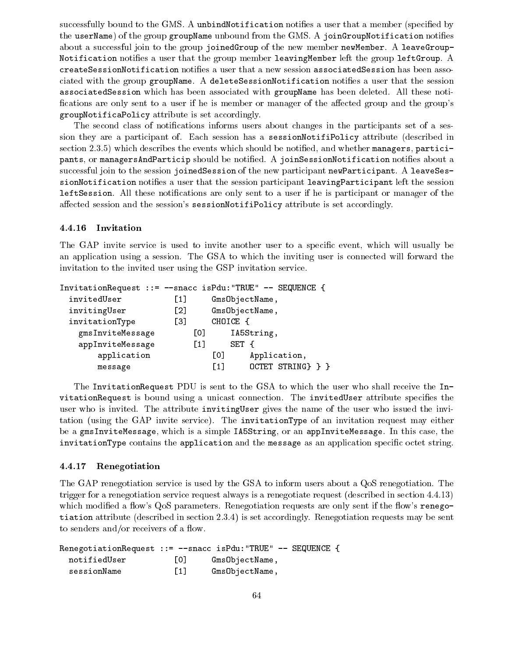successfully bound to the GMS. A unbindNotification notifies a user that a member (specified by the userName) of the group groupName unbound from the GMS. A joinGroupNotification notifies about a successful join to the group joinedGroup of the new member newMember. A leaveGroup-Notification notifies a user that the group member leavingMember left the group leftGroup. A createSessionNotification noties a user that a new session associatedSession has been associated with the group groupName. A deleteSessionNotification notifies a user that the session associatedSession which has been associated with groupName has been deleted. All these noti fications are only sent to a user if he is member or manager of the affected group and the group's groupNotificaPolicy attribute is set accordingly.

The second class of notifications informs users about changes in the participants set of a session they are a participant of. Each session has a sessionNotifiPolicy attribute (described in section 2.3.5) which describes the events which should be notified, and whether managers, participants, or managersAndParticip should be notified. A joinSessionNotification notifies about a successful join to the session joinedSession of the new participant newParticipant. A leaveSessionNotification notifies a user that the session participant leavingParticipant left the session leftSession. All these notifications are only sent to a user if he is participant or manager of the affected session and the session's sessionNotifiPolicy attribute is set accordingly.

### 4.4.16 Invitation

The GAP invite service is used to invite another user to a specific event, which will usually be an application using a session. The GSA to which the inviting user is connected willforward the invitation to the invited user using the GSP invitation service.

| InvitationRequest ::= --snacc isPdu:"TRUE" -- SEQUENCE { |                   |                   |                   |
|----------------------------------------------------------|-------------------|-------------------|-------------------|
| invitedUser                                              | $\lceil 1 \rceil$ |                   | GmsObjectName,    |
| invitingUser                                             | $\lceil 2 \rceil$ |                   | GmsObjectName,    |
| invitationType                                           | $\left[3\right]$  |                   | CHOICE {          |
| gmsInviteMessage                                         |                   | [0]               | IA5String,        |
| appInviteMessage                                         |                   | $\lceil 1 \rceil$ | SET {             |
| application                                              |                   | $\lceil 0 \rceil$ | Application,      |
| message                                                  |                   | [1]               | OCTET STRING} } } |

The InvitationRequest PDU is sent to the GSA to which the user who shall receive the InvitationRequest is bound using a unicast connection. The invitedUser attribute specifies the user who is invited. The attribute invitingUser gives the name of the user who issued the invitation (using the GAP invite service). The invitationType of an invitation request may either be a gmsInviteMessage, which is a simple IA5String, or an appInviteMessage. In this case, the invitationType contains the application and the message as an application specific octet string.

#### 4.4.17 Renegotiation

The GAP renegotiation service is used by the GSA to inform users about a QoS renegotiation. The trigger for a renegotiation service request always is a renegotiate request (described in section 4.4.13) which modified a flow's QoS parameters. Renegotiation requests are only sent if the flow's renegotiation attribute (described in section 2.3.4) is set accordingly. Renegotiation requests may be sent to senders and/or receivers of a flow.

```
RenegotiationRequest ::= --snacc isPdu:"TRUE" -- SEQUENCE {
 notifiedUser [0] GmsObjectName,
 sessionName [1] GmsObjectName,
```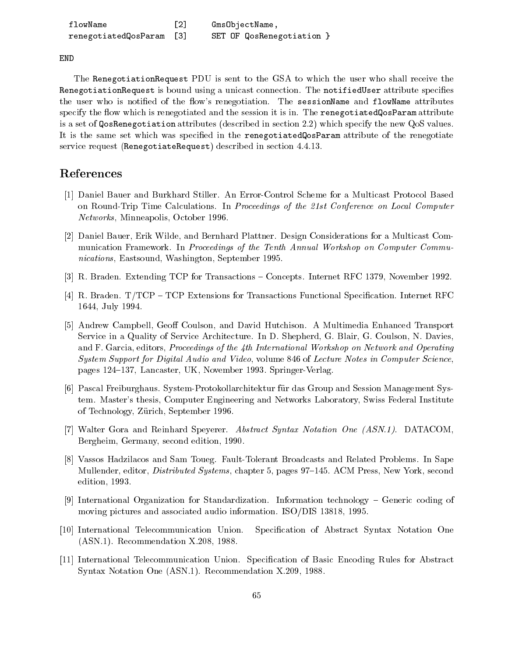| flowName             | F21 | GmsObjectName,            |
|----------------------|-----|---------------------------|
| renegotiatedQosParam |     | SET OF QosRenegotiation } |

END

The RenegotiationRequest PDU is sent to the GSA to which the user who shall receive the RenegotiationRequest is bound using a unicast connection. The notifiedUser attribute specifies the user who is notified of the flow's renegotiation. The sessionName and flowName attributes specify the flow which is renegotiated and the session it is in. The renegotiated QosParam attribute is a set of QosRenegotiation attributes (described in section 2.2) which specify the new QoS values. It is the same set which was specified in the renegotiatedQosParam attribute of the renegotiate service request (RenegotiateRequest) described in section 4.4.13.

# References

- [1] Daniel Bauer and Burkhard Stiller. An Error-Control Scheme for a Multicast Protocol Based on Round-Trip Time Calculations. In Proceedings of the 21st Conference on Local Computer Networks, Minneapolis, October 1996.
- [2] Daniel Bauer, Erik Wilde, and Bernhard Plattner. Design Considerations for a Multicast Communication Framework. In Proceedings of the Tenth Annual Workshop on Computer Communications, Eastsound, Washington, September 1995.
- [3] R. Braden. Extending TCP for Transactions Concepts. Internet RFC 1379, November 1992.
- [4] R. Braden.  $T/TCP TCP$  Extensions for Transactions Functional Specification. Internet RFC 1644, July 1994.
- [5] Andrew Campbell, Geoff Coulson, and David Hutchison. A Multimedia Enhanced Transport Service in a Quality of Service Architecture. In D. Shepherd, G. Blair, G. Coulson, N. Davies, and F. Garcia, editors, *Proceedings of the 4th International Workshop on Network and Operating* System Support for Digital Audio and Video, volume 846 of Lecture Notes in Computer Science, pages 124–137, Lancaster, UK, November 1993. Springer-Verlag.
- [6] Pascal Freiburghaus. System-Protokollarchitektur fur das Group and Session Management System. Master's thesis, Computer Engineering and Networks Laboratory, Swiss Federal Institute of Technology, Zurich, September 1996.
- [7] Walter Gora and Reinhard Speyerer. Abstract Syntax Notation One (ASN.1). DATACOM, Bergheim, Germany, second edition, 1990.
- [8] Vassos Hadzilacos and Sam Toueg. Fault-Tolerant Broadcasts and Related Problems. In Sape Mullender, editor, *Distributed Systems*, chapter 5, pages 97–145. ACM Press, New York, second edition, 1993.
- [9] International Organization for Standardization. Information technology Generic coding of moving pictures and associated audio information. ISO/DIS 13818, 1995.
- [10] International Telecommunication Union. Specication of Abstract Syntax Notation One (ASN.1). Recommendation X.208, 1988.
- [11] International Telecommunication Union. Specication of Basic Encoding Rules for Abstract Syntax Notation One (ASN.1). Recommendation X.209, 1988.